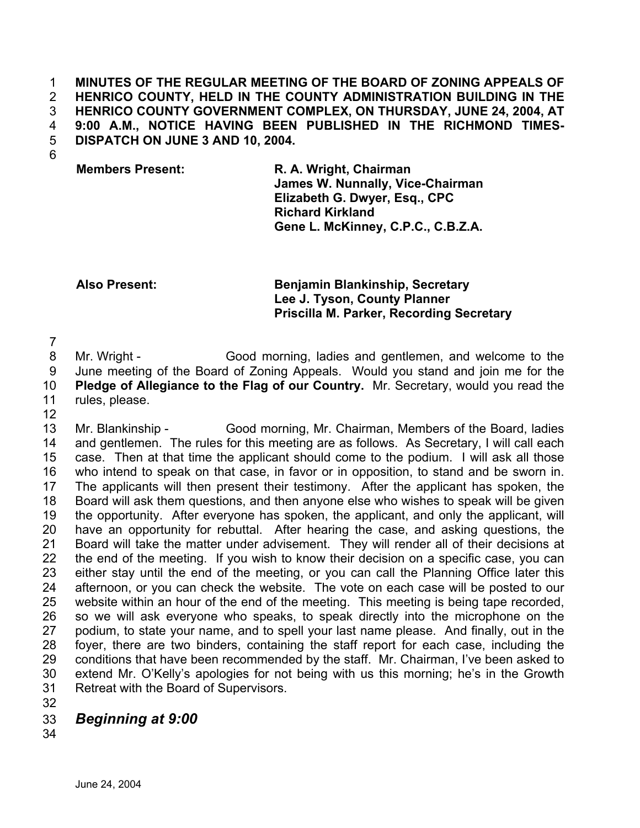### **MINUTES OF THE REGULAR MEETING OF THE BOARD OF ZONING APPEALS OF HENRICO COUNTY, HELD IN THE COUNTY ADMINISTRATION BUILDING IN THE HENRICO COUNTY GOVERNMENT COMPLEX, ON THURSDAY, JUNE 24, 2004, AT 9:00 A.M., NOTICE HAVING BEEN PUBLISHED IN THE RICHMOND TIMES-DISPATCH ON JUNE 3 AND 10, 2004.**  1 2 3 4 5

6

## **Members Present: R. A. Wright, Chairman James W. Nunnally, Vice-Chairman Elizabeth G. Dwyer, Esq., CPC Richard Kirkland Gene L. McKinney, C.P.C., C.B.Z.A.**

# **Also Present: Benjamin Blankinship, Secretary Lee J. Tyson, County Planner Priscilla M. Parker, Recording Secretary**

7

12

8 9 10 11 Mr. Wright - Good morning, ladies and gentlemen, and welcome to the June meeting of the Board of Zoning Appeals. Would you stand and join me for the **Pledge of Allegiance to the Flag of our Country.** Mr. Secretary, would you read the rules, please.

13 14 15 16 17 18 19 20 21 22 23 24 25 26 27 28 29 30 31 Mr. Blankinship - Good morning, Mr. Chairman, Members of the Board, ladies and gentlemen. The rules for this meeting are as follows. As Secretary, I will call each case. Then at that time the applicant should come to the podium. I will ask all those who intend to speak on that case, in favor or in opposition, to stand and be sworn in. The applicants will then present their testimony. After the applicant has spoken, the Board will ask them questions, and then anyone else who wishes to speak will be given the opportunity. After everyone has spoken, the applicant, and only the applicant, will have an opportunity for rebuttal. After hearing the case, and asking questions, the Board will take the matter under advisement. They will render all of their decisions at the end of the meeting. If you wish to know their decision on a specific case, you can either stay until the end of the meeting, or you can call the Planning Office later this afternoon, or you can check the website. The vote on each case will be posted to our website within an hour of the end of the meeting. This meeting is being tape recorded, so we will ask everyone who speaks, to speak directly into the microphone on the podium, to state your name, and to spell your last name please. And finally, out in the foyer, there are two binders, containing the staff report for each case, including the conditions that have been recommended by the staff. Mr. Chairman, I've been asked to extend Mr. O'Kelly's apologies for not being with us this morning; he's in the Growth Retreat with the Board of Supervisors.

32

### 33 *Beginning at 9:00*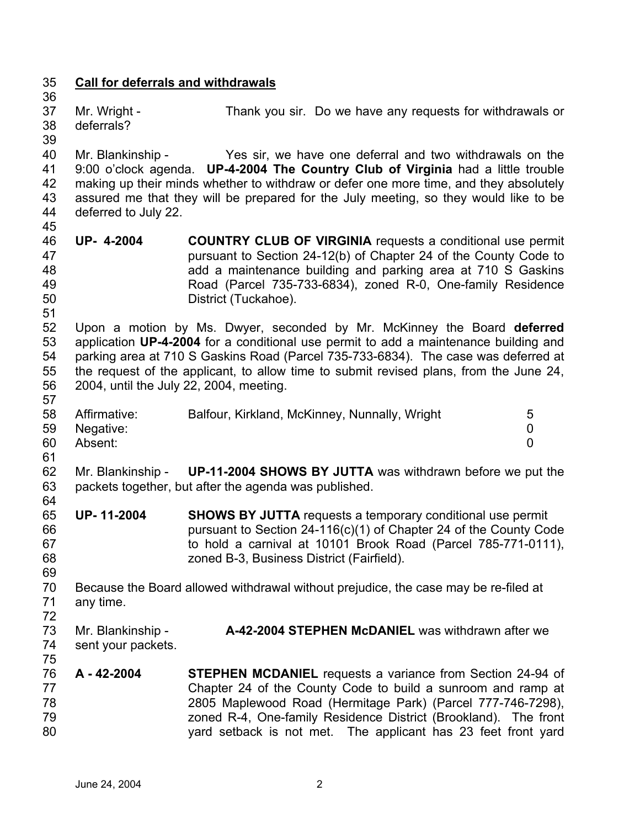36

## 35 **Call for deferrals and withdrawals**

37 38 Mr. Wright - Thank you sir. Do we have any requests for withdrawals or deferrals?

39

51

57

40 41 42 43 44 45 Mr. Blankinship - Yes sir, we have one deferral and two withdrawals on the 9:00 o'clock agenda. **UP-4-2004 The Country Club of Virginia** had a little trouble making up their minds whether to withdraw or defer one more time, and they absolutely assured me that they will be prepared for the July meeting, so they would like to be deferred to July 22.

- 46 47 48 49 50 **UP- 4-2004 COUNTRY CLUB OF VIRGINIA** requests a conditional use permit pursuant to Section 24-12(b) of Chapter 24 of the County Code to add a maintenance building and parking area at 710 S Gaskins Road (Parcel 735-733-6834), zoned R-0, One-family Residence District (Tuckahoe).
- 52 53 54 55 56 Upon a motion by Ms. Dwyer, seconded by Mr. McKinney the Board **deferred** application **UP-4-2004** for a conditional use permit to add a maintenance building and parking area at 710 S Gaskins Road (Parcel 735-733-6834). The case was deferred at the request of the applicant, to allow time to submit revised plans, from the June 24, 2004, until the July 22, 2004, meeting.
- 58 59 60 61 Affirmative: Balfour, Kirkland, McKinney, Nunnally, Wright 5 Negative: 0 Absent: 0
- 62 63 64 Mr. Blankinship - **UP-11-2004 SHOWS BY JUTTA** was withdrawn before we put the packets together, but after the agenda was published.
- 65 66 67 68 **UP- 11-2004 SHOWS BY JUTTA** requests a temporary conditional use permit pursuant to Section 24-116(c)(1) of Chapter 24 of the County Code to hold a carnival at 10101 Brook Road (Parcel 785-771-0111), zoned B-3, Business District (Fairfield).
- 70 71 Because the Board allowed withdrawal without prejudice, the case may be re-filed at any time.
- 73 74 Mr. Blankinship - **A-42-2004 STEPHEN McDANIEL** was withdrawn after we sent your packets.
- 75

69

72

76 77 78 79 80 **A - 42-2004 STEPHEN MCDANIEL** requests a variance from Section 24-94 of Chapter 24 of the County Code to build a sunroom and ramp at 2805 Maplewood Road (Hermitage Park) (Parcel 777-746-7298), zoned R-4, One-family Residence District (Brookland). The front yard setback is not met. The applicant has 23 feet front yard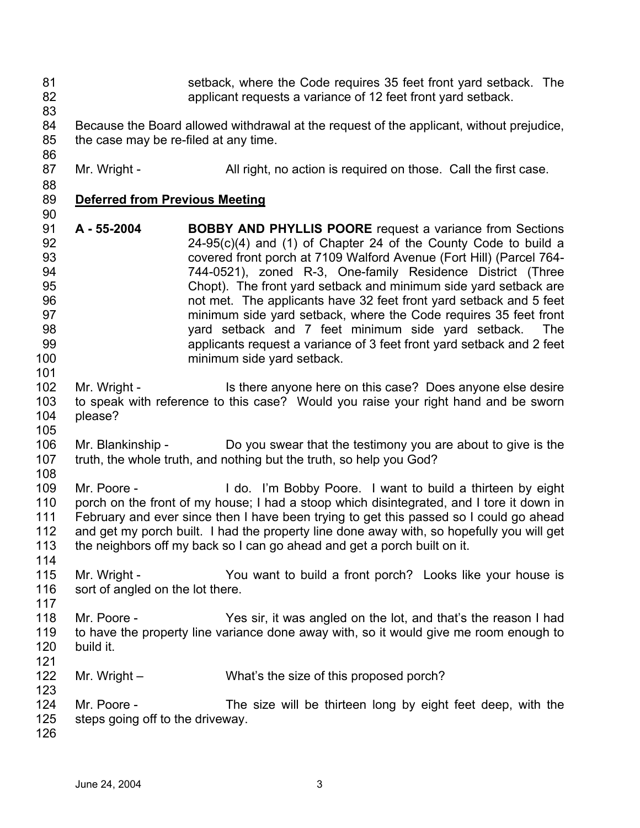| 81<br>82<br>83                                                         |                                                  | setback, where the Code requires 35 feet front yard setback. The<br>applicant requests a variance of 12 feet front yard setback.                                                                                                                                                                                                                                                                                                                                                                                                                                                                                                                                   |
|------------------------------------------------------------------------|--------------------------------------------------|--------------------------------------------------------------------------------------------------------------------------------------------------------------------------------------------------------------------------------------------------------------------------------------------------------------------------------------------------------------------------------------------------------------------------------------------------------------------------------------------------------------------------------------------------------------------------------------------------------------------------------------------------------------------|
| 84<br>85<br>86                                                         | the case may be re-filed at any time.            | Because the Board allowed withdrawal at the request of the applicant, without prejudice,                                                                                                                                                                                                                                                                                                                                                                                                                                                                                                                                                                           |
| 87<br>88                                                               | Mr. Wright -                                     | All right, no action is required on those. Call the first case.                                                                                                                                                                                                                                                                                                                                                                                                                                                                                                                                                                                                    |
| 89                                                                     | <b>Deferred from Previous Meeting</b>            |                                                                                                                                                                                                                                                                                                                                                                                                                                                                                                                                                                                                                                                                    |
| 90<br>91<br>92<br>93<br>94<br>95<br>96<br>97<br>98<br>99<br>100<br>101 | A - 55-2004                                      | <b>BOBBY AND PHYLLIS POORE</b> request a variance from Sections<br>$24-95(c)(4)$ and (1) of Chapter 24 of the County Code to build a<br>covered front porch at 7109 Walford Avenue (Fort Hill) (Parcel 764-<br>744-0521), zoned R-3, One-family Residence District (Three<br>Chopt). The front yard setback and minimum side yard setback are<br>not met. The applicants have 32 feet front yard setback and 5 feet<br>minimum side yard setback, where the Code requires 35 feet front<br>yard setback and 7 feet minimum side yard setback.<br><b>The</b><br>applicants request a variance of 3 feet front yard setback and 2 feet<br>minimum side yard setback. |
| 102<br>103<br>104<br>105                                               | Mr. Wright -<br>please?                          | Is there anyone here on this case? Does anyone else desire<br>to speak with reference to this case? Would you raise your right hand and be sworn                                                                                                                                                                                                                                                                                                                                                                                                                                                                                                                   |
| 106<br>107<br>108                                                      |                                                  | Mr. Blankinship - Do you swear that the testimony you are about to give is the<br>truth, the whole truth, and nothing but the truth, so help you God?                                                                                                                                                                                                                                                                                                                                                                                                                                                                                                              |
| 109<br>110<br>111<br>112<br>113<br>114                                 | Mr. Poore -                                      | I do. I'm Bobby Poore. I want to build a thirteen by eight<br>porch on the front of my house; I had a stoop which disintegrated, and I tore it down in<br>February and ever since then I have been trying to get this passed so I could go ahead<br>and get my porch built. I had the property line done away with, so hopefully you will get<br>the neighbors off my back so I can go ahead and get a porch built on it.                                                                                                                                                                                                                                          |
| 115<br>116<br>117                                                      | Mr. Wright -<br>sort of angled on the lot there. | You want to build a front porch? Looks like your house is                                                                                                                                                                                                                                                                                                                                                                                                                                                                                                                                                                                                          |
| 118<br>119<br>120<br>121                                               | Mr. Poore -<br>build it.                         | Yes sir, it was angled on the lot, and that's the reason I had<br>to have the property line variance done away with, so it would give me room enough to                                                                                                                                                                                                                                                                                                                                                                                                                                                                                                            |
| 122                                                                    | Mr. Wright $-$                                   | What's the size of this proposed porch?                                                                                                                                                                                                                                                                                                                                                                                                                                                                                                                                                                                                                            |
| 123<br>124<br>125<br>126                                               | Mr. Poore -<br>steps going off to the driveway.  | The size will be thirteen long by eight feet deep, with the                                                                                                                                                                                                                                                                                                                                                                                                                                                                                                                                                                                                        |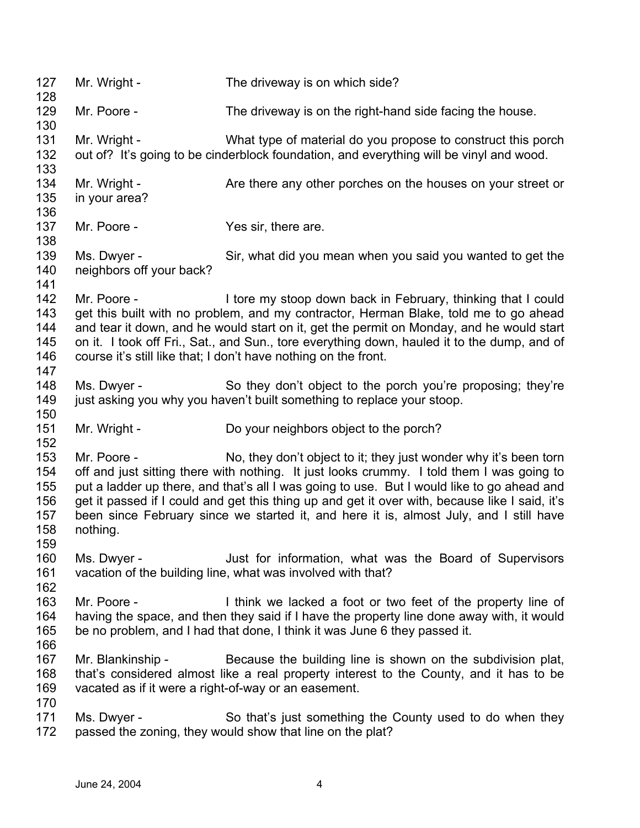| 127<br>128                                    | Mr. Wright -                                                              | The driveway is on which side?                                                                                                                                                                                                                                                                                                                                                                                                                          |
|-----------------------------------------------|---------------------------------------------------------------------------|---------------------------------------------------------------------------------------------------------------------------------------------------------------------------------------------------------------------------------------------------------------------------------------------------------------------------------------------------------------------------------------------------------------------------------------------------------|
| 129<br>130                                    | Mr. Poore -                                                               | The driveway is on the right-hand side facing the house.                                                                                                                                                                                                                                                                                                                                                                                                |
| 131<br>132<br>133                             | Mr. Wright -                                                              | What type of material do you propose to construct this porch<br>out of? It's going to be cinderblock foundation, and everything will be vinyl and wood.                                                                                                                                                                                                                                                                                                 |
| 134<br>135<br>136                             | Mr. Wright -<br>in your area?                                             | Are there any other porches on the houses on your street or                                                                                                                                                                                                                                                                                                                                                                                             |
| 137<br>138                                    | Mr. Poore -                                                               | Yes sir, there are.                                                                                                                                                                                                                                                                                                                                                                                                                                     |
| 139<br>140<br>141                             | Ms. Dwyer -<br>neighbors off your back?                                   | Sir, what did you mean when you said you wanted to get the                                                                                                                                                                                                                                                                                                                                                                                              |
| 142<br>143<br>144<br>145<br>146<br>147        | Mr. Poore -                                                               | I tore my stoop down back in February, thinking that I could<br>get this built with no problem, and my contractor, Herman Blake, told me to go ahead<br>and tear it down, and he would start on it, get the permit on Monday, and he would start<br>on it. I took off Fri., Sat., and Sun., tore everything down, hauled it to the dump, and of<br>course it's still like that; I don't have nothing on the front.                                      |
| 148<br>149<br>150                             | Ms. Dwyer -                                                               | So they don't object to the porch you're proposing; they're<br>just asking you why you haven't built something to replace your stoop.                                                                                                                                                                                                                                                                                                                   |
| 151<br>152                                    | Mr. Wright -                                                              | Do your neighbors object to the porch?                                                                                                                                                                                                                                                                                                                                                                                                                  |
| 153<br>154<br>155<br>156<br>157<br>158<br>159 | Mr. Poore -<br>nothing.                                                   | No, they don't object to it; they just wonder why it's been torn<br>off and just sitting there with nothing. It just looks crummy. I told them I was going to<br>put a ladder up there, and that's all I was going to use. But I would like to go ahead and<br>get it passed if I could and get this thing up and get it over with, because like I said, it's<br>been since February since we started it, and here it is, almost July, and I still have |
| 160<br>161<br>162                             | Ms. Dwyer -                                                               | Just for information, what was the Board of Supervisors<br>vacation of the building line, what was involved with that?                                                                                                                                                                                                                                                                                                                                  |
| 163<br>164<br>165                             | Mr. Poore -                                                               | I think we lacked a foot or two feet of the property line of<br>having the space, and then they said if I have the property line done away with, it would<br>be no problem, and I had that done, I think it was June 6 they passed it.                                                                                                                                                                                                                  |
| 166<br>167<br>168<br>169                      | Mr. Blankinship -<br>vacated as if it were a right-of-way or an easement. | Because the building line is shown on the subdivision plat,<br>that's considered almost like a real property interest to the County, and it has to be                                                                                                                                                                                                                                                                                                   |
| 170<br>171<br>172                             | Ms. Dwyer -                                                               | So that's just something the County used to do when they<br>passed the zoning, they would show that line on the plat?                                                                                                                                                                                                                                                                                                                                   |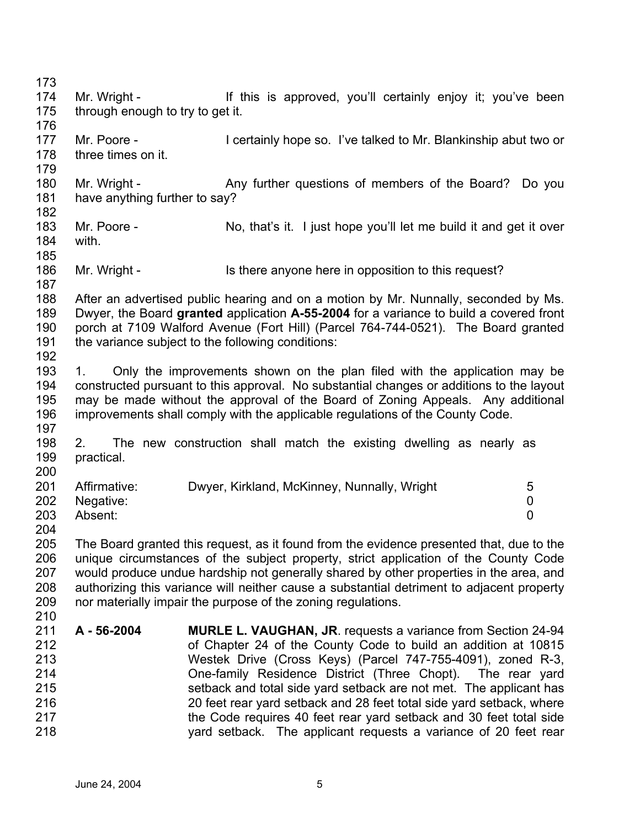173

179

187

174 175 176 Mr. Wright - This is approved, you'll certainly enjoy it; you've been through enough to try to get it.

- 177 178 Mr. Poore - I certainly hope so. I've talked to Mr. Blankinship abut two or three times on it.
- 180 181 Mr. Wright - Any further questions of members of the Board? Do you have anything further to say?
- 182
- 183 184 185 Mr. Poore - No, that's it. I just hope you'll let me build it and get it over with.
- 186 Mr. Wright - Is there anyone here in opposition to this request?
- 188 189 190 191 192 After an advertised public hearing and on a motion by Mr. Nunnally, seconded by Ms. Dwyer, the Board **granted** application **A-55-2004** for a variance to build a covered front porch at 7109 Walford Avenue (Fort Hill) (Parcel 764-744-0521). The Board granted the variance subject to the following conditions:
- 193 194 195 196 197 1. Only the improvements shown on the plan filed with the application may be constructed pursuant to this approval. No substantial changes or additions to the layout may be made without the approval of the Board of Zoning Appeals. Any additional improvements shall comply with the applicable regulations of the County Code.
- 198 199 2. The new construction shall match the existing dwelling as nearly as practical.
- 200 201 202 203 Affirmative: Dwyer, Kirkland, McKinney, Nunnally, Wright 5 Negative: 0 Absent: 0
- 204

205 206 207 208 209 210 The Board granted this request, as it found from the evidence presented that, due to the unique circumstances of the subject property, strict application of the County Code would produce undue hardship not generally shared by other properties in the area, and authorizing this variance will neither cause a substantial detriment to adjacent property nor materially impair the purpose of the zoning regulations.

211 212 213 214 215 216 217 218 **A - 56-2004 MURLE L. VAUGHAN, JR**. requests a variance from Section 24-94 of Chapter 24 of the County Code to build an addition at 10815 Westek Drive (Cross Keys) (Parcel 747-755-4091), zoned R-3, One-family Residence District (Three Chopt). The rear yard setback and total side yard setback are not met. The applicant has 20 feet rear yard setback and 28 feet total side yard setback, where the Code requires 40 feet rear yard setback and 30 feet total side yard setback. The applicant requests a variance of 20 feet rear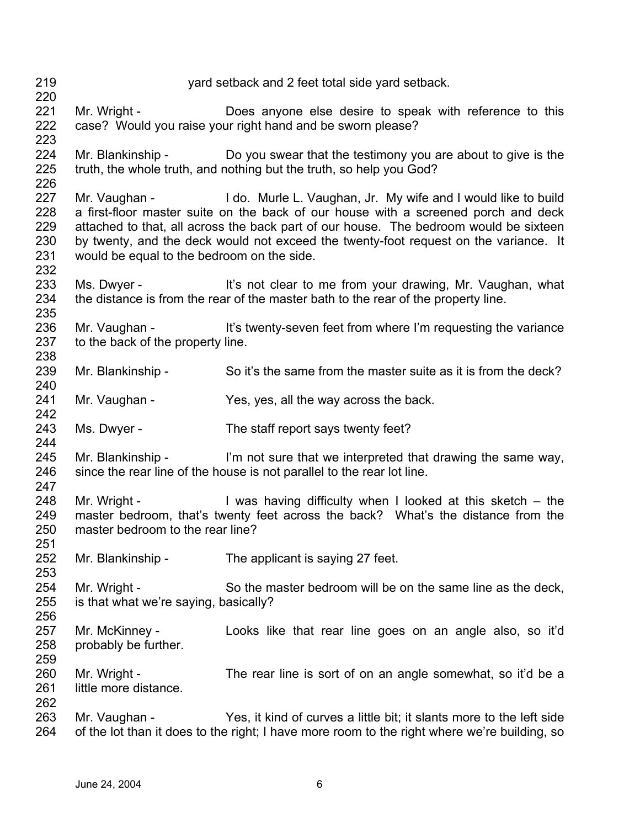| 219<br>220                             |                                                       | yard setback and 2 feet total side yard setback.                                                                                                                                                                                                                                                                                                   |
|----------------------------------------|-------------------------------------------------------|----------------------------------------------------------------------------------------------------------------------------------------------------------------------------------------------------------------------------------------------------------------------------------------------------------------------------------------------------|
| 221<br>222<br>223                      |                                                       | Mr. Wright - Does anyone else desire to speak with reference to this<br>case? Would you raise your right hand and be sworn please?                                                                                                                                                                                                                 |
| 224<br>225<br>226                      |                                                       | Mr. Blankinship - Do you swear that the testimony you are about to give is the<br>truth, the whole truth, and nothing but the truth, so help you God?                                                                                                                                                                                              |
| 227<br>228<br>229<br>230<br>231<br>232 | would be equal to the bedroom on the side.            | Mr. Vaughan - I do. Murle L. Vaughan, Jr. My wife and I would like to build<br>a first-floor master suite on the back of our house with a screened porch and deck<br>attached to that, all across the back part of our house. The bedroom would be sixteen<br>by twenty, and the deck would not exceed the twenty-foot request on the variance. It |
| 233<br>234<br>235                      |                                                       | Ms. Dwyer - It's not clear to me from your drawing, Mr. Vaughan, what<br>the distance is from the rear of the master bath to the rear of the property line.                                                                                                                                                                                        |
| 236<br>237<br>238                      | to the back of the property line.                     | Mr. Vaughan - It's twenty-seven feet from where I'm requesting the variance                                                                                                                                                                                                                                                                        |
| 239<br>240                             | Mr. Blankinship -                                     | So it's the same from the master suite as it is from the deck?                                                                                                                                                                                                                                                                                     |
| 241<br>242                             | Mr. Vaughan -                                         | Yes, yes, all the way across the back.                                                                                                                                                                                                                                                                                                             |
| 243<br>244                             | Ms. Dwyer -                                           | The staff report says twenty feet?                                                                                                                                                                                                                                                                                                                 |
| 245<br>246<br>247                      |                                                       | Mr. Blankinship - I'm not sure that we interpreted that drawing the same way,<br>since the rear line of the house is not parallel to the rear lot line.                                                                                                                                                                                            |
| 248<br>249<br>250<br>251               | master bedroom to the rear line?                      | Mr. Wright - I was having difficulty when I looked at this sketch - the<br>master bedroom, that's twenty feet across the back? What's the distance from the                                                                                                                                                                                        |
| 252<br>253                             | Mr. Blankinship -                                     | The applicant is saying 27 feet.                                                                                                                                                                                                                                                                                                                   |
| 254<br>255<br>256                      | Mr. Wright -<br>is that what we're saying, basically? | So the master bedroom will be on the same line as the deck,                                                                                                                                                                                                                                                                                        |
| 257<br>258<br>259                      | Mr. McKinney -<br>probably be further.                | Looks like that rear line goes on an angle also, so it'd                                                                                                                                                                                                                                                                                           |
| 260<br>261<br>262                      | Mr. Wright -<br>little more distance.                 | The rear line is sort of on an angle somewhat, so it'd be a                                                                                                                                                                                                                                                                                        |
| 263<br>264                             | Mr. Vaughan -                                         | Yes, it kind of curves a little bit; it slants more to the left side<br>of the lot than it does to the right; I have more room to the right where we're building, so                                                                                                                                                                               |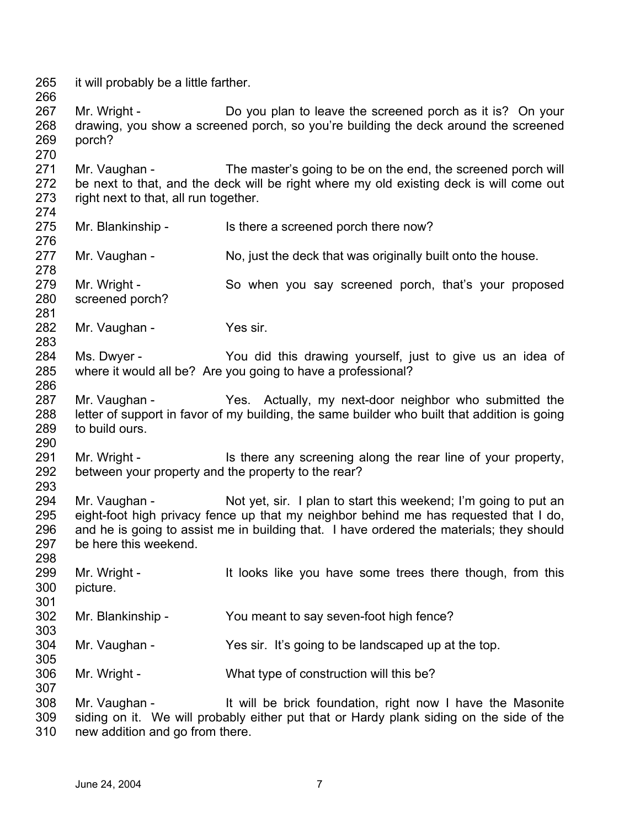265 it will probably be a little farther.

267 268 269 Mr. Wright - Do you plan to leave the screened porch as it is? On your drawing, you show a screened porch, so you're building the deck around the screened porch?

271 272 273 Mr. Vaughan - The master's going to be on the end, the screened porch will be next to that, and the deck will be right where my old existing deck is will come out right next to that, all run together.

274 275 276

266

270

Mr. Blankinship - Is there a screened porch there now?

277 278 Mr. Vaughan - No, just the deck that was originally built onto the house.

279 280 Mr. Wright - So when you say screened porch, that's your proposed screened porch?

281

282 283

301

303

305

307

Mr. Vaughan - Yes sir.

284 285 286 Ms. Dwyer - The You did this drawing yourself, just to give us an idea of where it would all be? Are you going to have a professional?

287 288 289 290 Mr. Vaughan - Yes. Actually, my next-door neighbor who submitted the letter of support in favor of my building, the same builder who built that addition is going to build ours.

291 292 293 Mr. Wright - Is there any screening along the rear line of your property, between your property and the property to the rear?

294 295 296 297 298 Mr. Vaughan - Not yet, sir. I plan to start this weekend; I'm going to put an eight-foot high privacy fence up that my neighbor behind me has requested that I do, and he is going to assist me in building that. I have ordered the materials; they should be here this weekend.

299 300 Mr. Wright - The It looks like you have some trees there though, from this picture.

302 Mr. Blankinship - You meant to say seven-foot high fence?

- 304 Mr. Vaughan - Yes sir. It's going to be landscaped up at the top.
- 306 Mr. Wright - What type of construction will this be?

308 309 310 Mr. Vaughan - It will be brick foundation, right now I have the Masonite siding on it. We will probably either put that or Hardy plank siding on the side of the new addition and go from there.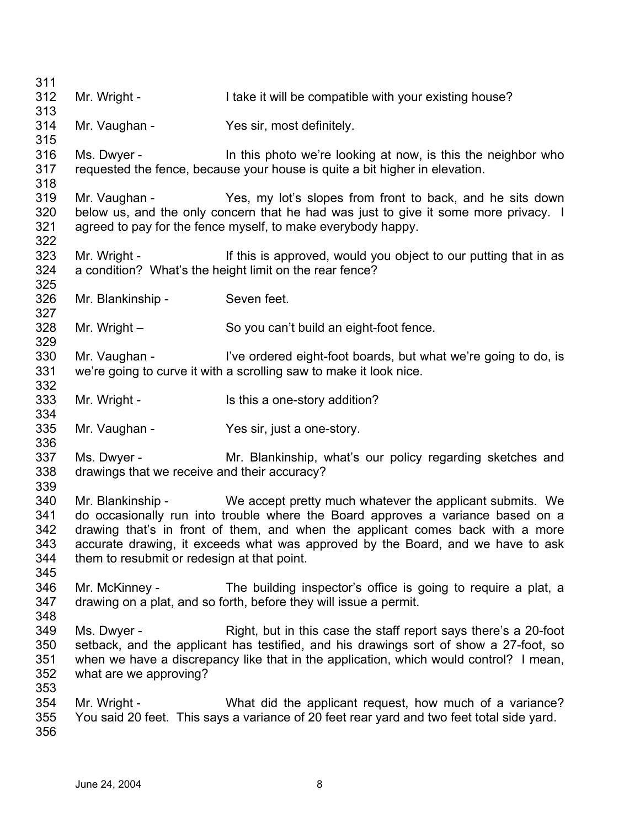311 312 313 314 315 316 317 318 319 320 321 322 323 324 325 326 327 328 329 330 331 332 333 334 335 336 337 338 339 340 341 342 343 344 345 346 347 348 349 350 351 352 353 354 355 356 Mr. Wright - I take it will be compatible with your existing house? Mr. Vaughan - Yes sir, most definitely. Ms. Dwyer - In this photo we're looking at now, is this the neighbor who requested the fence, because your house is quite a bit higher in elevation. Mr. Vaughan - Yes, my lot's slopes from front to back, and he sits down below us, and the only concern that he had was just to give it some more privacy. I agreed to pay for the fence myself, to make everybody happy. Mr. Wright - If this is approved, would you object to our putting that in as a condition? What's the height limit on the rear fence? Mr. Blankinship - Seven feet. Mr. Wright – So you can't build an eight-foot fence. Mr. Vaughan - I've ordered eight-foot boards, but what we're going to do, is we're going to curve it with a scrolling saw to make it look nice. Mr. Wright - Is this a one-story addition? Mr. Vaughan - Yes sir, just a one-story. Ms. Dwyer - **Mr. Blankinship, what's our policy regarding sketches and** drawings that we receive and their accuracy? Mr. Blankinship - We accept pretty much whatever the applicant submits. We do occasionally run into trouble where the Board approves a variance based on a drawing that's in front of them, and when the applicant comes back with a more accurate drawing, it exceeds what was approved by the Board, and we have to ask them to resubmit or redesign at that point. Mr. McKinney - The building inspector's office is going to require a plat, a drawing on a plat, and so forth, before they will issue a permit. Ms. Dwyer - Right, but in this case the staff report says there's a 20-foot setback, and the applicant has testified, and his drawings sort of show a 27-foot, so when we have a discrepancy like that in the application, which would control? I mean, what are we approving? Mr. Wright - The Mort did the applicant request, how much of a variance? You said 20 feet. This says a variance of 20 feet rear yard and two feet total side yard.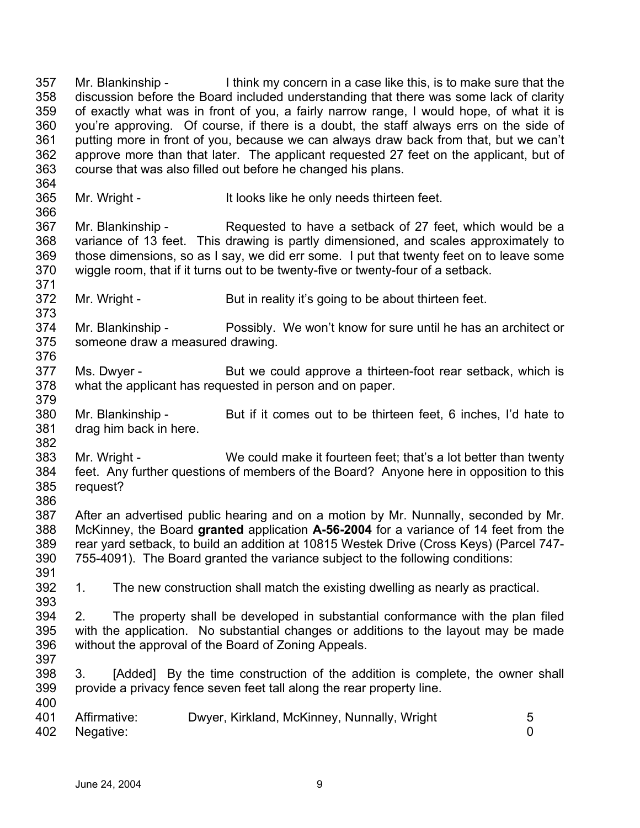357 358 359 360 361 362 363 Mr. Blankinship - I think my concern in a case like this, is to make sure that the discussion before the Board included understanding that there was some lack of clarity of exactly what was in front of you, a fairly narrow range, I would hope, of what it is you're approving. Of course, if there is a doubt, the staff always errs on the side of putting more in front of you, because we can always draw back from that, but we can't approve more than that later. The applicant requested 27 feet on the applicant, but of course that was also filled out before he changed his plans.

- 364
- 365 366

373

379

393

397

Mr. Wright - The Muslim Cooks like he only needs thirteen feet.

367 368 369 370 371 Mr. Blankinship - Requested to have a setback of 27 feet, which would be a variance of 13 feet. This drawing is partly dimensioned, and scales approximately to those dimensions, so as I say, we did err some. I put that twenty feet on to leave some wiggle room, that if it turns out to be twenty-five or twenty-four of a setback.

372 Mr. Wright - But in reality it's going to be about thirteen feet.

374 375 376 Mr. Blankinship - Possibly. We won't know for sure until he has an architect or someone draw a measured drawing.

- 377 378 Ms. Dwyer - But we could approve a thirteen-foot rear setback, which is what the applicant has requested in person and on paper.
- 380 381 Mr. Blankinship - But if it comes out to be thirteen feet, 6 inches, I'd hate to drag him back in here.

382 383 384 385 386 Mr. Wright - We could make it fourteen feet; that's a lot better than twenty feet. Any further questions of members of the Board? Anyone here in opposition to this request?

387 388 389 390 391 After an advertised public hearing and on a motion by Mr. Nunnally, seconded by Mr. McKinney, the Board **granted** application **A-56-2004** for a variance of 14 feet from the rear yard setback, to build an addition at 10815 Westek Drive (Cross Keys) (Parcel 747- 755-4091). The Board granted the variance subject to the following conditions:

392 1. The new construction shall match the existing dwelling as nearly as practical.

394 395 396 2. The property shall be developed in substantial conformance with the plan filed with the application. No substantial changes or additions to the layout may be made without the approval of the Board of Zoning Appeals.

398 399 400 3. [Added] By the time construction of the addition is complete, the owner shall provide a privacy fence seven feet tall along the rear property line.

| 401 | Affirmative:<br>402 Negative: | Dwyer, Kirkland, McKinney, Nunnally, Wright |  |
|-----|-------------------------------|---------------------------------------------|--|
|-----|-------------------------------|---------------------------------------------|--|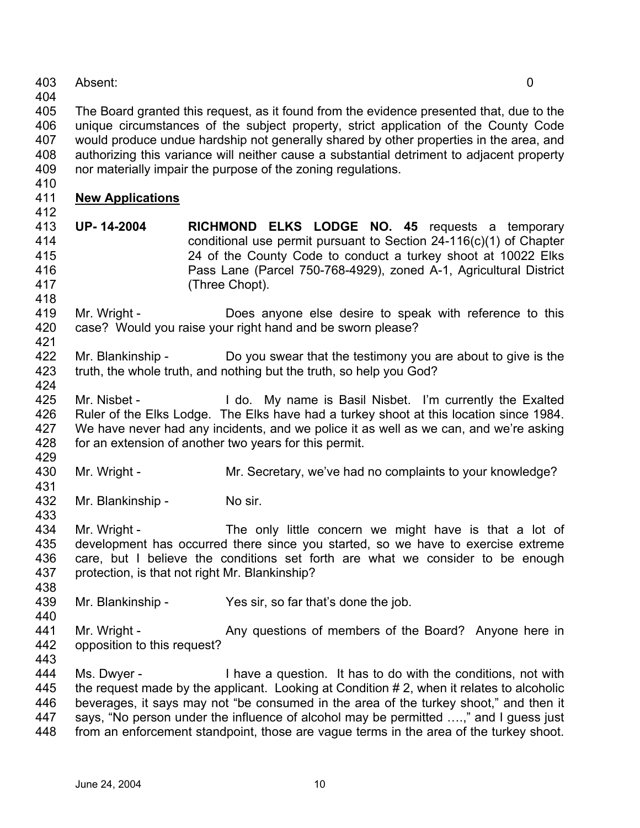403 Absent: 0

404

412

418

405 406 407 408 409 The Board granted this request, as it found from the evidence presented that, due to the unique circumstances of the subject property, strict application of the County Code would produce undue hardship not generally shared by other properties in the area, and authorizing this variance will neither cause a substantial detriment to adjacent property nor materially impair the purpose of the zoning regulations.

### 410 411 **New Applications**

- 413 414 415 416 417 **UP- 14-2004 RICHMOND ELKS LODGE NO. 45** requests a temporary conditional use permit pursuant to Section 24-116(c)(1) of Chapter 24 of the County Code to conduct a turkey shoot at 10022 Elks Pass Lane (Parcel 750-768-4929), zoned A-1, Agricultural District (Three Chopt).
- 419 420 421 Mr. Wright - Does anyone else desire to speak with reference to this case? Would you raise your right hand and be sworn please?
- 422 423 Mr. Blankinship - Do you swear that the testimony you are about to give is the truth, the whole truth, and nothing but the truth, so help you God?
- 424 425 426 427 428 Mr. Nisbet - I do. My name is Basil Nisbet. I'm currently the Exalted Ruler of the Elks Lodge. The Elks have had a turkey shoot at this location since 1984. We have never had any incidents, and we police it as well as we can, and we're asking for an extension of another two years for this permit.
- 429 430

433

438

- Mr. Wright Mr. Secretary, we've had no complaints to your knowledge?
- 431 432 Mr. Blankinship - No sir.
- 434 435 436 437 Mr. Wright - The only little concern we might have is that a lot of development has occurred there since you started, so we have to exercise extreme care, but I believe the conditions set forth are what we consider to be enough protection, is that not right Mr. Blankinship?
- 439 Mr. Blankinship - Yes sir, so far that's done the job.
- 441 442 Mr. Wright - Any questions of members of the Board? Anyone here in opposition to this request?
- 443
- 444 445 446 447 448 Ms. Dwyer - I have a question. It has to do with the conditions, not with the request made by the applicant. Looking at Condition # 2, when it relates to alcoholic beverages, it says may not "be consumed in the area of the turkey shoot," and then it says, "No person under the influence of alcohol may be permitted ….," and I guess just from an enforcement standpoint, those are vague terms in the area of the turkey shoot.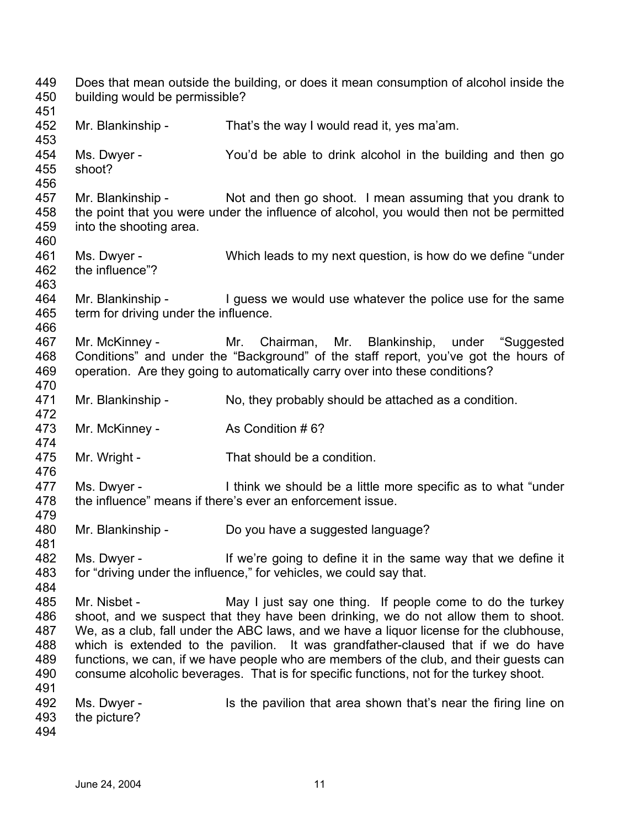449 450 451 452 453 454 455 456 457 458 459 460 461 462 463 464 465 466 467 468 469 470 471 472 473 474 475 476 477 478 479 480 481 482 483 484 485 486 487 488 489 490 491 492 493 494 Does that mean outside the building, or does it mean consumption of alcohol inside the building would be permissible? Mr. Blankinship - That's the way I would read it, yes ma'am. Ms. Dwyer - You'd be able to drink alcohol in the building and then go shoot? Mr. Blankinship - Not and then go shoot. I mean assuming that you drank to the point that you were under the influence of alcohol, you would then not be permitted into the shooting area. Ms. Dwyer - Which leads to my next question, is how do we define "under the influence"? Mr. Blankinship - I guess we would use whatever the police use for the same term for driving under the influence. Mr. McKinney - Mr. Chairman, Mr. Blankinship, under "Suggested Conditions" and under the "Background" of the staff report, you've got the hours of operation. Are they going to automatically carry over into these conditions? Mr. Blankinship - No, they probably should be attached as a condition. Mr. McKinney - As Condition # 6? Mr. Wright - That should be a condition. Ms. Dwyer - I think we should be a little more specific as to what "under the influence" means if there's ever an enforcement issue. Mr. Blankinship - Do you have a suggested language? Ms. Dwyer - If we're going to define it in the same way that we define it for "driving under the influence," for vehicles, we could say that. Mr. Nisbet - May I just say one thing. If people come to do the turkey shoot, and we suspect that they have been drinking, we do not allow them to shoot. We, as a club, fall under the ABC laws, and we have a liquor license for the clubhouse, which is extended to the pavilion. It was grandfather-claused that if we do have functions, we can, if we have people who are members of the club, and their guests can consume alcoholic beverages. That is for specific functions, not for the turkey shoot. Ms. Dwyer - Is the pavilion that area shown that's near the firing line on the picture?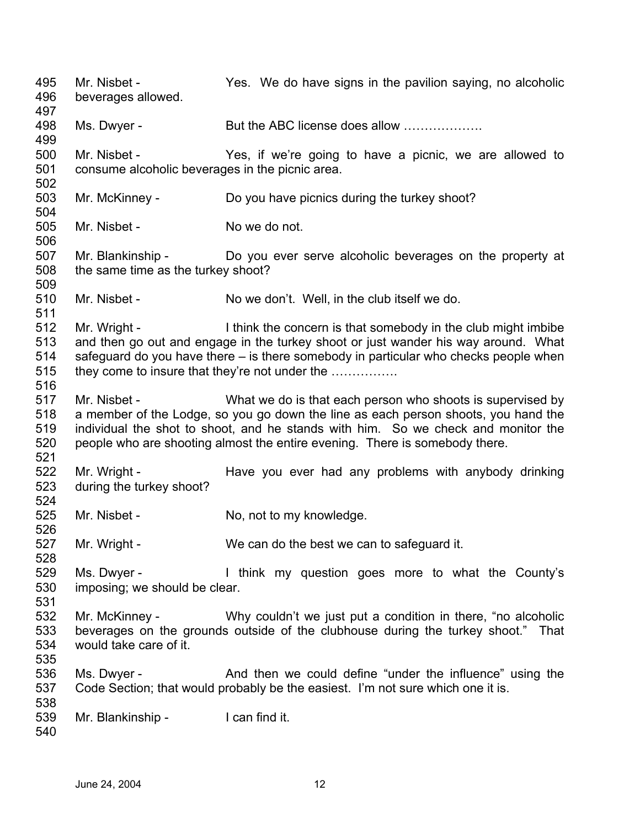495 496 497 498 499 500 501 502 503 504 505 506 507 508 509 510 511 512 513 514 515 516 517 518 519 520 521 522 523 524 525 526 527 528 529 530 531 532 533 534 535 536 537 538 539 540 Mr. Nisbet - Yes. We do have signs in the pavilion saying, no alcoholic beverages allowed. Ms. Dwyer - But the ABC license does allow .................. Mr. Nisbet - The Yes, if we're going to have a picnic, we are allowed to consume alcoholic beverages in the picnic area. Mr. McKinney - Do you have picnics during the turkey shoot? Mr. Nisbet - No we do not. Mr. Blankinship - Do you ever serve alcoholic beverages on the property at the same time as the turkey shoot? Mr. Nisbet - No we don't. Well, in the club itself we do. Mr. Wright - I think the concern is that somebody in the club might imbibe and then go out and engage in the turkey shoot or just wander his way around. What safeguard do you have there – is there somebody in particular who checks people when they come to insure that they're not under the ……………. Mr. Nisbet - What we do is that each person who shoots is supervised by a member of the Lodge, so you go down the line as each person shoots, you hand the individual the shot to shoot, and he stands with him. So we check and monitor the people who are shooting almost the entire evening. There is somebody there. Mr. Wright - Have you ever had any problems with anybody drinking during the turkey shoot? Mr. Nisbet - No, not to my knowledge. Mr. Wright - We can do the best we can to safeguard it. Ms. Dwyer - Think my question goes more to what the County's imposing; we should be clear. Mr. McKinney - Why couldn't we just put a condition in there, "no alcoholic beverages on the grounds outside of the clubhouse during the turkey shoot." That would take care of it. Ms. Dwyer - And then we could define "under the influence" using the Code Section; that would probably be the easiest. I'm not sure which one it is. Mr. Blankinship - I can find it.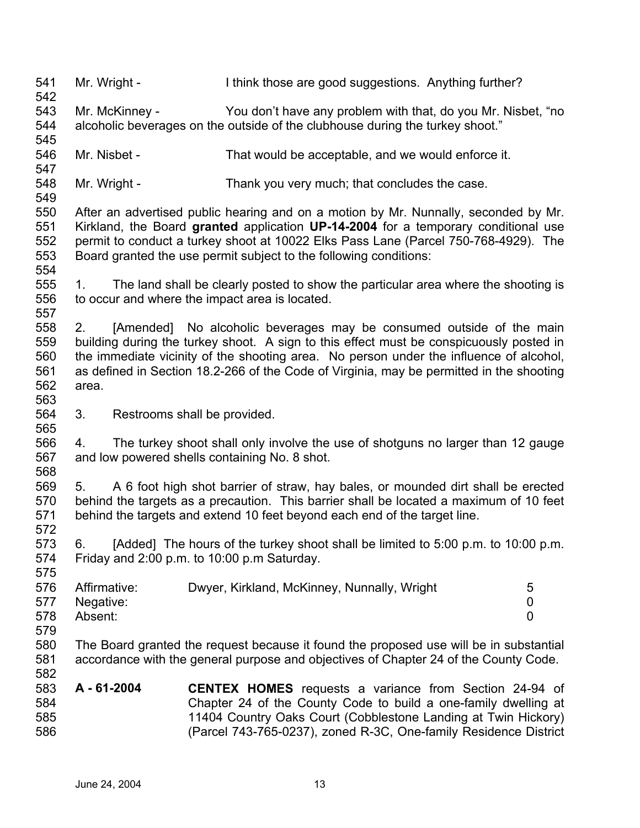541 542 543 544 545 546 547 548 549 550 551 552 553 554 555 556 557 558 559 560 561 562 563 564 565 566 567 568 569 570 571 572 573 574 575 576 577 578 579 580 581 582 583 584 585 586 Mr. Wright - I think those are good suggestions. Anything further? Mr. McKinney - You don't have any problem with that, do you Mr. Nisbet, "no alcoholic beverages on the outside of the clubhouse during the turkey shoot." Mr. Nisbet - That would be acceptable, and we would enforce it. Mr. Wright - Thank you very much; that concludes the case. After an advertised public hearing and on a motion by Mr. Nunnally, seconded by Mr. Kirkland, the Board **granted** application **UP-14-2004** for a temporary conditional use permit to conduct a turkey shoot at 10022 Elks Pass Lane (Parcel 750-768-4929). The Board granted the use permit subject to the following conditions: 1. The land shall be clearly posted to show the particular area where the shooting is to occur and where the impact area is located. 2. [Amended] No alcoholic beverages may be consumed outside of the main building during the turkey shoot. A sign to this effect must be conspicuously posted in the immediate vicinity of the shooting area. No person under the influence of alcohol, as defined in Section 18.2-266 of the Code of Virginia, may be permitted in the shooting area. 3. Restrooms shall be provided. 4. The turkey shoot shall only involve the use of shotguns no larger than 12 gauge and low powered shells containing No. 8 shot. 5. A 6 foot high shot barrier of straw, hay bales, or mounded dirt shall be erected behind the targets as a precaution. This barrier shall be located a maximum of 10 feet behind the targets and extend 10 feet beyond each end of the target line. 6. [Added] The hours of the turkey shoot shall be limited to 5:00 p.m. to 10:00 p.m. Friday and 2:00 p.m. to 10:00 p.m Saturday. Affirmative: Dwyer, Kirkland, McKinney, Nunnally, Wright 5 Negative: 0 Absent: 0 The Board granted the request because it found the proposed use will be in substantial accordance with the general purpose and objectives of Chapter 24 of the County Code. **A - 61-2004 CENTEX HOMES** requests a variance from Section 24-94 of Chapter 24 of the County Code to build a one-family dwelling at 11404 Country Oaks Court (Cobblestone Landing at Twin Hickory) (Parcel 743-765-0237), zoned R-3C, One-family Residence District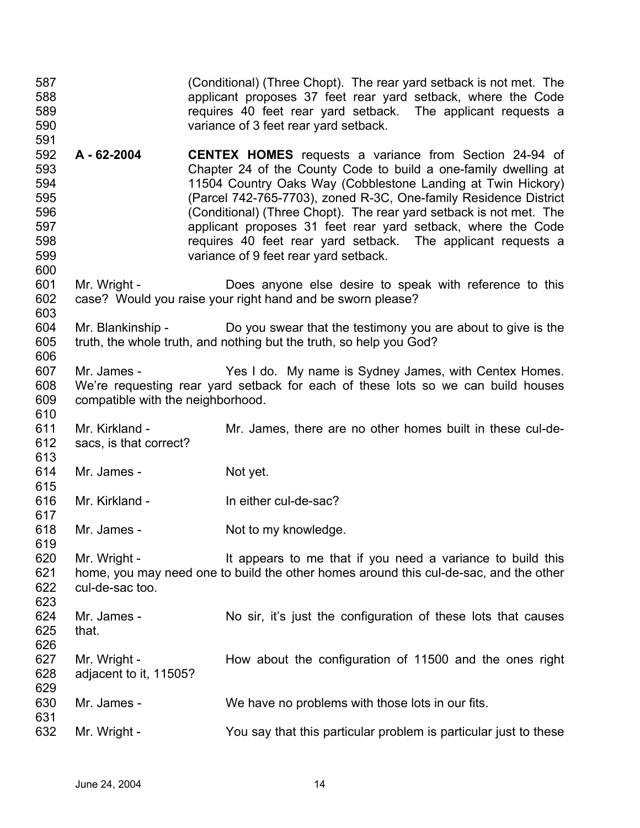587 588 589 590 591 592 593 594 595 596 597 598 599 600 601 602 603 604 605 606 607 608 609 610 611 612 613 614 615 616 617 618 619 620 621 622 623 624 625 626 627 628 629 630 631 632 (Conditional) (Three Chopt). The rear yard setback is not met. The applicant proposes 37 feet rear yard setback, where the Code requires 40 feet rear yard setback. The applicant requests a variance of 3 feet rear yard setback. **A - 62-2004 CENTEX HOMES** requests a variance from Section 24-94 of Chapter 24 of the County Code to build a one-family dwelling at 11504 Country Oaks Way (Cobblestone Landing at Twin Hickory) (Parcel 742-765-7703), zoned R-3C, One-family Residence District (Conditional) (Three Chopt). The rear yard setback is not met. The applicant proposes 31 feet rear yard setback, where the Code requires 40 feet rear yard setback. The applicant requests a variance of 9 feet rear yard setback. Mr. Wright - Does anyone else desire to speak with reference to this case? Would you raise your right hand and be sworn please? Mr. Blankinship - Do you swear that the testimony you are about to give is the truth, the whole truth, and nothing but the truth, so help you God? Mr. James - Yes I do. My name is Sydney James, with Centex Homes. We're requesting rear yard setback for each of these lots so we can build houses compatible with the neighborhood. Mr. Kirkland - Mr. James, there are no other homes built in these cul-desacs, is that correct? Mr. James - Not yet. Mr. Kirkland - In either cul-de-sac? Mr. James - Not to my knowledge. Mr. Wright - It appears to me that if you need a variance to build this home, you may need one to build the other homes around this cul-de-sac, and the other cul-de-sac too. Mr. James - No sir, it's just the configuration of these lots that causes that. Mr. Wright - **How about the configuration of 11500 and the ones right** adjacent to it, 11505? Mr. James - We have no problems with those lots in our fits. Mr. Wright - You say that this particular problem is particular just to these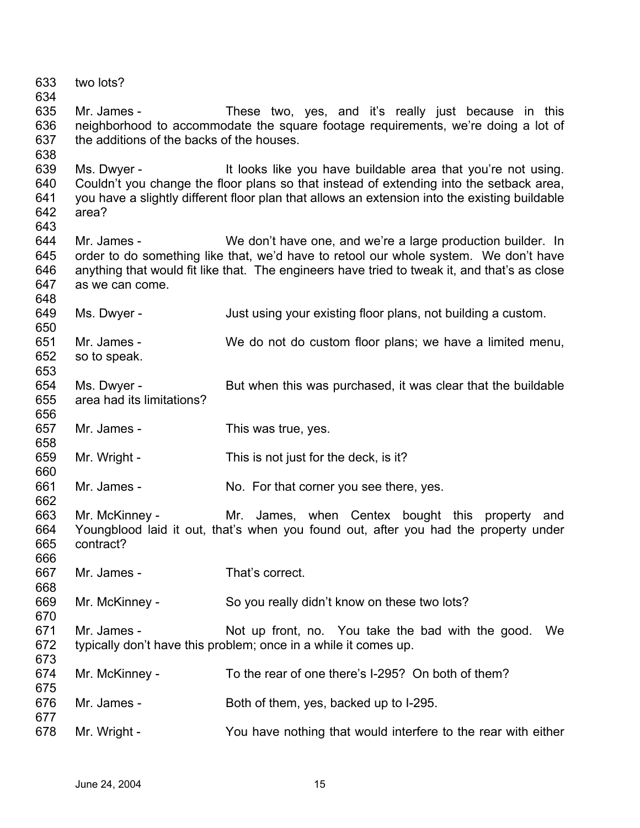633 634 635 636 637 638 639 640 641 642 643 644 645 646 647 648 649 650 651 652 653 654 655 656 657 658 659 660 661 662 663 664 665 666 667 668 669 670 671 672 673 674 675 676 677 678 two lots? Mr. James - These two, yes, and it's really just because in this neighborhood to accommodate the square footage requirements, we're doing a lot of the additions of the backs of the houses. Ms. Dwyer - It looks like you have buildable area that you're not using. Couldn't you change the floor plans so that instead of extending into the setback area, you have a slightly different floor plan that allows an extension into the existing buildable area? Mr. James - We don't have one, and we're a large production builder. In order to do something like that, we'd have to retool our whole system. We don't have anything that would fit like that. The engineers have tried to tweak it, and that's as close as we can come. Ms. Dwyer - Just using your existing floor plans, not building a custom. Mr. James - We do not do custom floor plans; we have a limited menu, so to speak. Ms. Dwyer - But when this was purchased, it was clear that the buildable area had its limitations? Mr. James - This was true, yes. Mr. Wright - This is not just for the deck, is it? Mr. James - No. For that corner you see there, yes. Mr. McKinney - The Mr. James, when Centex bought this property and Youngblood laid it out, that's when you found out, after you had the property under contract? Mr. James - That's correct. Mr. McKinney - So you really didn't know on these two lots? Mr. James - Not up front, no. You take the bad with the good. We typically don't have this problem; once in a while it comes up. Mr. McKinney - To the rear of one there's I-295? On both of them? Mr. James - Both of them, yes, backed up to I-295. Mr. Wright - You have nothing that would interfere to the rear with either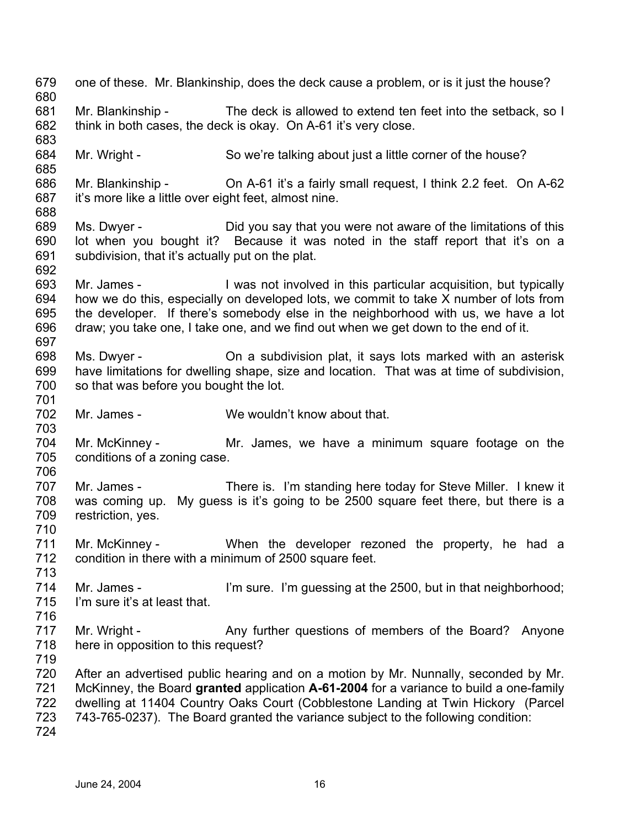679 680 681 682 683 684 685 686 687 688 689 690 691 692 693 694 695 696 697 698 699 700 701 702 703 704 705 706 707 708 709 710 711 712 713 714 715 716 717 718 719 720 721 722 723 724 one of these. Mr. Blankinship, does the deck cause a problem, or is it just the house? Mr. Blankinship - The deck is allowed to extend ten feet into the setback, so I think in both cases, the deck is okay. On A-61 it's very close. Mr. Wright - So we're talking about just a little corner of the house? Mr. Blankinship - Ch A-61 it's a fairly small request, I think 2.2 feet. On A-62 it's more like a little over eight feet, almost nine. Ms. Dwyer - Did you say that you were not aware of the limitations of this lot when you bought it? Because it was noted in the staff report that it's on a subdivision, that it's actually put on the plat. Mr. James - I was not involved in this particular acquisition, but typically how we do this, especially on developed lots, we commit to take X number of lots from the developer. If there's somebody else in the neighborhood with us, we have a lot draw; you take one, I take one, and we find out when we get down to the end of it. Ms. Dwyer - **On a subdivision plat, it says lots marked with an asterisk** have limitations for dwelling shape, size and location. That was at time of subdivision, so that was before you bought the lot. Mr. James - We wouldn't know about that. Mr. McKinney - The Mr. James, we have a minimum square footage on the conditions of a zoning case. Mr. James - There is. I'm standing here today for Steve Miller. I knew it was coming up. My guess is it's going to be 2500 square feet there, but there is a restriction, yes. Mr. McKinney - When the developer rezoned the property, he had a condition in there with a minimum of 2500 square feet. Mr. James - I'm sure. I'm guessing at the 2500, but in that neighborhood; I'm sure it's at least that. Mr. Wright - Any further questions of members of the Board? Anyone here in opposition to this request? After an advertised public hearing and on a motion by Mr. Nunnally, seconded by Mr. McKinney, the Board **granted** application **A-61-2004** for a variance to build a one-family dwelling at 11404 Country Oaks Court (Cobblestone Landing at Twin Hickory (Parcel 743-765-0237). The Board granted the variance subject to the following condition: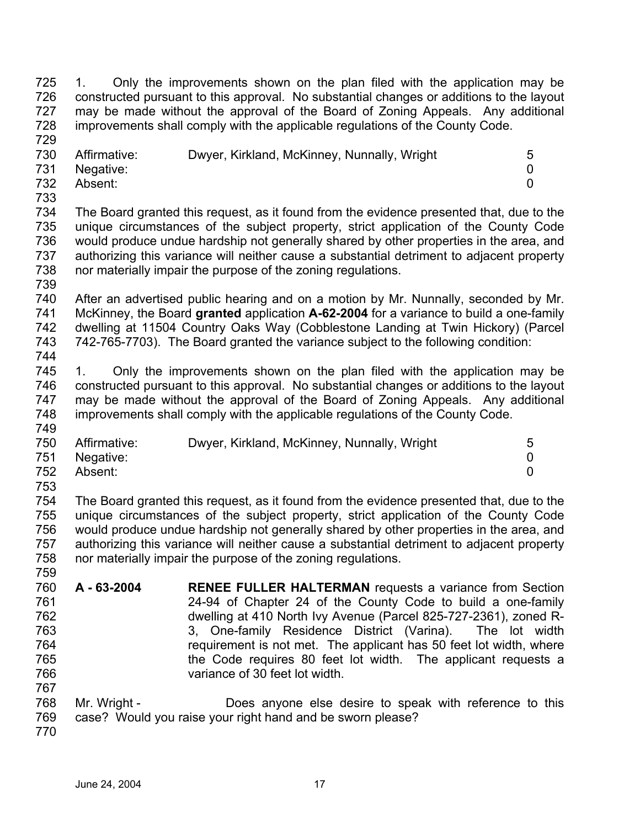725 726 727 728 729 1. Only the improvements shown on the plan filed with the application may be constructed pursuant to this approval. No substantial changes or additions to the layout may be made without the approval of the Board of Zoning Appeals. Any additional improvements shall comply with the applicable regulations of the County Code.

| 730 | Affirmative: | Dwyer, Kirkland, McKinney, Nunnally, Wright | 5 |
|-----|--------------|---------------------------------------------|---|
| 731 | Negative:    |                                             |   |
| 732 | Absent:      |                                             |   |

733

734 735 736 737 738 The Board granted this request, as it found from the evidence presented that, due to the unique circumstances of the subject property, strict application of the County Code would produce undue hardship not generally shared by other properties in the area, and authorizing this variance will neither cause a substantial detriment to adjacent property nor materially impair the purpose of the zoning regulations.

739

740 741 742 743 After an advertised public hearing and on a motion by Mr. Nunnally, seconded by Mr. McKinney, the Board **granted** application **A-62-2004** for a variance to build a one-family dwelling at 11504 Country Oaks Way (Cobblestone Landing at Twin Hickory) (Parcel 742-765-7703). The Board granted the variance subject to the following condition:

744

745 746 747 748 749 1. Only the improvements shown on the plan filed with the application may be constructed pursuant to this approval. No substantial changes or additions to the layout may be made without the approval of the Board of Zoning Appeals. Any additional improvements shall comply with the applicable regulations of the County Code.

| 750 | Affirmative: | Dwyer, Kirkland, McKinney, Nunnally, Wright | 5 |
|-----|--------------|---------------------------------------------|---|
| 751 | Negative:    |                                             |   |
| 752 | Absent:      |                                             |   |
| 753 |              |                                             |   |

754 755 756 757 758 The Board granted this request, as it found from the evidence presented that, due to the unique circumstances of the subject property, strict application of the County Code would produce undue hardship not generally shared by other properties in the area, and authorizing this variance will neither cause a substantial detriment to adjacent property nor materially impair the purpose of the zoning regulations.

- 760 761 762 763 764 765 766 767 **A - 63-2004 RENEE FULLER HALTERMAN** requests a variance from Section 24-94 of Chapter 24 of the County Code to build a one-family dwelling at 410 North Ivy Avenue (Parcel 825-727-2361), zoned R-3, One-family Residence District (Varina). The lot width requirement is not met. The applicant has 50 feet lot width, where the Code requires 80 feet lot width. The applicant requests a variance of 30 feet lot width.
- 768 769 Mr. Wright - **Does anyone else desire to speak with reference to this** case? Would you raise your right hand and be sworn please?

770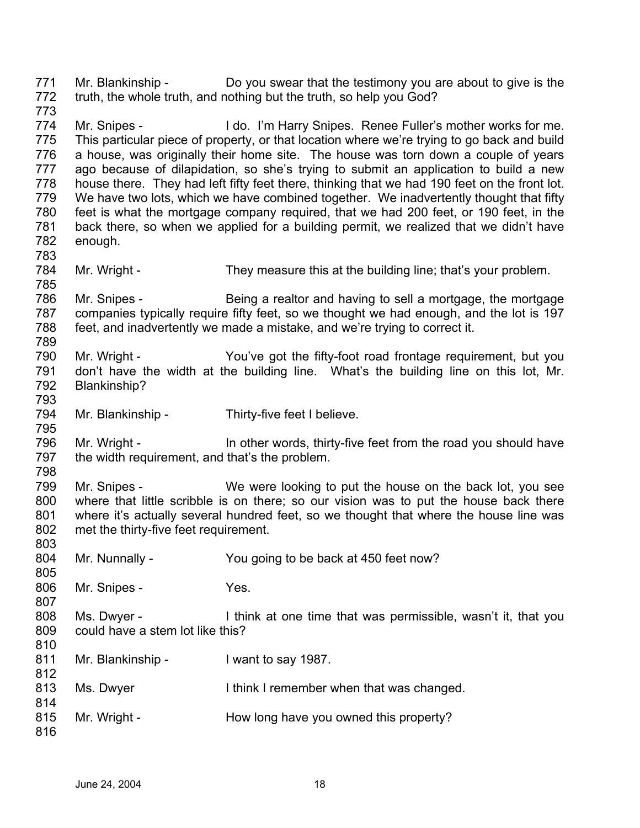771 772 773 Mr. Blankinship - Do you swear that the testimony you are about to give is the truth, the whole truth, and nothing but the truth, so help you God?

774 775 776 777 778 779 780 781 782 Mr. Snipes - I do. I'm Harry Snipes. Renee Fuller's mother works for me. This particular piece of property, or that location where we're trying to go back and build a house, was originally their home site. The house was torn down a couple of years ago because of dilapidation, so she's trying to submit an application to build a new house there. They had left fifty feet there, thinking that we had 190 feet on the front lot. We have two lots, which we have combined together. We inadvertently thought that fifty feet is what the mortgage company required, that we had 200 feet, or 190 feet, in the back there, so when we applied for a building permit, we realized that we didn't have enough.

784 785 Mr. Wright - They measure this at the building line; that's your problem.

786 787 788 789 Mr. Snipes - Being a realtor and having to sell a mortgage, the mortgage companies typically require fifty feet, so we thought we had enough, and the lot is 197 feet, and inadvertently we made a mistake, and we're trying to correct it.

- 790 791 792 Mr. Wright - You've got the fifty-foot road frontage requirement, but you don't have the width at the building line. What's the building line on this lot, Mr. Blankinship?
- 794 Mr. Blankinship - Thirty-five feet I believe.

796 797 798 Mr. Wright - In other words, thirty-five feet from the road you should have the width requirement, and that's the problem.

799 800 801 802 Mr. Snipes - We were looking to put the house on the back lot, you see where that little scribble is on there; so our vision was to put the house back there where it's actually several hundred feet, so we thought that where the house line was met the thirty-five feet requirement.

804 Mr. Nunnally - You going to be back at 450 feet now?

806 Mr. Snipes - Yes.

783

793

795

803

805

807

814

816

808 809 810 Ms. Dwyer - I think at one time that was permissible, wasn't it, that you could have a stem lot like this?

- 811 812 Mr. Blankinship - I want to say 1987.
- 813 Ms. Dwyer I think I remember when that was changed.
- 815 Mr. Wright - How long have you owned this property?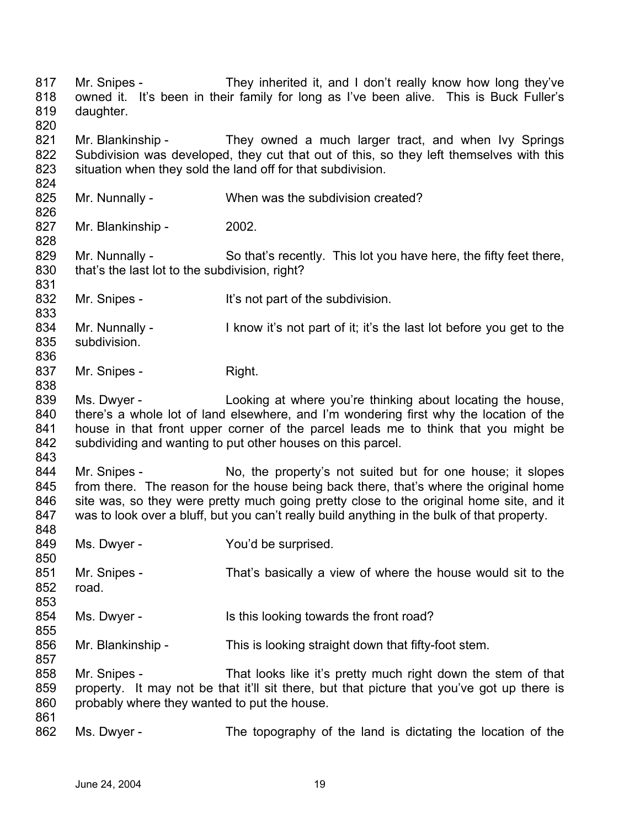817 818 819 820 821 822 823 824 825 826 827 828 829 830 831 832 833 834 835 836 837 838 839 840 841 842 843 844 845 846 847 848 849 850 851 852 853 854 855 856 857 858 859 860 861 862 Mr. Snipes - They inherited it, and I don't really know how long they've owned it. It's been in their family for long as I've been alive. This is Buck Fuller's daughter. Mr. Blankinship - They owned a much larger tract, and when Ivy Springs Subdivision was developed, they cut that out of this, so they left themselves with this situation when they sold the land off for that subdivision. Mr. Nunnally - When was the subdivision created? Mr. Blankinship - 2002. Mr. Nunnally - So that's recently. This lot you have here, the fifty feet there, that's the last lot to the subdivision, right? Mr. Snipes - It's not part of the subdivision. Mr. Nunnally - I know it's not part of it; it's the last lot before you get to the subdivision. Mr. Snipes - Right. Ms. Dwyer - Looking at where you're thinking about locating the house, there's a whole lot of land elsewhere, and I'm wondering first why the location of the house in that front upper corner of the parcel leads me to think that you might be subdividing and wanting to put other houses on this parcel. Mr. Snipes - No, the property's not suited but for one house; it slopes from there. The reason for the house being back there, that's where the original home site was, so they were pretty much going pretty close to the original home site, and it was to look over a bluff, but you can't really build anything in the bulk of that property. Ms. Dwyer - The You'd be surprised. Mr. Snipes - That's basically a view of where the house would sit to the road. Ms. Dwyer - Is this looking towards the front road? Mr. Blankinship - This is looking straight down that fifty-foot stem. Mr. Snipes - That looks like it's pretty much right down the stem of that property. It may not be that it'll sit there, but that picture that you've got up there is probably where they wanted to put the house. Ms. Dwyer - The topography of the land is dictating the location of the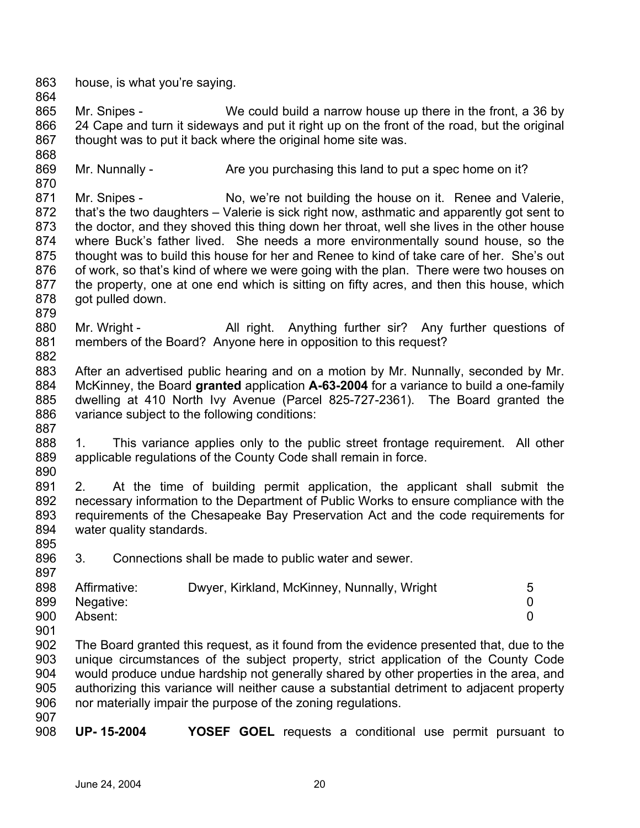- 863 864 house, is what you're saying.
- 865 866 867 Mr. Snipes - We could build a narrow house up there in the front, a 36 by 24 Cape and turn it sideways and put it right up on the front of the road, but the original thought was to put it back where the original home site was.
- 869 Mr. Nunnally - Are you purchasing this land to put a spec home on it?
- 870

868

- 871 872 873 874 875 876 877 878 Mr. Snipes - No, we're not building the house on it. Renee and Valerie, that's the two daughters – Valerie is sick right now, asthmatic and apparently got sent to the doctor, and they shoved this thing down her throat, well she lives in the other house where Buck's father lived. She needs a more environmentally sound house, so the thought was to build this house for her and Renee to kind of take care of her. She's out of work, so that's kind of where we were going with the plan. There were two houses on the property, one at one end which is sitting on fifty acres, and then this house, which got pulled down.
- 879
- 880 881 882 Mr. Wright - All right. Anything further sir? Any further questions of members of the Board? Anyone here in opposition to this request?
- 883 884 885 886 After an advertised public hearing and on a motion by Mr. Nunnally, seconded by Mr. McKinney, the Board **granted** application **A-63-2004** for a variance to build a one-family dwelling at 410 North Ivy Avenue (Parcel 825-727-2361). The Board granted the variance subject to the following conditions:
- 888 889 1. This variance applies only to the public street frontage requirement. All other applicable regulations of the County Code shall remain in force.
- 890

887

891 892 893 894 2. At the time of building permit application, the applicant shall submit the necessary information to the Department of Public Works to ensure compliance with the requirements of the Chesapeake Bay Preservation Act and the code requirements for water quality standards.

895

896 897 3. Connections shall be made to public water and sewer.

| 898 | Affirmative:  | Dwyer, Kirkland, McKinney, Nunnally, Wright | 5 |
|-----|---------------|---------------------------------------------|---|
|     | 899 Negative: |                                             |   |
| 900 | Absent:       |                                             |   |
| 901 |               |                                             |   |

902 903 904 905 906 The Board granted this request, as it found from the evidence presented that, due to the unique circumstances of the subject property, strict application of the County Code would produce undue hardship not generally shared by other properties in the area, and authorizing this variance will neither cause a substantial detriment to adjacent property nor materially impair the purpose of the zoning regulations.

- 907
- 908 **UP- 15-2004 YOSEF GOEL** requests a conditional use permit pursuant to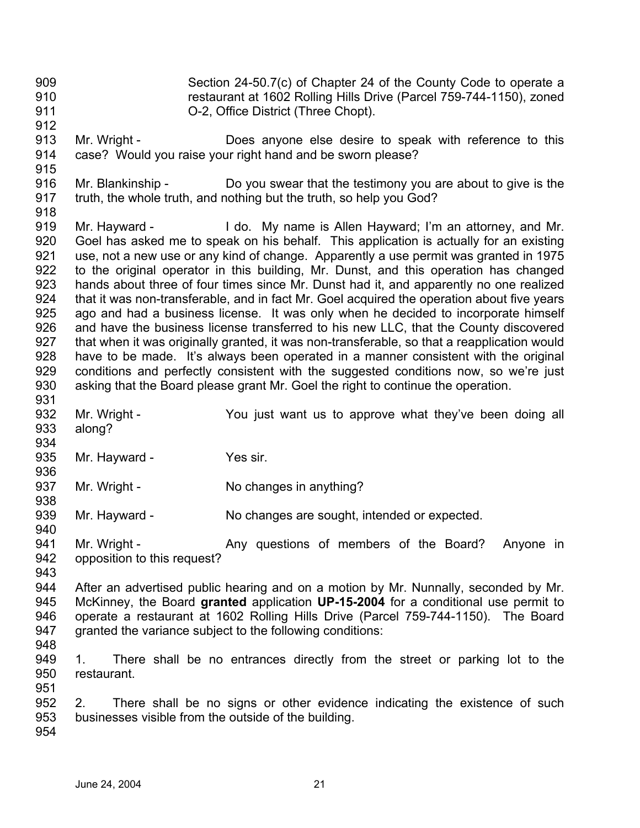909 910 911 912 913 914 915 916 917 918 919 920 921 922 Section 24-50.7(c) of Chapter 24 of the County Code to operate a restaurant at 1602 Rolling Hills Drive (Parcel 759-744-1150), zoned O-2, Office District (Three Chopt). Mr. Wright - **Does anyone else desire to speak with reference to this** case? Would you raise your right hand and be sworn please? Mr. Blankinship - Do you swear that the testimony you are about to give is the truth, the whole truth, and nothing but the truth, so help you God? Mr. Hayward - The I do. My name is Allen Hayward; I'm an attorney, and Mr. Goel has asked me to speak on his behalf. This application is actually for an existing

923 924 925 926 927 928 929 930 use, not a new use or any kind of change. Apparently a use permit was granted in 1975 to the original operator in this building, Mr. Dunst, and this operation has changed hands about three of four times since Mr. Dunst had it, and apparently no one realized that it was non-transferable, and in fact Mr. Goel acquired the operation about five years ago and had a business license. It was only when he decided to incorporate himself and have the business license transferred to his new LLC, that the County discovered that when it was originally granted, it was non-transferable, so that a reapplication would have to be made. It's always been operated in a manner consistent with the original conditions and perfectly consistent with the suggested conditions now, so we're just asking that the Board please grant Mr. Goel the right to continue the operation.

- 932 933 Mr. Wright - The You just want us to approve what they've been doing all along?
- 934

931

935 936

938

- Mr. Hayward Yes sir.
- 937 Mr. Wright - No changes in anything?
- 939 940 Mr. Hayward - No changes are sought, intended or expected.
- 941 942 Mr. Wright - The Any questions of members of the Board? Anyone in opposition to this request?
- 943

944 945 946 947 After an advertised public hearing and on a motion by Mr. Nunnally, seconded by Mr. McKinney, the Board **granted** application **UP-15-2004** for a conditional use permit to operate a restaurant at 1602 Rolling Hills Drive (Parcel 759-744-1150). The Board granted the variance subject to the following conditions:

- 948
- 949 950 951 1. There shall be no entrances directly from the street or parking lot to the restaurant.

952 953 2. There shall be no signs or other evidence indicating the existence of such businesses visible from the outside of the building.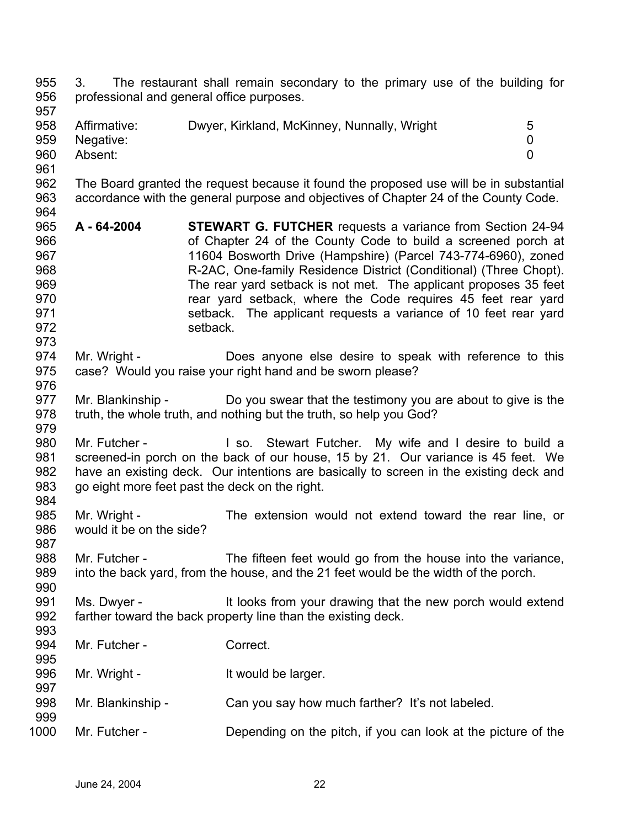955 956 957 958 959 960 961 962 963 964 965 966 967 968 969 970 971 972 973 974 975 976 977 978 979 980 981 982 983 984 985 986 987 988 989 990 991 992 993 994 995 996 997 998 999 1000 3. The restaurant shall remain secondary to the primary use of the building for professional and general office purposes. Affirmative: Dwyer, Kirkland, McKinney, Nunnally, Wright 5 Negative: 0 Absent: 0 The Board granted the request because it found the proposed use will be in substantial accordance with the general purpose and objectives of Chapter 24 of the County Code. **A - 64-2004 STEWART G. FUTCHER** requests a variance from Section 24-94 of Chapter 24 of the County Code to build a screened porch at 11604 Bosworth Drive (Hampshire) (Parcel 743-774-6960), zoned R-2AC, One-family Residence District (Conditional) (Three Chopt). The rear yard setback is not met. The applicant proposes 35 feet rear yard setback, where the Code requires 45 feet rear yard setback. The applicant requests a variance of 10 feet rear yard setback. Mr. Wright - **Does anyone else desire to speak with reference to this** case? Would you raise your right hand and be sworn please? Mr. Blankinship - Do you swear that the testimony you are about to give is the truth, the whole truth, and nothing but the truth, so help you God? Mr. Futcher - The Stewart Futcher. My wife and I desire to build a screened-in porch on the back of our house, 15 by 21. Our variance is 45 feet. We have an existing deck. Our intentions are basically to screen in the existing deck and go eight more feet past the deck on the right. Mr. Wright - The extension would not extend toward the rear line, or would it be on the side? Mr. Futcher - The fifteen feet would go from the house into the variance, into the back yard, from the house, and the 21 feet would be the width of the porch. Ms. Dwyer - The It looks from your drawing that the new porch would extend farther toward the back property line than the existing deck. Mr. Futcher - Correct. Mr. Wright - The Muslim School and Human It would be larger. Mr. Blankinship - Can you say how much farther? It's not labeled. Mr. Futcher - Depending on the pitch, if you can look at the picture of the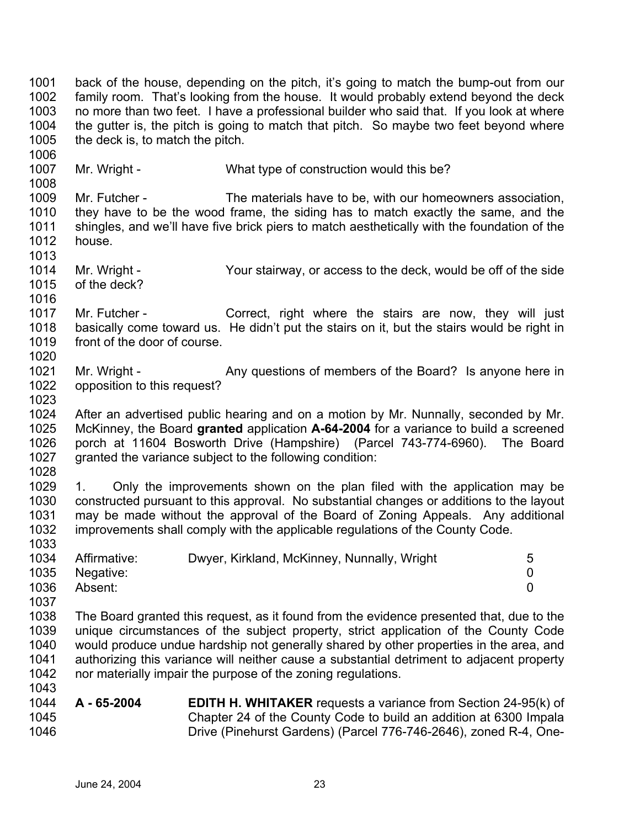1007 1008 1009 1010 1011 1012 1013 1014 1015 1016 1017 1018 1019 1020 1021 1022 1023 1024 1025 1026 1027 1028 1029 1030 1031 1032 1033 1034 1035 1036 1037 1038 1039 1040 1041 1042 1043 1044 Mr. Wright - What type of construction would this be? Mr. Futcher - The materials have to be, with our homeowners association, they have to be the wood frame, the siding has to match exactly the same, and the shingles, and we'll have five brick piers to match aesthetically with the foundation of the house. Mr. Wright - Your stairway, or access to the deck, would be off of the side of the deck? Mr. Futcher - Correct, right where the stairs are now, they will just basically come toward us. He didn't put the stairs on it, but the stairs would be right in front of the door of course. Mr. Wright - Any questions of members of the Board? Is anyone here in opposition to this request? After an advertised public hearing and on a motion by Mr. Nunnally, seconded by Mr. McKinney, the Board **granted** application **A-64-2004** for a variance to build a screened porch at 11604 Bosworth Drive (Hampshire) (Parcel 743-774-6960). The Board granted the variance subject to the following condition: 1. Only the improvements shown on the plan filed with the application may be constructed pursuant to this approval. No substantial changes or additions to the layout may be made without the approval of the Board of Zoning Appeals. Any additional improvements shall comply with the applicable regulations of the County Code. Affirmative: Dwyer, Kirkland, McKinney, Nunnally, Wright 5 Negative: 0 Absent: 0 The Board granted this request, as it found from the evidence presented that, due to the unique circumstances of the subject property, strict application of the County Code would produce undue hardship not generally shared by other properties in the area, and authorizing this variance will neither cause a substantial detriment to adjacent property nor materially impair the purpose of the zoning regulations. **A - 65-2004 EDITH H. WHITAKER** requests a variance from Section 24-95(k) of

back of the house, depending on the pitch, it's going to match the bump-out from our family room. That's looking from the house. It would probably extend beyond the deck no more than two feet. I have a professional builder who said that. If you look at where the gutter is, the pitch is going to match that pitch. So maybe two feet beyond where

1045 1046 Chapter 24 of the County Code to build an addition at 6300 Impala Drive (Pinehurst Gardens) (Parcel 776-746-2646), zoned R-4, One-

the deck is, to match the pitch.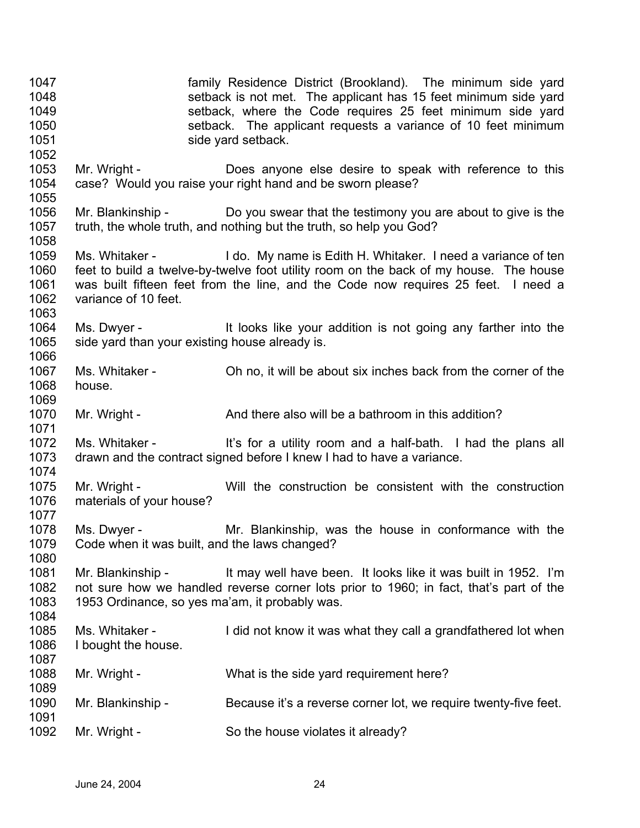1047 1048 1049 1050 1051 1052 1053 1054 1055 1056 1057 1058 1059 1060 1061 1062 1063 1064 1065 1066 1067 1068 1069 1070 1071 1072 1073 1074 1075 1076 1077 1078 1079 1080 1081 1082 1083 1084 1085 1086 1087 1088 1089 1090 1091 1092 family Residence District (Brookland). The minimum side yard setback is not met. The applicant has 15 feet minimum side yard setback, where the Code requires 25 feet minimum side yard setback. The applicant requests a variance of 10 feet minimum side yard setback. Mr. Wright - The Does anyone else desire to speak with reference to this case? Would you raise your right hand and be sworn please? Mr. Blankinship - Do you swear that the testimony you are about to give is the truth, the whole truth, and nothing but the truth, so help you God? Ms. Whitaker - I do. My name is Edith H. Whitaker. I need a variance of ten feet to build a twelve-by-twelve foot utility room on the back of my house. The house was built fifteen feet from the line, and the Code now requires 25 feet. I need a variance of 10 feet. Ms. Dwyer - It looks like your addition is not going any farther into the side yard than your existing house already is. Ms. Whitaker - Oh no, it will be about six inches back from the corner of the house. Mr. Wright - And there also will be a bathroom in this addition? Ms. Whitaker - It's for a utility room and a half-bath. I had the plans all drawn and the contract signed before I knew I had to have a variance. Mr. Wright - Will the construction be consistent with the construction materials of your house? Ms. Dwyer - The Mr. Blankinship, was the house in conformance with the Code when it was built, and the laws changed? Mr. Blankinship - It may well have been. It looks like it was built in 1952. I'm not sure how we handled reverse corner lots prior to 1960; in fact, that's part of the 1953 Ordinance, so yes ma'am, it probably was. Ms. Whitaker - I did not know it was what they call a grandfathered lot when I bought the house. Mr. Wright - What is the side yard requirement here? Mr. Blankinship - Because it's a reverse corner lot, we require twenty-five feet. Mr. Wright - So the house violates it already?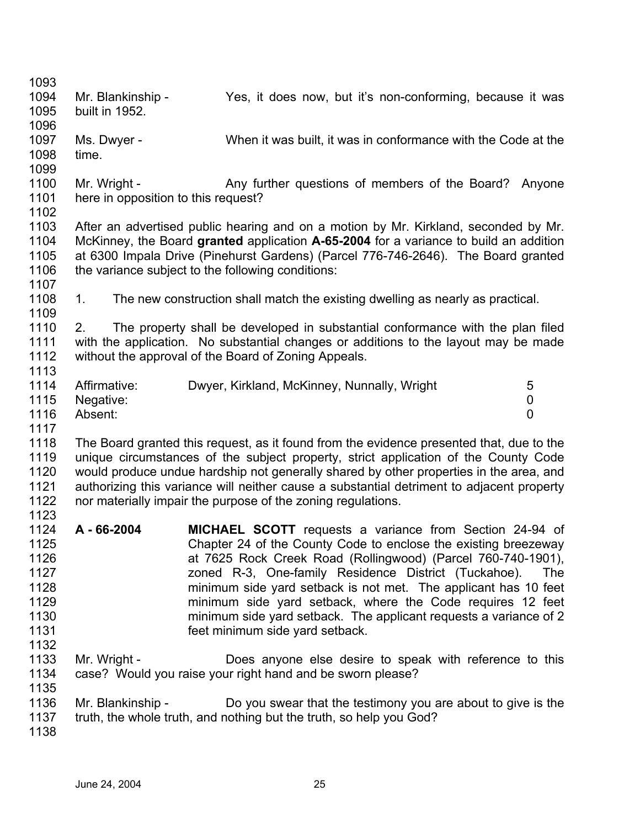| 1093 |                                     |                                                                                           |                |
|------|-------------------------------------|-------------------------------------------------------------------------------------------|----------------|
| 1094 | Mr. Blankinship -                   | Yes, it does now, but it's non-conforming, because it was                                 |                |
| 1095 | built in 1952.                      |                                                                                           |                |
| 1096 |                                     |                                                                                           |                |
| 1097 | Ms. Dwyer -                         | When it was built, it was in conformance with the Code at the                             |                |
| 1098 | time.                               |                                                                                           |                |
| 1099 |                                     |                                                                                           |                |
| 1100 | Mr. Wright -                        | Any further questions of members of the Board? Anyone                                     |                |
| 1101 | here in opposition to this request? |                                                                                           |                |
| 1102 |                                     |                                                                                           |                |
| 1103 |                                     | After an advertised public hearing and on a motion by Mr. Kirkland, seconded by Mr.       |                |
| 1104 |                                     | McKinney, the Board granted application A-65-2004 for a variance to build an addition     |                |
| 1105 |                                     | at 6300 Impala Drive (Pinehurst Gardens) (Parcel 776-746-2646). The Board granted         |                |
| 1106 |                                     | the variance subject to the following conditions:                                         |                |
| 1107 |                                     |                                                                                           |                |
| 1108 | 1.                                  | The new construction shall match the existing dwelling as nearly as practical.            |                |
| 1109 |                                     |                                                                                           |                |
| 1110 | 2.                                  | The property shall be developed in substantial conformance with the plan filed            |                |
| 1111 |                                     | with the application. No substantial changes or additions to the layout may be made       |                |
| 1112 |                                     | without the approval of the Board of Zoning Appeals.                                      |                |
| 1113 |                                     |                                                                                           |                |
| 1114 | Affirmative:                        | Dwyer, Kirkland, McKinney, Nunnally, Wright                                               | 5              |
| 1115 | Negative:                           |                                                                                           | 0              |
| 1116 | Absent:                             |                                                                                           | $\overline{0}$ |
| 1117 |                                     |                                                                                           |                |
| 1118 |                                     | The Board granted this request, as it found from the evidence presented that, due to the  |                |
| 1119 |                                     | unique circumstances of the subject property, strict application of the County Code       |                |
| 1120 |                                     | would produce undue hardship not generally shared by other properties in the area, and    |                |
| 1121 |                                     | authorizing this variance will neither cause a substantial detriment to adjacent property |                |
| 1122 |                                     | nor materially impair the purpose of the zoning regulations.                              |                |
| 1123 |                                     |                                                                                           |                |
| 1124 | A - 66-2004                         | <b>MICHAEL SCOTT</b> requests a variance from Section 24-94 of                            |                |
| 1125 |                                     | Chapter 24 of the County Code to enclose the existing breezeway                           |                |
| 1126 |                                     | at 7625 Rock Creek Road (Rollingwood) (Parcel 760-740-1901),                              |                |
| 1127 |                                     | zoned R-3, One-family Residence District (Tuckahoe).                                      | <b>The</b>     |
| 1128 |                                     | minimum side yard setback is not met. The applicant has 10 feet                           |                |
| 1129 |                                     | minimum side yard setback, where the Code requires 12 feet                                |                |
| 1130 |                                     | minimum side yard setback. The applicant requests a variance of 2                         |                |
| 1131 |                                     | feet minimum side yard setback.                                                           |                |
| 1132 |                                     |                                                                                           |                |
| 1133 | Mr. Wright -                        | Does anyone else desire to speak with reference to this                                   |                |
| 1134 |                                     | case? Would you raise your right hand and be sworn please?                                |                |
| 1135 |                                     |                                                                                           |                |
| 1136 | Mr. Blankinship -                   | Do you swear that the testimony you are about to give is the                              |                |
| 1137 |                                     | truth, the whole truth, and nothing but the truth, so help you God?                       |                |
| 1138 |                                     |                                                                                           |                |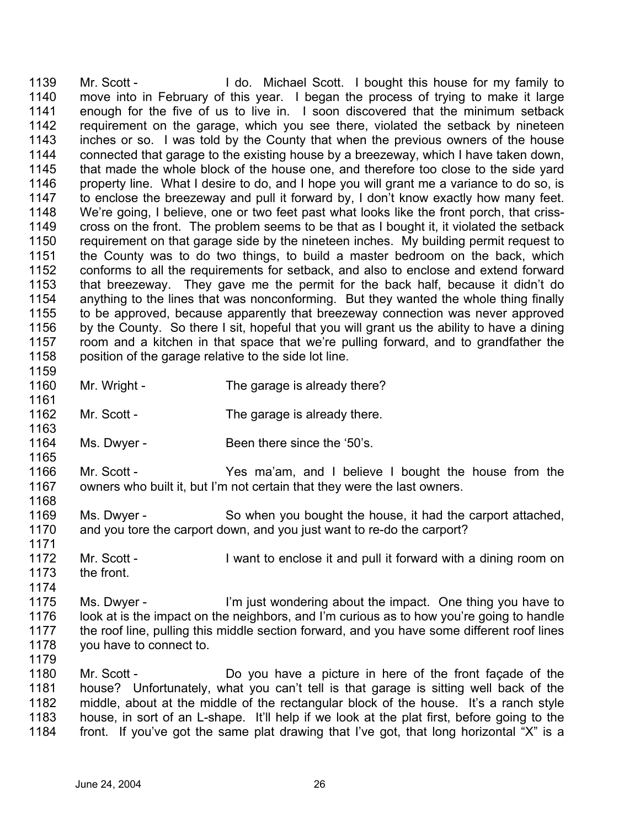1139 1140 1141 1142 1143 1144 1145 1146 1147 1148 1149 1150 1151 1152 1153 1154 1155 1156 1157 1158 1159 Mr. Scott - I do. Michael Scott. I bought this house for my family to move into in February of this year. I began the process of trying to make it large enough for the five of us to live in. I soon discovered that the minimum setback requirement on the garage, which you see there, violated the setback by nineteen inches or so. I was told by the County that when the previous owners of the house connected that garage to the existing house by a breezeway, which I have taken down, that made the whole block of the house one, and therefore too close to the side yard property line. What I desire to do, and I hope you will grant me a variance to do so, is to enclose the breezeway and pull it forward by, I don't know exactly how many feet. We're going, I believe, one or two feet past what looks like the front porch, that crisscross on the front. The problem seems to be that as I bought it, it violated the setback requirement on that garage side by the nineteen inches. My building permit request to the County was to do two things, to build a master bedroom on the back, which conforms to all the requirements for setback, and also to enclose and extend forward that breezeway. They gave me the permit for the back half, because it didn't do anything to the lines that was nonconforming. But they wanted the whole thing finally to be approved, because apparently that breezeway connection was never approved by the County. So there I sit, hopeful that you will grant us the ability to have a dining room and a kitchen in that space that we're pulling forward, and to grandfather the position of the garage relative to the side lot line.

- 1160 Mr. Wright - The garage is already there?
- 1162 Mr. Scott - The garage is already there.
- 1164 Ms. Dwyer - Been there since the '50's.
- 1166 1167 1168 Mr. Scott - Yes ma'am, and I believe I bought the house from the owners who built it, but I'm not certain that they were the last owners.
- 1169 1170 Ms. Dwyer - So when you bought the house, it had the carport attached, and you tore the carport down, and you just want to re-do the carport?
- 1171 1172 1173 Mr. Scott - I want to enclose it and pull it forward with a dining room on the front.
- 1174 1175 1176 1177 1178 Ms. Dwyer - I'm just wondering about the impact. One thing you have to look at is the impact on the neighbors, and I'm curious as to how you're going to handle the roof line, pulling this middle section forward, and you have some different roof lines you have to connect to.
- 1179

1161

1163

1165

1180 1181 1182 1183 1184 Mr. Scott - Do you have a picture in here of the front façade of the house? Unfortunately, what you can't tell is that garage is sitting well back of the middle, about at the middle of the rectangular block of the house. It's a ranch style house, in sort of an L-shape. It'll help if we look at the plat first, before going to the front. If you've got the same plat drawing that I've got, that long horizontal "X" is a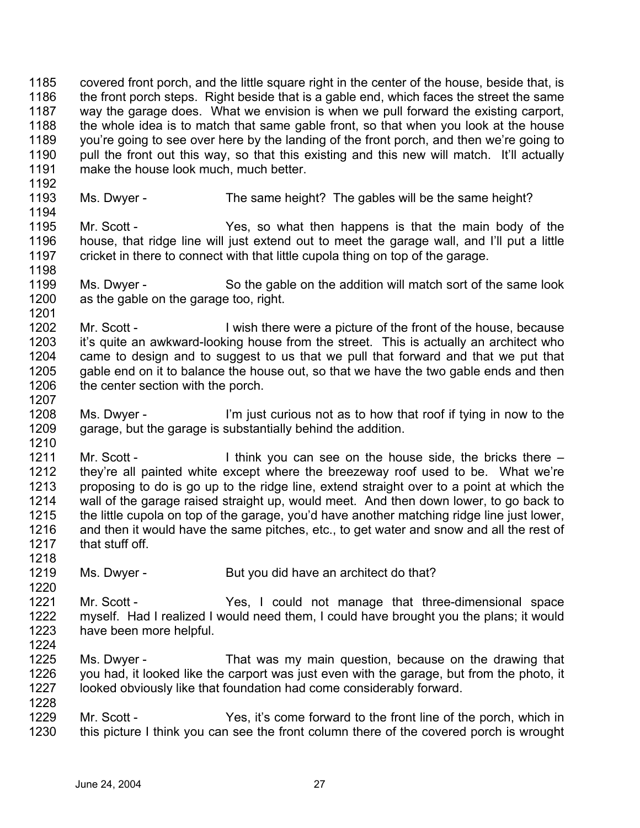1185 1186 1187 1188 1189 1190 1191 1192 covered front porch, and the little square right in the center of the house, beside that, is the front porch steps. Right beside that is a gable end, which faces the street the same way the garage does. What we envision is when we pull forward the existing carport, the whole idea is to match that same gable front, so that when you look at the house you're going to see over here by the landing of the front porch, and then we're going to pull the front out this way, so that this existing and this new will match. It'll actually make the house look much, much better.

- 1193 1194 Ms. Dwyer - The same height? The gables will be the same height?
- 1195 1196 1197 1198 Mr. Scott - The Yes, so what then happens is that the main body of the house, that ridge line will just extend out to meet the garage wall, and I'll put a little cricket in there to connect with that little cupola thing on top of the garage.
- 1199 1200 1201 Ms. Dwyer - So the gable on the addition will match sort of the same look as the gable on the garage too, right.
- 1202 1203 1204 1205 1206 Mr. Scott - I wish there were a picture of the front of the house, because it's quite an awkward-looking house from the street. This is actually an architect who came to design and to suggest to us that we pull that forward and that we put that gable end on it to balance the house out, so that we have the two gable ends and then the center section with the porch.
- 1208 1209 1210 Ms. Dwyer - I'm just curious not as to how that roof if tying in now to the garage, but the garage is substantially behind the addition.
- 1211 1212 1213 1214 1215 1216 1217 Mr. Scott - I think you can see on the house side, the bricks there – they're all painted white except where the breezeway roof used to be. What we're proposing to do is go up to the ridge line, extend straight over to a point at which the wall of the garage raised straight up, would meet. And then down lower, to go back to the little cupola on top of the garage, you'd have another matching ridge line just lower, and then it would have the same pitches, etc., to get water and snow and all the rest of that stuff off.
- 1219 Ms. Dwyer - But you did have an architect do that?
- 1221 1222 1223 1224 Mr. Scott - The Yes, I could not manage that three-dimensional space myself. Had I realized I would need them, I could have brought you the plans; it would have been more helpful.
- 1225 1226 1227 1228 Ms. Dwyer - That was my main question, because on the drawing that you had, it looked like the carport was just even with the garage, but from the photo, it looked obviously like that foundation had come considerably forward.
- 1229 1230 Mr. Scott - Yes, it's come forward to the front line of the porch, which in this picture I think you can see the front column there of the covered porch is wrought

1207

1218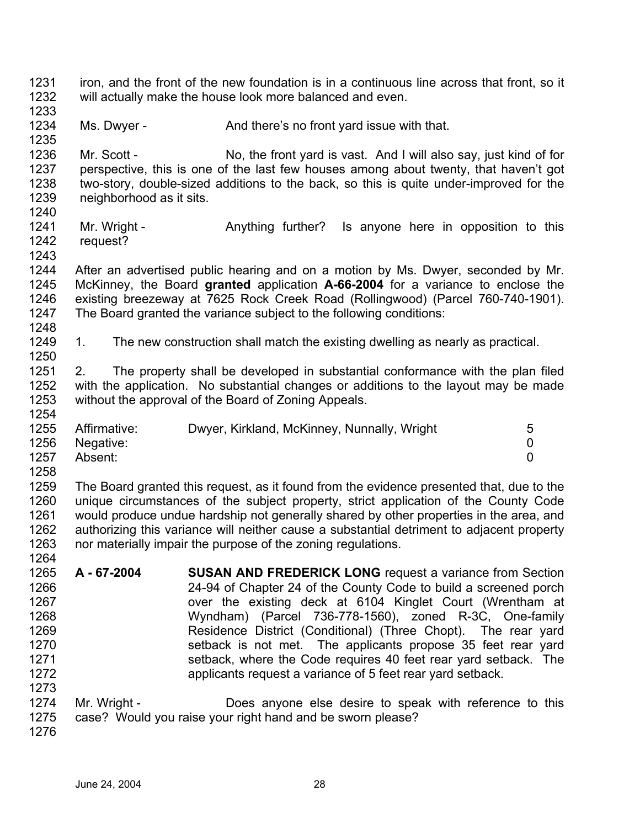1231 1232 iron, and the front of the new foundation is in a continuous line across that front, so it will actually make the house look more balanced and even.

1233 1234 Ms. Dwyer - And there's no front yard issue with that.

1236 1237 1238 1239 1240 Mr. Scott - No, the front yard is vast. And I will also say, just kind of for perspective, this is one of the last few houses among about twenty, that haven't got two-story, double-sized additions to the back, so this is quite under-improved for the neighborhood as it sits.

1241 1242 Mr. Wright - Anything further? Is anyone here in opposition to this request?

1243

1235

1244 1245 1246 1247 1248 After an advertised public hearing and on a motion by Ms. Dwyer, seconded by Mr. McKinney, the Board **granted** application **A-66-2004** for a variance to enclose the existing breezeway at 7625 Rock Creek Road (Rollingwood) (Parcel 760-740-1901). The Board granted the variance subject to the following conditions:

1249 1250 1. The new construction shall match the existing dwelling as nearly as practical.

1251 1252 1253 1254 2. The property shall be developed in substantial conformance with the plan filed with the application. No substantial changes or additions to the layout may be made without the approval of the Board of Zoning Appeals.

| 1255 | Affirmative: | Dwyer, Kirkland, McKinney, Nunnally, Wright | 5 |
|------|--------------|---------------------------------------------|---|
| 1256 | Negative:    |                                             |   |
| 1257 | Absent:      |                                             |   |
| 1258 |              |                                             |   |

1259 1260 1261 1262 1263 The Board granted this request, as it found from the evidence presented that, due to the unique circumstances of the subject property, strict application of the County Code would produce undue hardship not generally shared by other properties in the area, and authorizing this variance will neither cause a substantial detriment to adjacent property nor materially impair the purpose of the zoning regulations.

- 1265 1266 1267 1268 1269 1270 1271 1272 1273 **A - 67-2004 SUSAN AND FREDERICK LONG** request a variance from Section 24-94 of Chapter 24 of the County Code to build a screened porch over the existing deck at 6104 Kinglet Court (Wrentham at Wyndham) (Parcel 736-778-1560), zoned R-3C, One-family Residence District (Conditional) (Three Chopt). The rear yard setback is not met. The applicants propose 35 feet rear vard setback, where the Code requires 40 feet rear yard setback. The applicants request a variance of 5 feet rear yard setback.
- 1274 1275 Mr. Wright - **Does anyone else desire to speak with reference to this** case? Would you raise your right hand and be sworn please?

1276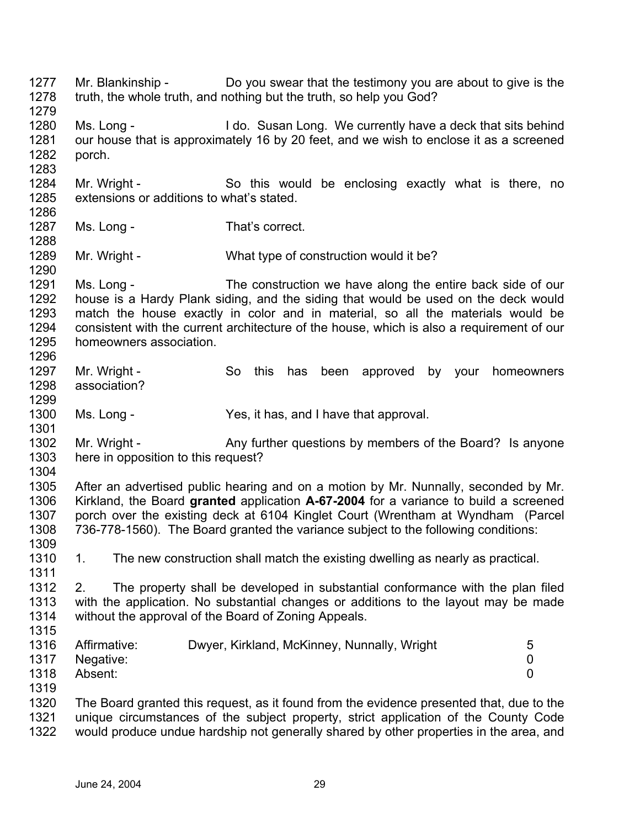1277 1278 1279 1280 1281 1282 1283 1284 1285 1286 1287 1288 1289 1290 1291 1292 1293 1294 1295 1296 1297 1298 1299 1300 1301 1302 1303 1304 1305 1306 1307 1308 1309 1310 1311 1312 1313 1314 1315 1316 1317 1318 1319 1320 1321 1322 Mr. Blankinship - Do you swear that the testimony you are about to give is the truth, the whole truth, and nothing but the truth, so help you God? Ms. Long - The I do. Susan Long. We currently have a deck that sits behind our house that is approximately 16 by 20 feet, and we wish to enclose it as a screened porch. Mr. Wright - So this would be enclosing exactly what is there, no extensions or additions to what's stated. Ms. Long - That's correct. Mr. Wright - What type of construction would it be? Ms. Long - The construction we have along the entire back side of our house is a Hardy Plank siding, and the siding that would be used on the deck would match the house exactly in color and in material, so all the materials would be consistent with the current architecture of the house, which is also a requirement of our homeowners association. Mr. Wright - So this has been approved by your homeowners association? Ms. Long - The Yes, it has, and I have that approval. Mr. Wright - Any further questions by members of the Board? Is anyone here in opposition to this request? After an advertised public hearing and on a motion by Mr. Nunnally, seconded by Mr. Kirkland, the Board **granted** application **A-67-2004** for a variance to build a screened porch over the existing deck at 6104 Kinglet Court (Wrentham at Wyndham (Parcel 736-778-1560). The Board granted the variance subject to the following conditions: 1. The new construction shall match the existing dwelling as nearly as practical. 2. The property shall be developed in substantial conformance with the plan filed with the application. No substantial changes or additions to the layout may be made without the approval of the Board of Zoning Appeals. Affirmative: Dwyer, Kirkland, McKinney, Nunnally, Wright 5 Negative: 0 Absent: 0 The Board granted this request, as it found from the evidence presented that, due to the unique circumstances of the subject property, strict application of the County Code would produce undue hardship not generally shared by other properties in the area, and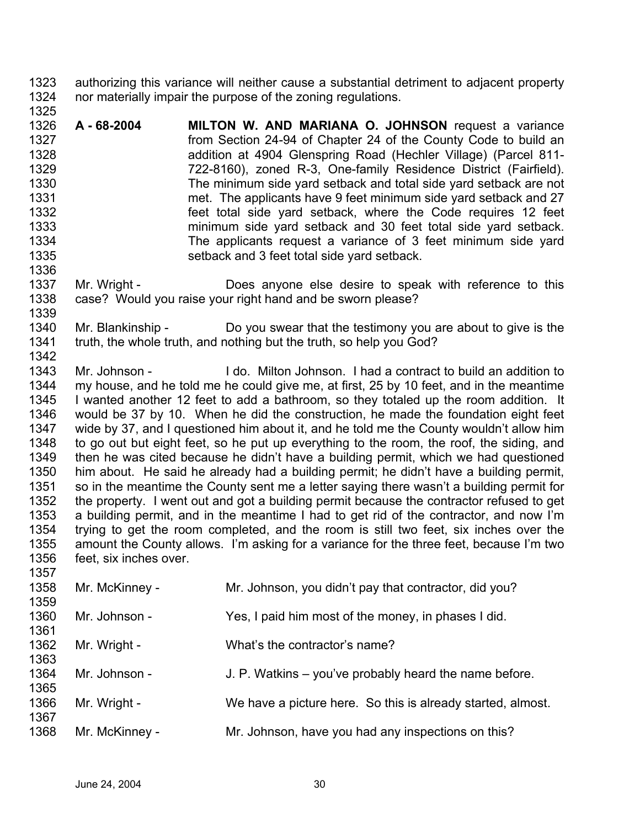1323 1324 authorizing this variance will neither cause a substantial detriment to adjacent property nor materially impair the purpose of the zoning regulations.

- 1326 1327 1328 1329 1330 1331 1332 1333 1334 1335 1336 **A - 68-2004 MILTON W. AND MARIANA O. JOHNSON** request a variance from Section 24-94 of Chapter 24 of the County Code to build an addition at 4904 Glenspring Road (Hechler Village) (Parcel 811- 722-8160), zoned R-3, One-family Residence District (Fairfield). The minimum side yard setback and total side yard setback are not met. The applicants have 9 feet minimum side yard setback and 27 feet total side yard setback, where the Code requires 12 feet minimum side yard setback and 30 feet total side yard setback. The applicants request a variance of 3 feet minimum side yard setback and 3 feet total side yard setback.
- 1337 1338 Mr. Wright - Does anyone else desire to speak with reference to this case? Would you raise your right hand and be sworn please?
- 1340 1341 1342 Mr. Blankinship - Do you swear that the testimony you are about to give is the truth, the whole truth, and nothing but the truth, so help you God?
- 1343 1344 1345 1346 1347 1348 1349 1350 1351 1352 1353 1354 1355 1356 Mr. Johnson - I do. Milton Johnson. I had a contract to build an addition to my house, and he told me he could give me, at first, 25 by 10 feet, and in the meantime I wanted another 12 feet to add a bathroom, so they totaled up the room addition. It would be 37 by 10. When he did the construction, he made the foundation eight feet wide by 37, and I questioned him about it, and he told me the County wouldn't allow him to go out but eight feet, so he put up everything to the room, the roof, the siding, and then he was cited because he didn't have a building permit, which we had questioned him about. He said he already had a building permit; he didn't have a building permit, so in the meantime the County sent me a letter saying there wasn't a building permit for the property. I went out and got a building permit because the contractor refused to get a building permit, and in the meantime I had to get rid of the contractor, and now I'm trying to get the room completed, and the room is still two feet, six inches over the amount the County allows. I'm asking for a variance for the three feet, because I'm two feet, six inches over.

| .    |                |                                                             |
|------|----------------|-------------------------------------------------------------|
| 1358 | Mr. McKinney - | Mr. Johnson, you didn't pay that contractor, did you?       |
| 1359 |                |                                                             |
| 1360 | Mr. Johnson -  | Yes, I paid him most of the money, in phases I did.         |
| 1361 |                |                                                             |
| 1362 | Mr. Wright -   | What's the contractor's name?                               |
| 1363 |                |                                                             |
| 1364 | Mr. Johnson -  | J. P. Watkins – you've probably heard the name before.      |
| 1365 |                |                                                             |
| 1366 | Mr. Wright -   | We have a picture here. So this is already started, almost. |
| 1367 |                |                                                             |
| 1368 | Mr. McKinney - | Mr. Johnson, have you had any inspections on this?          |
|      |                |                                                             |

1325

1339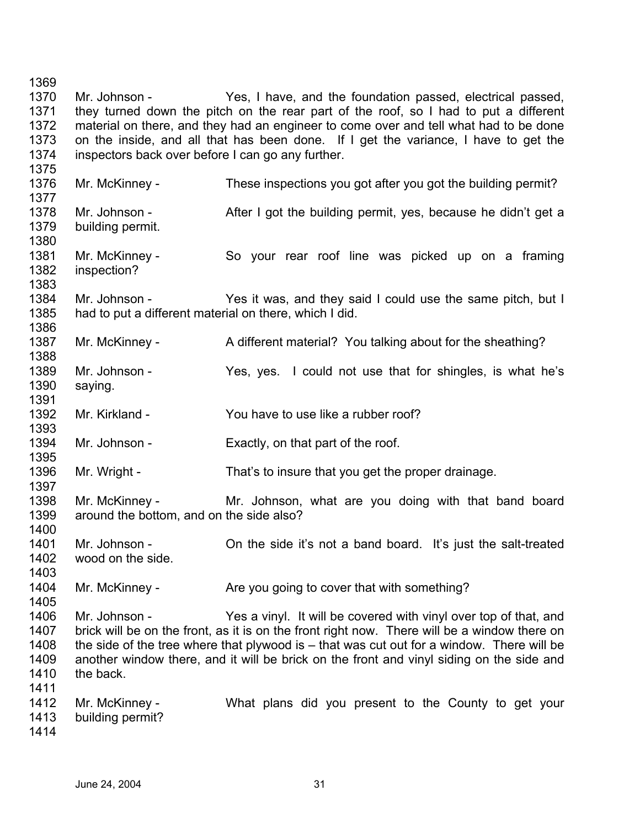1369 1370 1371 1372 1373 1374 1375 1376 1377 1378 1379 1380 1381 1382 1383 1384 1385 1386 1387 1388 1389 1390 1391 1392 1393 1394 1395 1396 1397 1398 1399 1400 1401 1402 1403 1404 1405 1406 1407 1408 1409 1410 1411 1412 1413 1414 Mr. Johnson - Yes, I have, and the foundation passed, electrical passed, they turned down the pitch on the rear part of the roof, so I had to put a different material on there, and they had an engineer to come over and tell what had to be done on the inside, and all that has been done. If I get the variance, I have to get the inspectors back over before I can go any further. Mr. McKinney - These inspections you got after you got the building permit? Mr. Johnson - After I got the building permit, yes, because he didn't get a building permit. Mr. McKinney - So your rear roof line was picked up on a framing inspection? Mr. Johnson - Yes it was, and they said I could use the same pitch, but I had to put a different material on there, which I did. Mr. McKinney - A different material? You talking about for the sheathing? Mr. Johnson - Yes, yes. I could not use that for shingles, is what he's saying. Mr. Kirkland - The You have to use like a rubber roof? Mr. Johnson - Exactly, on that part of the roof. Mr. Wright - That's to insure that you get the proper drainage. Mr. McKinney - The Mr. Johnson, what are you doing with that band board around the bottom, and on the side also? Mr. Johnson - Chime side it's not a band board. It's just the salt-treated wood on the side. Mr. McKinney - The you going to cover that with something? Mr. Johnson - Yes a vinyl. It will be covered with vinyl over top of that, and brick will be on the front, as it is on the front right now. There will be a window there on the side of the tree where that plywood is – that was cut out for a window. There will be another window there, and it will be brick on the front and vinyl siding on the side and the back. Mr. McKinney - The What plans did you present to the County to get your building permit?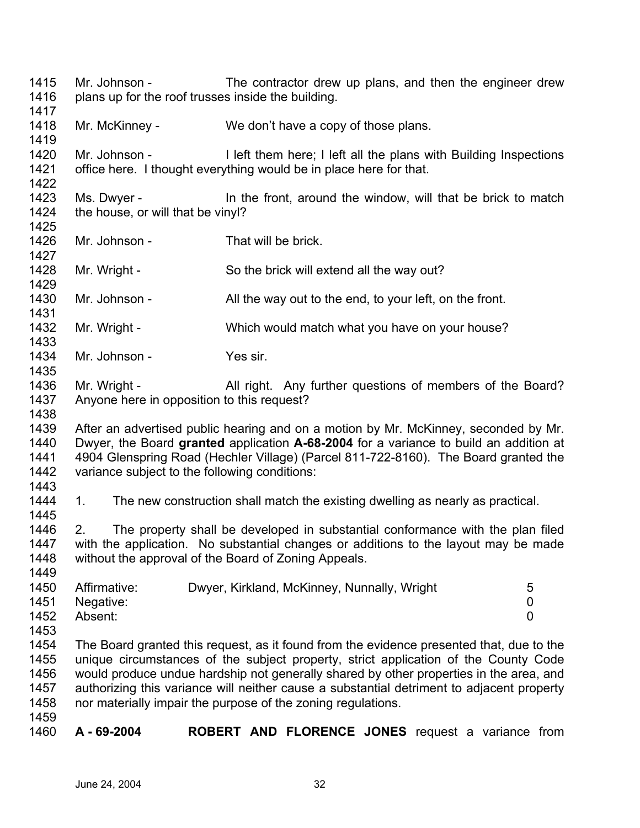- 1415 1416 1417 Mr. Johnson - The contractor drew up plans, and then the engineer drew plans up for the roof trusses inside the building.
- 1418 1419 Mr. McKinney - We don't have a copy of those plans.
- 1420 1421 1422 Mr. Johnson - I left them here; I left all the plans with Building Inspections office here. I thought everything would be in place here for that.
- 1423 1424 Ms. Dwyer - In the front, around the window, will that be brick to match the house, or will that be vinyl?
- 1426 Mr. Johnson - That will be brick.
- 1428 1429 Mr. Wright - So the brick will extend all the way out?
- 1430 1431 Mr. Johnson - All the way out to the end, to your left, on the front.
- 1432 1433 Mr. Wright - Which would match what you have on your house?
- 1434 Mr. Johnson - Yes sir.
- 1436 1437 1438 Mr. Wright - All right. Any further questions of members of the Board? Anyone here in opposition to this request?
- 1439 1440 1441 1442 After an advertised public hearing and on a motion by Mr. McKinney, seconded by Mr. Dwyer, the Board **granted** application **A-68-2004** for a variance to build an addition at 4904 Glenspring Road (Hechler Village) (Parcel 811-722-8160). The Board granted the variance subject to the following conditions:
- 1443

1445

1449

1425

1427

- 1444 1. The new construction shall match the existing dwelling as nearly as practical.
- 1446 1447 1448 2. The property shall be developed in substantial conformance with the plan filed with the application. No substantial changes or additions to the layout may be made without the approval of the Board of Zoning Appeals.

| 1450 | Affirmative: | Dwyer, Kirkland, McKinney, Nunnally, Wright | 5 |
|------|--------------|---------------------------------------------|---|
| 1451 | Negative:    |                                             |   |
| 1452 | Absent:      |                                             |   |
| 1453 |              |                                             |   |

- 1454 1455 1456 1457 1458 The Board granted this request, as it found from the evidence presented that, due to the unique circumstances of the subject property, strict application of the County Code would produce undue hardship not generally shared by other properties in the area, and authorizing this variance will neither cause a substantial detriment to adjacent property nor materially impair the purpose of the zoning regulations.
- 1459
- 1460 **A - 69-2004 ROBERT AND FLORENCE JONES** request a variance from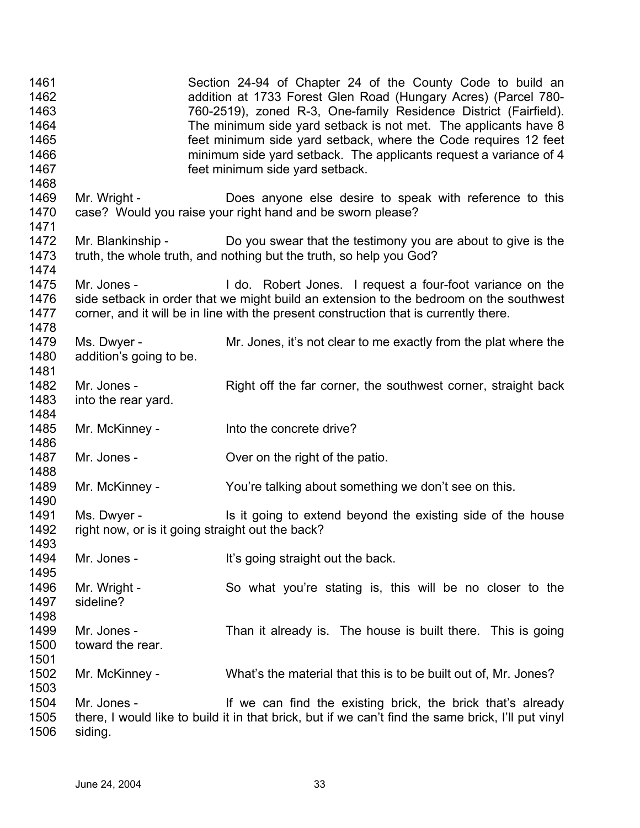| 1461<br>1462<br>1463<br>1464<br>1465<br>1466<br>1467 |                                                                 | Section 24-94 of Chapter 24 of the County Code to build an<br>addition at 1733 Forest Glen Road (Hungary Acres) (Parcel 780-<br>760-2519), zoned R-3, One-family Residence District (Fairfield).<br>The minimum side yard setback is not met. The applicants have 8<br>feet minimum side yard setback, where the Code requires 12 feet<br>minimum side yard setback. The applicants request a variance of 4<br>feet minimum side yard setback. |
|------------------------------------------------------|-----------------------------------------------------------------|------------------------------------------------------------------------------------------------------------------------------------------------------------------------------------------------------------------------------------------------------------------------------------------------------------------------------------------------------------------------------------------------------------------------------------------------|
| 1468<br>1469<br>1470                                 | Mr. Wright -                                                    | Does anyone else desire to speak with reference to this<br>case? Would you raise your right hand and be sworn please?                                                                                                                                                                                                                                                                                                                          |
| 1471<br>1472<br>1473                                 | Mr. Blankinship -                                               | Do you swear that the testimony you are about to give is the<br>truth, the whole truth, and nothing but the truth, so help you God?                                                                                                                                                                                                                                                                                                            |
| 1474<br>1475<br>1476<br>1477<br>1478                 | Mr. Jones -                                                     | I do. Robert Jones. I request a four-foot variance on the<br>side setback in order that we might build an extension to the bedroom on the southwest<br>corner, and it will be in line with the present construction that is currently there.                                                                                                                                                                                                   |
| 1479<br>1480<br>1481                                 | Ms. Dwyer -<br>addition's going to be.                          | Mr. Jones, it's not clear to me exactly from the plat where the                                                                                                                                                                                                                                                                                                                                                                                |
| 1482<br>1483<br>1484                                 | Mr. Jones -<br>into the rear yard.                              | Right off the far corner, the southwest corner, straight back                                                                                                                                                                                                                                                                                                                                                                                  |
| 1485                                                 | Mr. McKinney -                                                  | Into the concrete drive?                                                                                                                                                                                                                                                                                                                                                                                                                       |
| 1486<br>1487                                         | Mr. Jones -                                                     | Over on the right of the patio.                                                                                                                                                                                                                                                                                                                                                                                                                |
| 1488<br>1489                                         | Mr. McKinney -                                                  | You're talking about something we don't see on this.                                                                                                                                                                                                                                                                                                                                                                                           |
| 1490<br>1491<br>1492<br>1493                         | Ms. Dwyer -<br>right now, or is it going straight out the back? | Is it going to extend beyond the existing side of the house                                                                                                                                                                                                                                                                                                                                                                                    |
| 1494                                                 | Mr. Jones -                                                     | It's going straight out the back.                                                                                                                                                                                                                                                                                                                                                                                                              |
| 1495<br>1496<br>1497<br>1498                         | Mr. Wright -<br>sideline?                                       | So what you're stating is, this will be no closer to the                                                                                                                                                                                                                                                                                                                                                                                       |
| 1499<br>1500<br>1501                                 | Mr. Jones -<br>toward the rear.                                 | Than it already is. The house is built there. This is going                                                                                                                                                                                                                                                                                                                                                                                    |
| 1502<br>1503                                         | Mr. McKinney -                                                  | What's the material that this is to be built out of, Mr. Jones?                                                                                                                                                                                                                                                                                                                                                                                |
| 1504<br>1505<br>1506                                 | Mr. Jones -<br>siding.                                          | If we can find the existing brick, the brick that's already<br>there, I would like to build it in that brick, but if we can't find the same brick, I'll put vinyl                                                                                                                                                                                                                                                                              |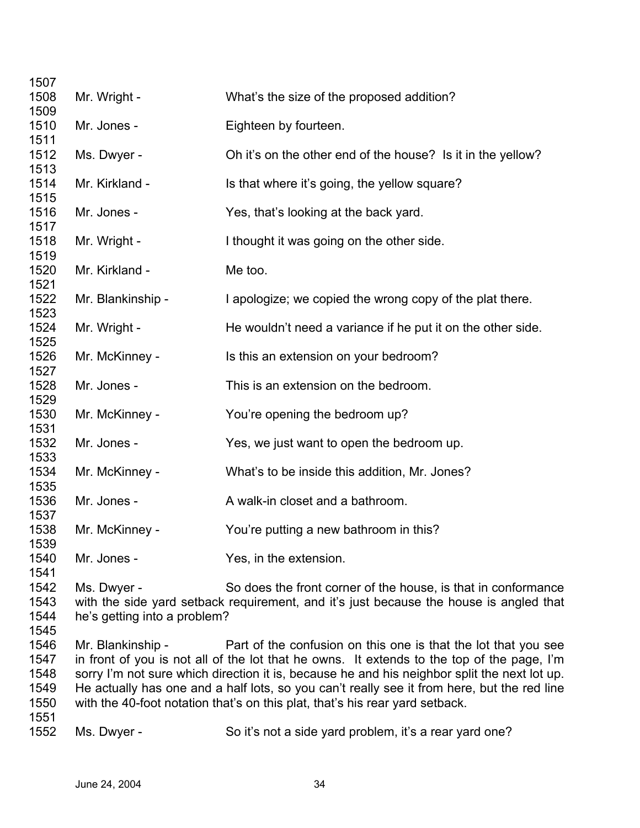| 1507                                 |                                             |                                                                                                                                                                                                                                                                                                                                                                                                                                             |
|--------------------------------------|---------------------------------------------|---------------------------------------------------------------------------------------------------------------------------------------------------------------------------------------------------------------------------------------------------------------------------------------------------------------------------------------------------------------------------------------------------------------------------------------------|
| 1508<br>1509                         | Mr. Wright -                                | What's the size of the proposed addition?                                                                                                                                                                                                                                                                                                                                                                                                   |
| 1510<br>1511                         | Mr. Jones -                                 | Eighteen by fourteen.                                                                                                                                                                                                                                                                                                                                                                                                                       |
| 1512<br>1513                         | Ms. Dwyer -                                 | Oh it's on the other end of the house? Is it in the yellow?                                                                                                                                                                                                                                                                                                                                                                                 |
| 1514<br>1515                         | Mr. Kirkland -                              | Is that where it's going, the yellow square?                                                                                                                                                                                                                                                                                                                                                                                                |
| 1516<br>1517                         | Mr. Jones -                                 | Yes, that's looking at the back yard.                                                                                                                                                                                                                                                                                                                                                                                                       |
| 1518<br>1519                         | Mr. Wright -                                | I thought it was going on the other side.                                                                                                                                                                                                                                                                                                                                                                                                   |
| 1520<br>1521                         | Mr. Kirkland -                              | Me too.                                                                                                                                                                                                                                                                                                                                                                                                                                     |
| 1522<br>1523                         | Mr. Blankinship -                           | I apologize; we copied the wrong copy of the plat there.                                                                                                                                                                                                                                                                                                                                                                                    |
| 1524<br>1525                         | Mr. Wright -                                | He wouldn't need a variance if he put it on the other side.                                                                                                                                                                                                                                                                                                                                                                                 |
| 1526<br>1527                         | Mr. McKinney -                              | Is this an extension on your bedroom?                                                                                                                                                                                                                                                                                                                                                                                                       |
| 1528<br>1529                         | Mr. Jones -                                 | This is an extension on the bedroom.                                                                                                                                                                                                                                                                                                                                                                                                        |
| 1530<br>1531                         | Mr. McKinney -                              | You're opening the bedroom up?                                                                                                                                                                                                                                                                                                                                                                                                              |
| 1532<br>1533                         | Mr. Jones -                                 | Yes, we just want to open the bedroom up.                                                                                                                                                                                                                                                                                                                                                                                                   |
| 1534<br>1535                         | Mr. McKinney -                              | What's to be inside this addition, Mr. Jones?                                                                                                                                                                                                                                                                                                                                                                                               |
| 1536<br>1537                         | Mr. Jones -                                 | A walk-in closet and a bathroom.                                                                                                                                                                                                                                                                                                                                                                                                            |
| 1538<br>1539                         | Mr. McKinney -                              | You're putting a new bathroom in this?                                                                                                                                                                                                                                                                                                                                                                                                      |
| 1540<br>1541                         | Mr. Jones -                                 | Yes, in the extension.                                                                                                                                                                                                                                                                                                                                                                                                                      |
| 1542<br>1543<br>1544<br>1545         | Ms. Dwyer -<br>he's getting into a problem? | So does the front corner of the house, is that in conformance<br>with the side yard setback requirement, and it's just because the house is angled that                                                                                                                                                                                                                                                                                     |
| 1546<br>1547<br>1548<br>1549<br>1550 | Mr. Blankinship -                           | Part of the confusion on this one is that the lot that you see<br>in front of you is not all of the lot that he owns. It extends to the top of the page, I'm<br>sorry I'm not sure which direction it is, because he and his neighbor split the next lot up.<br>He actually has one and a half lots, so you can't really see it from here, but the red line<br>with the 40-foot notation that's on this plat, that's his rear yard setback. |
| 1551<br>1552                         | Ms. Dwyer -                                 | So it's not a side yard problem, it's a rear yard one?                                                                                                                                                                                                                                                                                                                                                                                      |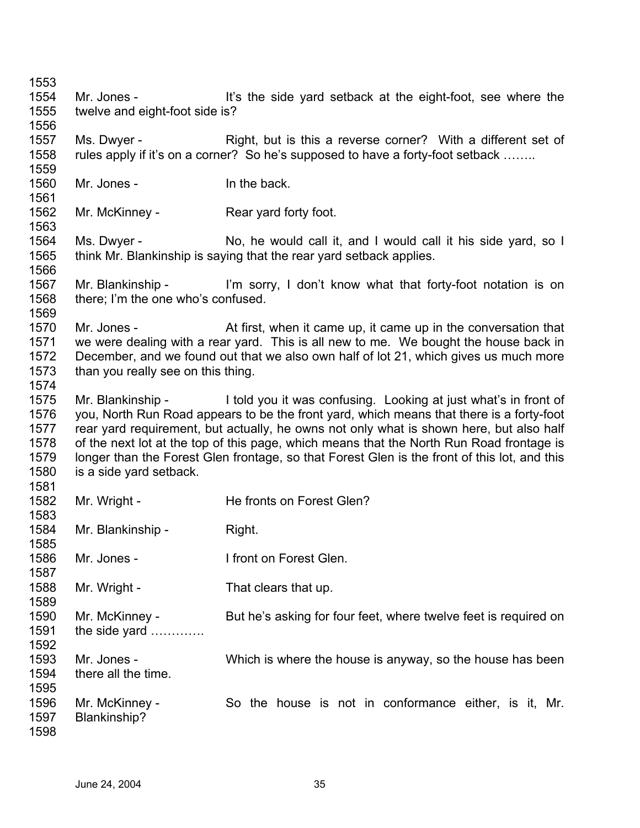1553 1554 1555 1556 1557 1558 1559 1560 1561 1562 1563 1564 1565 1566 1567 1568 1569 1570 1571 1572 1573 1574 1575 1576 1577 1578 1579 1580 1581 1582 1583 1584 1585 1586 1587 1588 1589 1590 1591 1592 1593 1594 1595 1596 1597 1598 Mr. Jones - It's the side yard setback at the eight-foot, see where the twelve and eight-foot side is? Ms. Dwyer - Right, but is this a reverse corner? With a different set of rules apply if it's on a corner? So he's supposed to have a forty-foot setback ........ Mr. Jones - The back. Mr. McKinney - Rear yard forty foot. Ms. Dwyer - No, he would call it, and I would call it his side yard, so I think Mr. Blankinship is saying that the rear yard setback applies. Mr. Blankinship - I'm sorry, I don't know what that forty-foot notation is on there; I'm the one who's confused. Mr. Jones - The At first, when it came up, it came up in the conversation that we were dealing with a rear yard. This is all new to me. We bought the house back in December, and we found out that we also own half of lot 21, which gives us much more than you really see on this thing. Mr. Blankinship - I told you it was confusing. Looking at just what's in front of you, North Run Road appears to be the front yard, which means that there is a forty-foot rear yard requirement, but actually, he owns not only what is shown here, but also half of the next lot at the top of this page, which means that the North Run Road frontage is longer than the Forest Glen frontage, so that Forest Glen is the front of this lot, and this is a side yard setback. Mr. Wright - The fronts on Forest Glen? Mr. Blankinship - Right. Mr. Jones - The Muslim Left on Forest Glen. Mr. Wright - That clears that up. Mr. McKinney - But he's asking for four feet, where twelve feet is required on the side yard …………. Mr. Jones - Which is where the house is anyway, so the house has been there all the time. Mr. McKinney - So the house is not in conformance either, is it, Mr. Blankinship?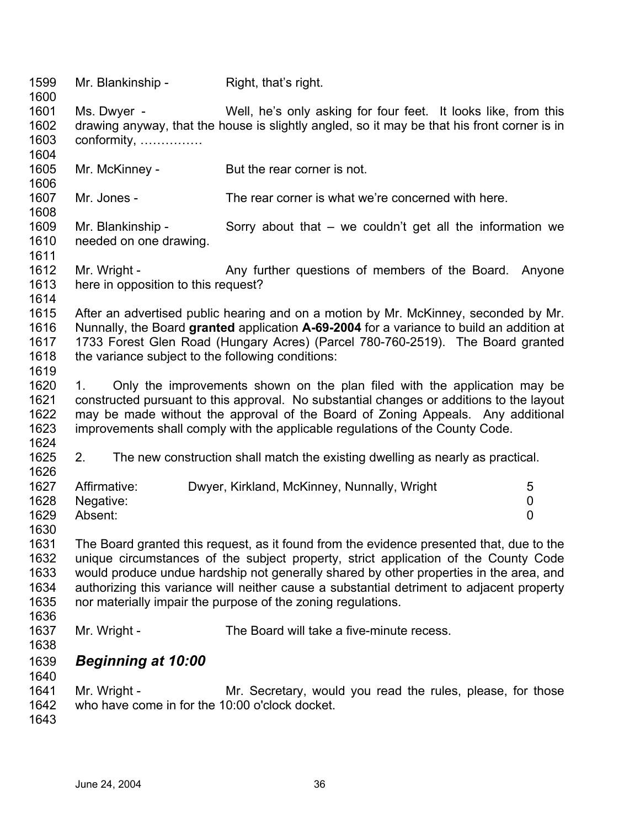| 1599<br>1600         | Mr. Blankinship -                                                                         | Right, that's right.                                                                                                                                             |                |  |
|----------------------|-------------------------------------------------------------------------------------------|------------------------------------------------------------------------------------------------------------------------------------------------------------------|----------------|--|
| 1601<br>1602<br>1603 | Ms. Dwyer -<br>conformity,                                                                | Well, he's only asking for four feet. It looks like, from this<br>drawing anyway, that the house is slightly angled, so it may be that his front corner is in    |                |  |
| 1604                 |                                                                                           |                                                                                                                                                                  |                |  |
| 1605<br>1606         | Mr. McKinney -                                                                            | But the rear corner is not.                                                                                                                                      |                |  |
| 1607<br>1608         | Mr. Jones -                                                                               | The rear corner is what we're concerned with here.                                                                                                               |                |  |
| 1609<br>1610<br>1611 | Mr. Blankinship -<br>needed on one drawing.                                               | Sorry about that $-$ we couldn't get all the information we                                                                                                      |                |  |
| 1612<br>1613         | Mr. Wright -<br>here in opposition to this request?                                       | Any further questions of members of the Board.                                                                                                                   | Anyone         |  |
| 1614                 |                                                                                           |                                                                                                                                                                  |                |  |
| 1615                 |                                                                                           | After an advertised public hearing and on a motion by Mr. McKinney, seconded by Mr.                                                                              |                |  |
| 1616                 | Nunnally, the Board granted application A-69-2004 for a variance to build an addition at  |                                                                                                                                                                  |                |  |
| 1617                 | 1733 Forest Glen Road (Hungary Acres) (Parcel 780-760-2519). The Board granted            |                                                                                                                                                                  |                |  |
| 1618                 | the variance subject to the following conditions:                                         |                                                                                                                                                                  |                |  |
| 1619                 |                                                                                           |                                                                                                                                                                  |                |  |
| 1620                 | 1.                                                                                        | Only the improvements shown on the plan filed with the application may be                                                                                        |                |  |
| 1621                 | constructed pursuant to this approval. No substantial changes or additions to the layout  |                                                                                                                                                                  |                |  |
| 1622<br>1623         |                                                                                           | may be made without the approval of the Board of Zoning Appeals. Any additional<br>improvements shall comply with the applicable regulations of the County Code. |                |  |
| 1624                 |                                                                                           |                                                                                                                                                                  |                |  |
| 1625<br>1626         | 2.                                                                                        | The new construction shall match the existing dwelling as nearly as practical.                                                                                   |                |  |
| 1627                 | Affirmative:                                                                              | Dwyer, Kirkland, McKinney, Nunnally, Wright                                                                                                                      | 5              |  |
| 1628                 | Negative:                                                                                 |                                                                                                                                                                  | 0              |  |
| 1629                 | Absent:                                                                                   |                                                                                                                                                                  | $\overline{0}$ |  |
| 1630                 |                                                                                           |                                                                                                                                                                  |                |  |
| 1631                 | The Board granted this request, as it found from the evidence presented that, due to the  |                                                                                                                                                                  |                |  |
| 1632                 | unique circumstances of the subject property, strict application of the County Code       |                                                                                                                                                                  |                |  |
| 1633                 | would produce undue hardship not generally shared by other properties in the area, and    |                                                                                                                                                                  |                |  |
| 1634                 | authorizing this variance will neither cause a substantial detriment to adjacent property |                                                                                                                                                                  |                |  |
| 1635                 |                                                                                           | nor materially impair the purpose of the zoning regulations.                                                                                                     |                |  |
| 1636                 |                                                                                           |                                                                                                                                                                  |                |  |
| 1637                 | Mr. Wright -                                                                              | The Board will take a five-minute recess.                                                                                                                        |                |  |
| 1638                 |                                                                                           |                                                                                                                                                                  |                |  |
| 1639                 | <b>Beginning at 10:00</b>                                                                 |                                                                                                                                                                  |                |  |
| 1640                 |                                                                                           |                                                                                                                                                                  |                |  |
| 1641                 | Mr. Wright -                                                                              | Mr. Secretary, would you read the rules, please, for those                                                                                                       |                |  |
| 1642                 | who have come in for the 10:00 o'clock docket.                                            |                                                                                                                                                                  |                |  |
| 1643                 |                                                                                           |                                                                                                                                                                  |                |  |
|                      |                                                                                           |                                                                                                                                                                  |                |  |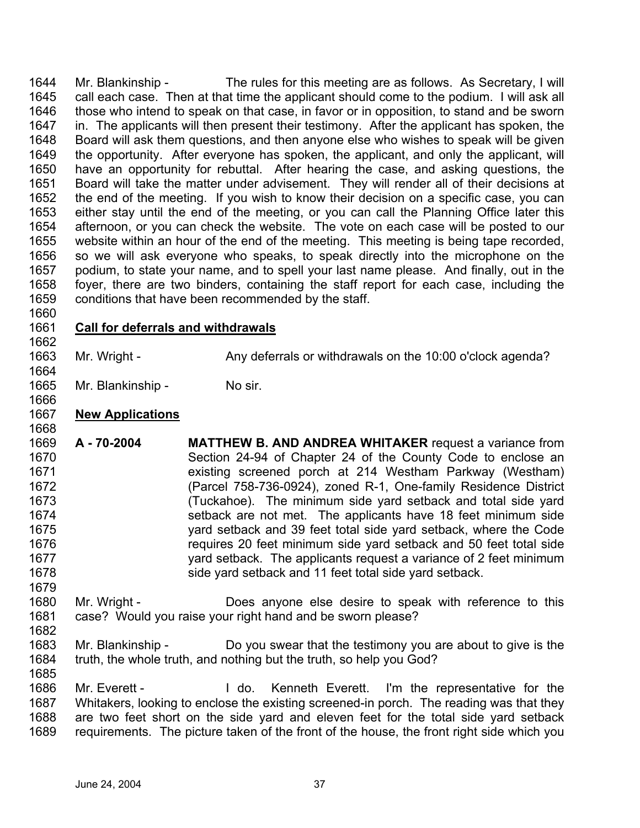1644 1645 1646 1647 1648 1649 1650 1651 1652 1653 1654 1655 1656 1657 1658 1659 Mr. Blankinship - The rules for this meeting are as follows. As Secretary, I will call each case. Then at that time the applicant should come to the podium. I will ask all those who intend to speak on that case, in favor or in opposition, to stand and be sworn in. The applicants will then present their testimony. After the applicant has spoken, the Board will ask them questions, and then anyone else who wishes to speak will be given the opportunity. After everyone has spoken, the applicant, and only the applicant, will have an opportunity for rebuttal. After hearing the case, and asking questions, the Board will take the matter under advisement. They will render all of their decisions at the end of the meeting. If you wish to know their decision on a specific case, you can either stay until the end of the meeting, or you can call the Planning Office later this afternoon, or you can check the website. The vote on each case will be posted to our website within an hour of the end of the meeting. This meeting is being tape recorded, so we will ask everyone who speaks, to speak directly into the microphone on the podium, to state your name, and to spell your last name please. And finally, out in the foyer, there are two binders, containing the staff report for each case, including the conditions that have been recommended by the staff.

## 1661 **Call for deferrals and withdrawals** 1662

1663 Mr. Wright - Any deferrals or withdrawals on the 10:00 o'clock agenda?

1665 Mr. Blankinship - No sir.

## 1667 **New Applications**

- 1669 1670 1671 1672 1673 1674 1675 1676 1677 1678 **A - 70-2004 MATTHEW B. AND ANDREA WHITAKER** request a variance from Section 24-94 of Chapter 24 of the County Code to enclose an existing screened porch at 214 Westham Parkway (Westham) (Parcel 758-736-0924), zoned R-1, One-family Residence District (Tuckahoe). The minimum side yard setback and total side yard setback are not met. The applicants have 18 feet minimum side yard setback and 39 feet total side yard setback, where the Code requires 20 feet minimum side yard setback and 50 feet total side yard setback. The applicants request a variance of 2 feet minimum side yard setback and 11 feet total side yard setback.
- 1680 1681 Mr. Wright - **Does anyone else desire to speak with reference to this** case? Would you raise your right hand and be sworn please?
- 1682

1679

1660

1664

1666

1668

1683 1684 1685 Mr. Blankinship - Do you swear that the testimony you are about to give is the truth, the whole truth, and nothing but the truth, so help you God?

1686 1687 1688 1689 Mr. Everett - The Music Co. Kenneth Everett. I'm the representative for the Whitakers, looking to enclose the existing screened-in porch. The reading was that they are two feet short on the side yard and eleven feet for the total side yard setback requirements. The picture taken of the front of the house, the front right side which you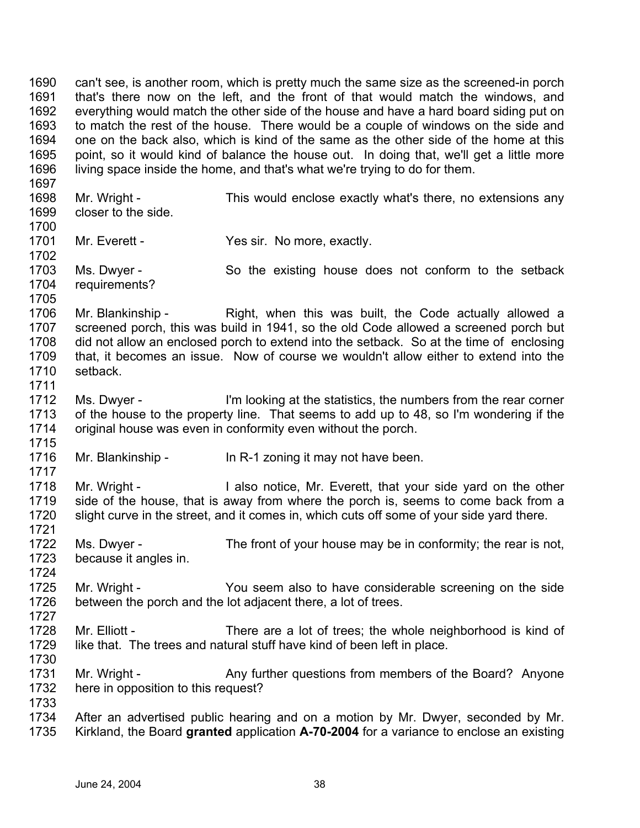1690 1691 1692 1693 1694 1695 1696 1697 1698 1699 1700 1701 1702 1703 1704 1705 1706 1707 1708 1709 1710 1711 1712 1713 1714 1715 1716 1717 1718 1719 1720 1721 1722 1723 1724 1725 1726 1727 1728 1729 1730 1731 1732 1733 1734 1735 can't see, is another room, which is pretty much the same size as the screened-in porch that's there now on the left, and the front of that would match the windows, and everything would match the other side of the house and have a hard board siding put on to match the rest of the house. There would be a couple of windows on the side and one on the back also, which is kind of the same as the other side of the home at this point, so it would kind of balance the house out. In doing that, we'll get a little more living space inside the home, and that's what we're trying to do for them. Mr. Wright - This would enclose exactly what's there, no extensions any closer to the side. Mr. Everett - Yes sir. No more, exactly. Ms. Dwyer - So the existing house does not conform to the setback requirements? Mr. Blankinship - Right, when this was built, the Code actually allowed a screened porch, this was build in 1941, so the old Code allowed a screened porch but did not allow an enclosed porch to extend into the setback. So at the time of enclosing that, it becomes an issue. Now of course we wouldn't allow either to extend into the setback. Ms. Dwyer - I'm looking at the statistics, the numbers from the rear corner of the house to the property line. That seems to add up to 48, so I'm wondering if the original house was even in conformity even without the porch. Mr. Blankinship - In R-1 zoning it may not have been. Mr. Wright - I also notice, Mr. Everett, that your side yard on the other side of the house, that is away from where the porch is, seems to come back from a slight curve in the street, and it comes in, which cuts off some of your side yard there. Ms. Dwyer - The front of your house may be in conformity; the rear is not, because it angles in. Mr. Wright - You seem also to have considerable screening on the side between the porch and the lot adjacent there, a lot of trees. Mr. Elliott - There are a lot of trees; the whole neighborhood is kind of like that. The trees and natural stuff have kind of been left in place. Mr. Wright - Any further questions from members of the Board? Anyone here in opposition to this request? After an advertised public hearing and on a motion by Mr. Dwyer, seconded by Mr. Kirkland, the Board **granted** application **A-70-2004** for a variance to enclose an existing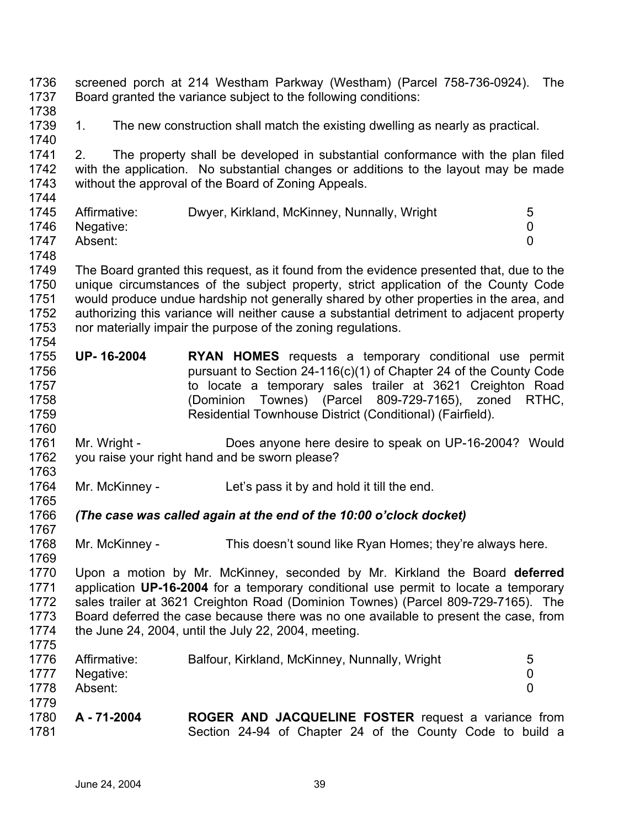1736 1737 1738 1739 1740 1741 1742 1743 1744 1745 1746 1747 1748 1749 1750 1751 1752 1753 1754 1755 1756 1757 1758 1759 1760 1761 1762 1763 1764 1765 1766 1767 1768 1769 1770 1771 1772 1773 1774 1775 1776 1777 1778 1779 1780 1781 screened porch at 214 Westham Parkway (Westham) (Parcel 758-736-0924). The Board granted the variance subject to the following conditions: 1. The new construction shall match the existing dwelling as nearly as practical. 2. The property shall be developed in substantial conformance with the plan filed with the application. No substantial changes or additions to the layout may be made without the approval of the Board of Zoning Appeals. Affirmative: Dwyer, Kirkland, McKinney, Nunnally, Wright 5 Negative: 0 Absent: 0 The Board granted this request, as it found from the evidence presented that, due to the unique circumstances of the subject property, strict application of the County Code would produce undue hardship not generally shared by other properties in the area, and authorizing this variance will neither cause a substantial detriment to adjacent property nor materially impair the purpose of the zoning regulations. **UP- 16-2004 RYAN HOMES** requests a temporary conditional use permit pursuant to Section 24-116(c)(1) of Chapter 24 of the County Code to locate a temporary sales trailer at 3621 Creighton Road (Dominion Townes) (Parcel 809-729-7165), zoned RTHC, Residential Townhouse District (Conditional) (Fairfield). Mr. Wright - Does anyone here desire to speak on UP-16-2004? Would you raise your right hand and be sworn please? Mr. McKinney - Let's pass it by and hold it till the end. *(The case was called again at the end of the 10:00 o'clock docket)*  Mr. McKinney - This doesn't sound like Ryan Homes; they're always here. Upon a motion by Mr. McKinney, seconded by Mr. Kirkland the Board **deferred** application **UP-16-2004** for a temporary conditional use permit to locate a temporary sales trailer at 3621 Creighton Road (Dominion Townes) (Parcel 809-729-7165). The Board deferred the case because there was no one available to present the case, from the June 24, 2004, until the July 22, 2004, meeting. Affirmative: Balfour, Kirkland, McKinney, Nunnally, Wright 5 Negative: 0 Absent: 0 **A - 71-2004 ROGER AND JACQUELINE FOSTER** request a variance from Section 24-94 of Chapter 24 of the County Code to build a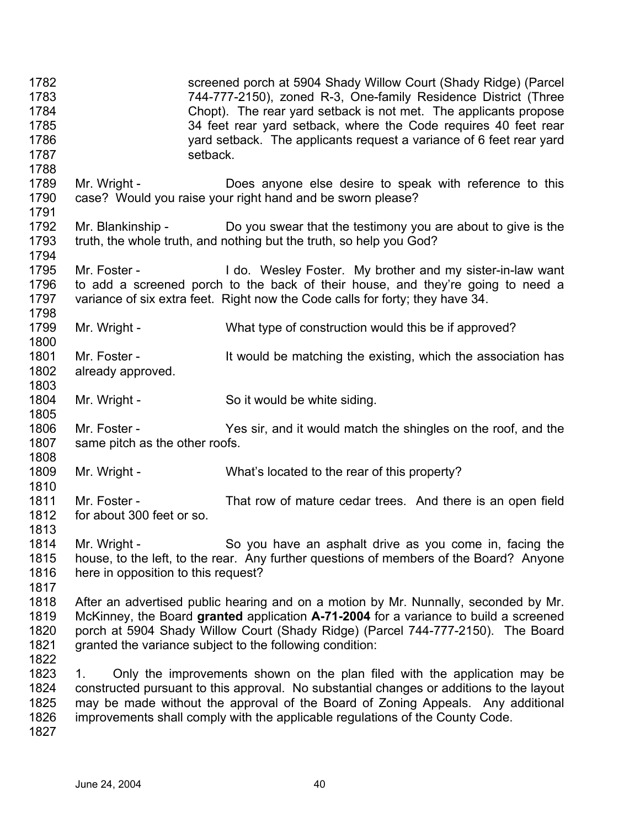1782 1783 1784 1785 1786 1787 1788 1789 1790 1791 1792 1793 1794 1795 1796 1797 1798 1799 1800 1801 1802 1803 1804 1805 1806 1807 1808 1809 1810 1811 1812 1813 1814 1815 1816 1817 1818 1819 1820 1821 1822 1823 1824 1825 1826 1827 screened porch at 5904 Shady Willow Court (Shady Ridge) (Parcel 744-777-2150), zoned R-3, One-family Residence District (Three Chopt). The rear yard setback is not met. The applicants propose 34 feet rear yard setback, where the Code requires 40 feet rear yard setback. The applicants request a variance of 6 feet rear yard setback. Mr. Wright - **Does anyone else desire to speak with reference to this** case? Would you raise your right hand and be sworn please? Mr. Blankinship - Do you swear that the testimony you are about to give is the truth, the whole truth, and nothing but the truth, so help you God? Mr. Foster - I do. Wesley Foster. My brother and my sister-in-law want to add a screened porch to the back of their house, and they're going to need a variance of six extra feet. Right now the Code calls for forty; they have 34. Mr. Wright - What type of construction would this be if approved? Mr. Foster - It would be matching the existing, which the association has already approved. Mr. Wright - So it would be white siding. Mr. Foster - Yes sir, and it would match the shingles on the roof, and the same pitch as the other roofs. Mr. Wright - What's located to the rear of this property? Mr. Foster - That row of mature cedar trees. And there is an open field for about 300 feet or so. Mr. Wright - So you have an asphalt drive as you come in, facing the house, to the left, to the rear. Any further questions of members of the Board? Anyone here in opposition to this request? After an advertised public hearing and on a motion by Mr. Nunnally, seconded by Mr. McKinney, the Board **granted** application **A-71-2004** for a variance to build a screened porch at 5904 Shady Willow Court (Shady Ridge) (Parcel 744-777-2150). The Board granted the variance subject to the following condition: 1. Only the improvements shown on the plan filed with the application may be constructed pursuant to this approval. No substantial changes or additions to the layout may be made without the approval of the Board of Zoning Appeals. Any additional improvements shall comply with the applicable regulations of the County Code.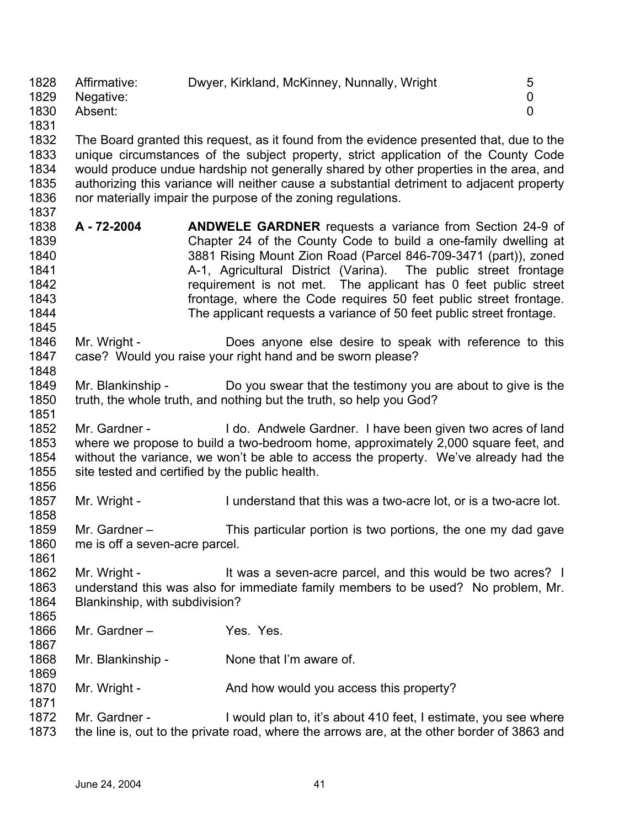| 1828<br>1829 | Affirmative:<br>Negative: | Dwyer, Kirkland, McKinney, Nunnally, Wright                                              | 5 |
|--------------|---------------------------|------------------------------------------------------------------------------------------|---|
| 1830         | Absent:                   |                                                                                          |   |
| 1831         |                           |                                                                                          |   |
| 1832         |                           | The Board granted this request, as it found from the evidence presented that, due to the |   |

1833 1834 1835 1836 1837 unique circumstances of the subject property, strict application of the County Code would produce undue hardship not generally shared by other properties in the area, and authorizing this variance will neither cause a substantial detriment to adjacent property nor materially impair the purpose of the zoning regulations.

- 1838 1839 1840 1841 1842 1843 1844 **A - 72-2004 ANDWELE GARDNER** requests a variance from Section 24-9 of Chapter 24 of the County Code to build a one-family dwelling at 3881 Rising Mount Zion Road (Parcel 846-709-3471 (part)), zoned A-1, Agricultural District (Varina). The public street frontage requirement is not met. The applicant has 0 feet public street frontage, where the Code requires 50 feet public street frontage. The applicant requests a variance of 50 feet public street frontage.
- 1846 1847 Mr. Wright - **Does anyone else desire to speak with reference to this** case? Would you raise your right hand and be sworn please?
- 1849 1850 Mr. Blankinship - Do you swear that the testimony you are about to give is the truth, the whole truth, and nothing but the truth, so help you God?
- 1852 1853 1854 1855 Mr. Gardner - I do. Andwele Gardner. I have been given two acres of land where we propose to build a two-bedroom home, approximately 2,000 square feet, and without the variance, we won't be able to access the property. We've already had the site tested and certified by the public health.
- 1857 Mr. Wright - I understand that this was a two-acre lot, or is a two-acre lot.
- 1859 1860 Mr. Gardner – This particular portion is two portions, the one my dad gave me is off a seven-acre parcel.
- 1862 1863 1864 1865 Mr. Wright - The Musta seven-acre parcel, and this would be two acres? I understand this was also for immediate family members to be used? No problem, Mr. Blankinship, with subdivision?
- 1866 1867 Mr. Gardner – Yes. Yes.
- 1868 Mr. Blankinship - None that I'm aware of.
- 1870 Mr. Wright - And how would you access this property?
- 1872 1873 Mr. Gardner - I would plan to, it's about 410 feet, I estimate, you see where the line is, out to the private road, where the arrows are, at the other border of 3863 and

1845

1848

1851

1856

1858

1861

1869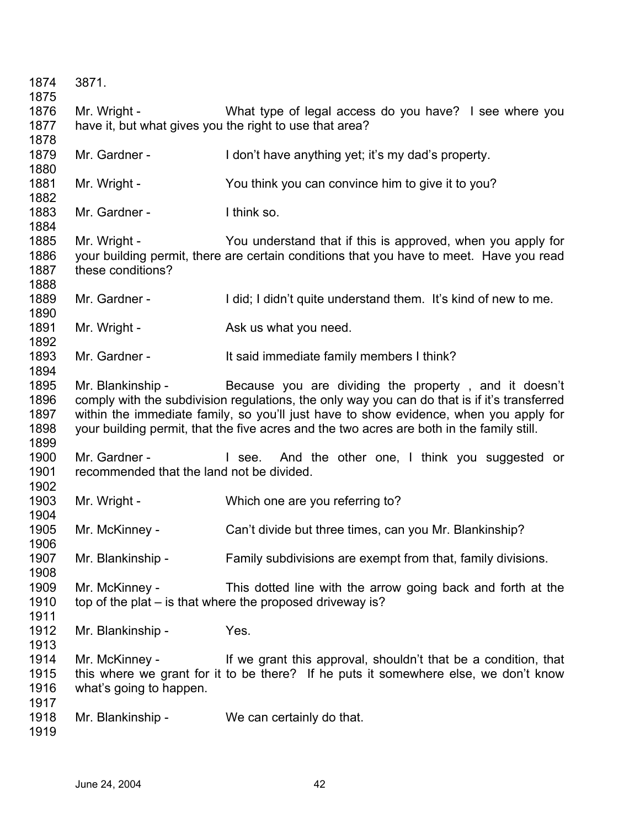| 1874                                 | 3871.                                                      |                                                                                                                                                                                                                                                                                                                                             |
|--------------------------------------|------------------------------------------------------------|---------------------------------------------------------------------------------------------------------------------------------------------------------------------------------------------------------------------------------------------------------------------------------------------------------------------------------------------|
| 1875<br>1876                         |                                                            |                                                                                                                                                                                                                                                                                                                                             |
| 1877                                 | Mr. Wright -                                               | What type of legal access do you have? I see where you<br>have it, but what gives you the right to use that area?                                                                                                                                                                                                                           |
| 1878<br>1879                         | Mr. Gardner -                                              | I don't have anything yet; it's my dad's property.                                                                                                                                                                                                                                                                                          |
| 1880<br>1881                         | Mr. Wright -                                               | You think you can convince him to give it to you?                                                                                                                                                                                                                                                                                           |
| 1882<br>1883                         | Mr. Gardner -                                              | I think so.                                                                                                                                                                                                                                                                                                                                 |
| 1884<br>1885<br>1886<br>1887         | Mr. Wright -<br>these conditions?                          | You understand that if this is approved, when you apply for<br>your building permit, there are certain conditions that you have to meet. Have you read                                                                                                                                                                                      |
| 1888<br>1889                         | Mr. Gardner -                                              | I did; I didn't quite understand them. It's kind of new to me.                                                                                                                                                                                                                                                                              |
| 1890<br>1891<br>1892                 | Mr. Wright -                                               | Ask us what you need.                                                                                                                                                                                                                                                                                                                       |
| 1893<br>1894                         | Mr. Gardner -                                              | It said immediate family members I think?                                                                                                                                                                                                                                                                                                   |
| 1895<br>1896<br>1897<br>1898<br>1899 | Mr. Blankinship -                                          | Because you are dividing the property, and it doesn't<br>comply with the subdivision regulations, the only way you can do that is if it's transferred<br>within the immediate family, so you'll just have to show evidence, when you apply for<br>your building permit, that the five acres and the two acres are both in the family still. |
| 1900<br>1901                         | Mr. Gardner -<br>recommended that the land not be divided. | I see. And the other one, I think you suggested or                                                                                                                                                                                                                                                                                          |
| 1902<br>1903                         | Mr. Wright -                                               | Which one are you referring to?                                                                                                                                                                                                                                                                                                             |
| 1904<br>1905                         | Mr. McKinney -                                             | Can't divide but three times, can you Mr. Blankinship?                                                                                                                                                                                                                                                                                      |
| 1906<br>1907<br>1908                 | Mr. Blankinship -                                          | Family subdivisions are exempt from that, family divisions.                                                                                                                                                                                                                                                                                 |
| 1909<br>1910<br>1911                 | Mr. McKinney -                                             | This dotted line with the arrow going back and forth at the<br>top of the plat – is that where the proposed driveway is?                                                                                                                                                                                                                    |
| 1912<br>1913                         | Mr. Blankinship -                                          | Yes.                                                                                                                                                                                                                                                                                                                                        |
| 1914<br>1915<br>1916                 | Mr. McKinney -<br>what's going to happen.                  | If we grant this approval, shouldn't that be a condition, that<br>this where we grant for it to be there? If he puts it somewhere else, we don't know                                                                                                                                                                                       |
| 1917<br>1918<br>1919                 | Mr. Blankinship -                                          | We can certainly do that.                                                                                                                                                                                                                                                                                                                   |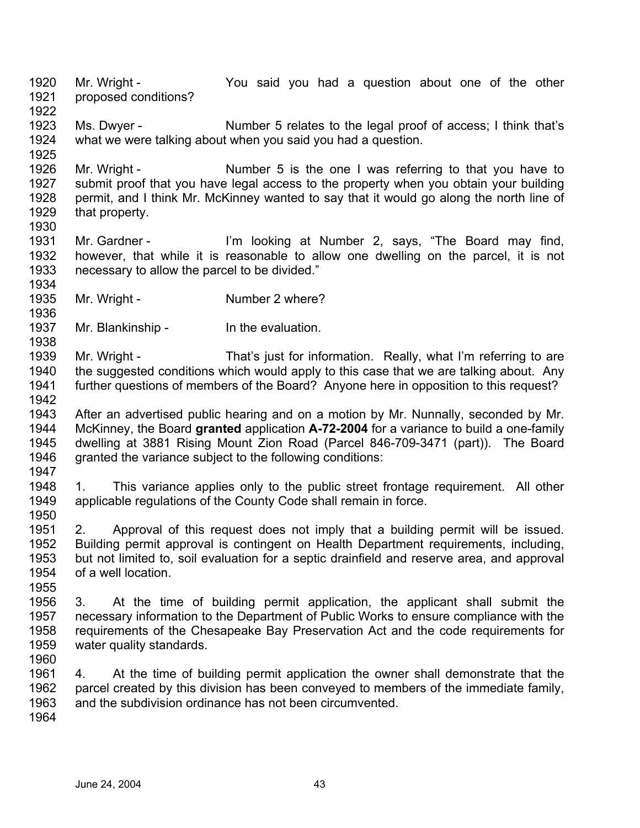1920 1921 1922 1923 1924 1925 Mr. Wright - You said you had a question about one of the other proposed conditions? Ms. Dwyer - Number 5 relates to the legal proof of access; I think that's what we were talking about when you said you had a question.

1926 1927 1928 1929 1930 Mr. Wright - Number 5 is the one I was referring to that you have to submit proof that you have legal access to the property when you obtain your building permit, and I think Mr. McKinney wanted to say that it would go along the north line of that property.

1931 1932 1933 1934 Mr. Gardner - I'm looking at Number 2, says, "The Board may find, however, that while it is reasonable to allow one dwelling on the parcel, it is not necessary to allow the parcel to be divided."

- 1935 Mr. Wright - Number 2 where?
- 1937 Mr. Blankinship - The evaluation.

1939 1940 1941 1942 Mr. Wright - That's just for information. Really, what I'm referring to are the suggested conditions which would apply to this case that we are talking about. Any further questions of members of the Board? Anyone here in opposition to this request?

1943 1944 1945 1946 1947 After an advertised public hearing and on a motion by Mr. Nunnally, seconded by Mr. McKinney, the Board **granted** application **A-72-2004** for a variance to build a one-family dwelling at 3881 Rising Mount Zion Road (Parcel 846-709-3471 (part)). The Board granted the variance subject to the following conditions:

1948 1949 1. This variance applies only to the public street frontage requirement. All other applicable regulations of the County Code shall remain in force.

1951 1952 1953 1954 2. Approval of this request does not imply that a building permit will be issued. Building permit approval is contingent on Health Department requirements, including, but not limited to, soil evaluation for a septic drainfield and reserve area, and approval of a well location.

1956 1957 1958 1959 3. At the time of building permit application, the applicant shall submit the necessary information to the Department of Public Works to ensure compliance with the requirements of the Chesapeake Bay Preservation Act and the code requirements for water quality standards.

1960

1950

1955

1936

1938

1961 1962 1963 4. At the time of building permit application the owner shall demonstrate that the parcel created by this division has been conveyed to members of the immediate family, and the subdivision ordinance has not been circumvented.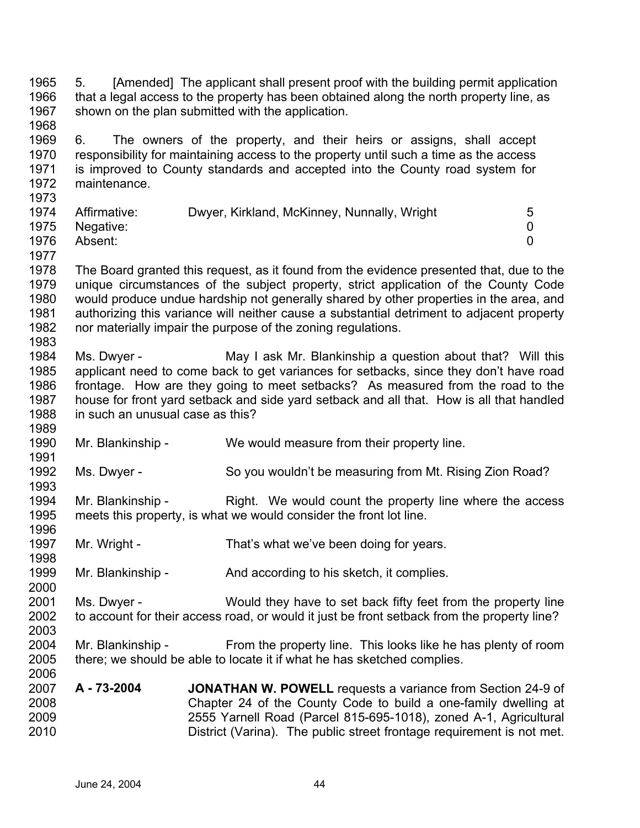1965 1966 1967 1968 5. [Amended] The applicant shall present proof with the building permit application that a legal access to the property has been obtained along the north property line, as shown on the plan submitted with the application.

1969 1970 1971 1972 1973 6. The owners of the property, and their heirs or assigns, shall accept responsibility for maintaining access to the property until such a time as the access is improved to County standards and accepted into the County road system for maintenance.

| 1974 | Affirmative: | Dwyer, Kirkland, McKinney, Nunnally, Wright |  |
|------|--------------|---------------------------------------------|--|
| 1975 | Negative:    |                                             |  |
| 1976 | Absent:      |                                             |  |

- 1977 1978 1979 1980 1981 1982 The Board granted this request, as it found from the evidence presented that, due to the unique circumstances of the subject property, strict application of the County Code would produce undue hardship not generally shared by other properties in the area, and authorizing this variance will neither cause a substantial detriment to adjacent property nor materially impair the purpose of the zoning regulations.
- 1984 1985 1986 1987 1988 1989 Ms. Dwyer - May I ask Mr. Blankinship a question about that? Will this applicant need to come back to get variances for setbacks, since they don't have road frontage. How are they going to meet setbacks? As measured from the road to the house for front yard setback and side yard setback and all that. How is all that handled in such an unusual case as this?
- 1990 Mr. Blankinship - We would measure from their property line.
- 1992 1993 Ms. Dwyer - So you wouldn't be measuring from Mt. Rising Zion Road?
- 1994 1995 1996 Mr. Blankinship - Right. We would count the property line where the access meets this property, is what we would consider the front lot line.
- 1997 Mr. Wright - That's what we've been doing for years.
- 1999 Mr. Blankinship - And according to his sketch, it complies.
- 2001 2002 2003 Ms. Dwyer - Would they have to set back fifty feet from the property line to account for their access road, or would it just be front setback from the property line?
- 2004 2005 2006 Mr. Blankinship - From the property line. This looks like he has plenty of room there; we should be able to locate it if what he has sketched complies.
- 2007 2008 2009 2010 **A - 73-2004 JONATHAN W. POWELL** requests a variance from Section 24-9 of Chapter 24 of the County Code to build a one-family dwelling at 2555 Yarnell Road (Parcel 815-695-1018), zoned A-1, Agricultural District (Varina). The public street frontage requirement is not met.

1983

1991

1998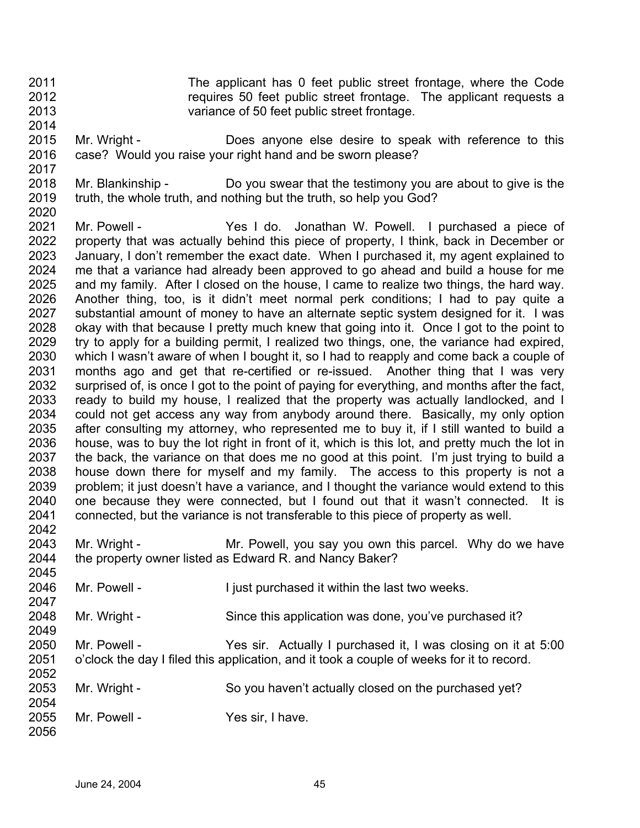- 2011 2012 The applicant has 0 feet public street frontage, where the Code requires 50 feet public street frontage. The applicant requests a
- 2013 2014

variance of 50 feet public street frontage.

- 2015 2016 2017 Mr. Wright - **Does anyone else desire to speak with reference to this** case? Would you raise your right hand and be sworn please?
- 2018 2019 Mr. Blankinship - Do you swear that the testimony you are about to give is the truth, the whole truth, and nothing but the truth, so help you God?
- 2020 2021 2022 2023 2024 2025 2026 2027 2028 2029 2030 2031 2032 2033 2034 2035 2036 2037 2038 2039 2040 2041 2042 Mr. Powell - The Yes I do. Jonathan W. Powell. I purchased a piece of property that was actually behind this piece of property, I think, back in December or January, I don't remember the exact date. When I purchased it, my agent explained to me that a variance had already been approved to go ahead and build a house for me and my family. After I closed on the house, I came to realize two things, the hard way. Another thing, too, is it didn't meet normal perk conditions; I had to pay quite a substantial amount of money to have an alternate septic system designed for it. I was okay with that because I pretty much knew that going into it. Once I got to the point to try to apply for a building permit, I realized two things, one, the variance had expired, which I wasn't aware of when I bought it, so I had to reapply and come back a couple of months ago and get that re-certified or re-issued. Another thing that I was very surprised of, is once I got to the point of paying for everything, and months after the fact, ready to build my house, I realized that the property was actually landlocked, and I could not get access any way from anybody around there. Basically, my only option after consulting my attorney, who represented me to buy it, if I still wanted to build a house, was to buy the lot right in front of it, which is this lot, and pretty much the lot in the back, the variance on that does me no good at this point. I'm just trying to build a house down there for myself and my family. The access to this property is not a problem; it just doesn't have a variance, and I thought the variance would extend to this one because they were connected, but I found out that it wasn't connected. It is connected, but the variance is not transferable to this piece of property as well.
- 2043 2044 2045 Mr. Wright - The Mr. Powell, you say you own this parcel. Why do we have the property owner listed as Edward R. and Nancy Baker?

2046 2047 Mr. Powell - The I just purchased it within the last two weeks.

2048 2049 Mr. Wright - Since this application was done, you've purchased it?

2050 2051 2052 Mr. Powell - The Yes sir. Actually I purchased it, I was closing on it at 5:00 o'clock the day I filed this application, and it took a couple of weeks for it to record.

2053 2054 2055 Mr. Wright - So you haven't actually closed on the purchased yet? Mr. Powell - Yes sir, I have.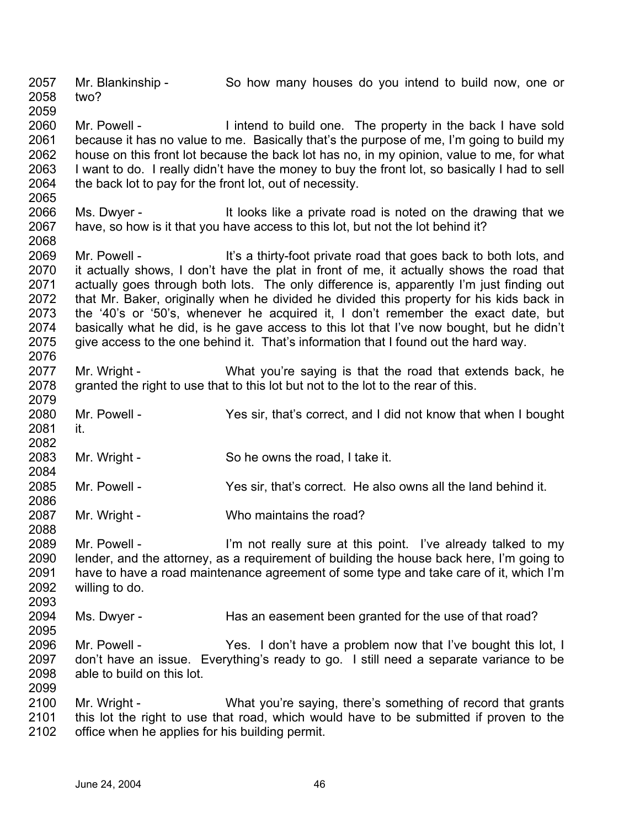2057 2058 2059 Mr. Blankinship - So how many houses do you intend to build now, one or two?

2060 2061 2062 2063 2064 Mr. Powell - Intend to build one. The property in the back I have sold because it has no value to me. Basically that's the purpose of me, I'm going to build my house on this front lot because the back lot has no, in my opinion, value to me, for what I want to do. I really didn't have the money to buy the front lot, so basically I had to sell the back lot to pay for the front lot, out of necessity.

2066 2067 2068 Ms. Dwyer - It looks like a private road is noted on the drawing that we have, so how is it that you have access to this lot, but not the lot behind it?

2069 2070 2071 2072 2073 2074 2075 2076 Mr. Powell - It's a thirty-foot private road that goes back to both lots, and it actually shows, I don't have the plat in front of me, it actually shows the road that actually goes through both lots. The only difference is, apparently I'm just finding out that Mr. Baker, originally when he divided he divided this property for his kids back in the '40's or '50's, whenever he acquired it, I don't remember the exact date, but basically what he did, is he gave access to this lot that I've now bought, but he didn't give access to the one behind it. That's information that I found out the hard way.

- 2077 2078 2079 Mr. Wright - What you're saying is that the road that extends back, he granted the right to use that to this lot but not to the lot to the rear of this.
- 2080 2081 Mr. Powell - Yes sir, that's correct, and I did not know that when I bought it.
- 2083 Mr. Wright - So he owns the road, I take it.
- 2085 Mr. Powell - Yes sir, that's correct. He also owns all the land behind it.
- 2087 Mr. Wright - Who maintains the road?
- 2089 2090 2091 2092 Mr. Powell - The I'm not really sure at this point. I've already talked to my lender, and the attorney, as a requirement of building the house back here, I'm going to have to have a road maintenance agreement of some type and take care of it, which I'm willing to do.
- 2094 2095 Ms. Dwyer - Has an easement been granted for the use of that road?
- 2096 2097 2098 Mr. Powell - The Yes. I don't have a problem now that I've bought this lot, I don't have an issue. Everything's ready to go. I still need a separate variance to be able to build on this lot.
- 2100 2101 2102 Mr. Wright - What you're saying, there's something of record that grants this lot the right to use that road, which would have to be submitted if proven to the office when he applies for his building permit.

2065

2082

2084

2086

2088

2093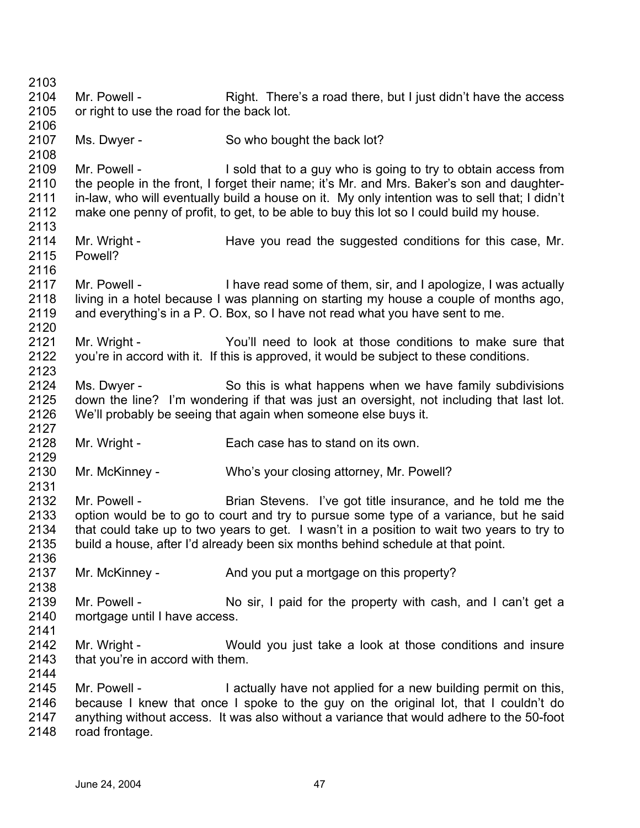2103 2104 2105 2106 2107 2108 2109 2110 2111 2112 2113 2114 2115 2116 2117 2118 2119 2120 2121 2122 2123 2124 2125 2126 2127 2128 2129 2130 2131 2132 2133 2134 2135 2136 2137 2138 2139 2140 2141 2142 2143 2144 2145 2146 2147 2148 Mr. Powell - Right. There's a road there, but I just didn't have the access or right to use the road for the back lot. Ms. Dwyer - So who bought the back lot? Mr. Powell - I sold that to a guy who is going to try to obtain access from the people in the front, I forget their name; it's Mr. and Mrs. Baker's son and daughterin-law, who will eventually build a house on it. My only intention was to sell that; I didn't make one penny of profit, to get, to be able to buy this lot so I could build my house. Mr. Wright - The Have you read the suggested conditions for this case, Mr. Powell? Mr. Powell - I have read some of them, sir, and I apologize, I was actually living in a hotel because I was planning on starting my house a couple of months ago, and everything's in a P. O. Box, so I have not read what you have sent to me. Mr. Wright - You'll need to look at those conditions to make sure that you're in accord with it. If this is approved, it would be subject to these conditions. Ms. Dwyer - So this is what happens when we have family subdivisions down the line? I'm wondering if that was just an oversight, not including that last lot. We'll probably be seeing that again when someone else buys it. Mr. Wright - Each case has to stand on its own. Mr. McKinney - Who's your closing attorney, Mr. Powell? Mr. Powell - Brian Stevens. I've got title insurance, and he told me the option would be to go to court and try to pursue some type of a variance, but he said that could take up to two years to get. I wasn't in a position to wait two years to try to build a house, after I'd already been six months behind schedule at that point. Mr. McKinney - And you put a mortgage on this property? Mr. Powell - No sir, I paid for the property with cash, and I can't get a mortgage until I have access. Mr. Wright - Would you just take a look at those conditions and insure that you're in accord with them. Mr. Powell - I actually have not applied for a new building permit on this, because I knew that once I spoke to the guy on the original lot, that I couldn't do anything without access. It was also without a variance that would adhere to the 50-foot road frontage.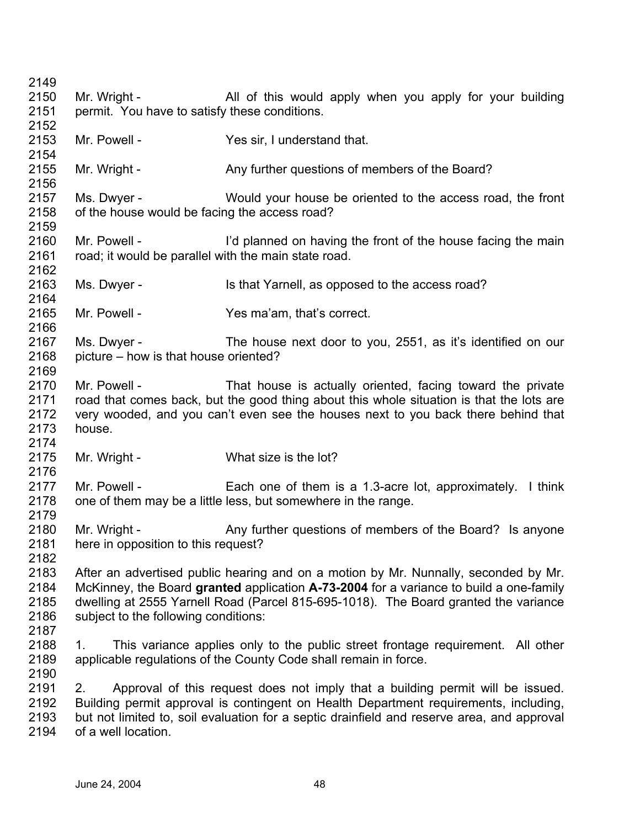| 2149 |                                                      |                                                                                            |
|------|------------------------------------------------------|--------------------------------------------------------------------------------------------|
| 2150 | Mr. Wright -                                         | All of this would apply when you apply for your building                                   |
| 2151 | permit. You have to satisfy these conditions.        |                                                                                            |
| 2152 |                                                      |                                                                                            |
|      |                                                      |                                                                                            |
| 2153 | Mr. Powell -                                         | Yes sir, I understand that.                                                                |
| 2154 |                                                      |                                                                                            |
| 2155 | Mr. Wright -                                         | Any further questions of members of the Board?                                             |
| 2156 |                                                      |                                                                                            |
| 2157 | Ms. Dwyer -                                          | Would your house be oriented to the access road, the front                                 |
| 2158 | of the house would be facing the access road?        |                                                                                            |
| 2159 |                                                      |                                                                                            |
| 2160 | Mr. Powell -                                         | I'd planned on having the front of the house facing the main                               |
| 2161 | road; it would be parallel with the main state road. |                                                                                            |
| 2162 |                                                      |                                                                                            |
| 2163 | Ms. Dwyer -                                          | Is that Yarnell, as opposed to the access road?                                            |
| 2164 |                                                      |                                                                                            |
| 2165 | Mr. Powell -                                         | Yes ma'am, that's correct.                                                                 |
| 2166 |                                                      |                                                                                            |
| 2167 | Ms. Dwyer -                                          | The house next door to you, 2551, as it's identified on our                                |
| 2168 | picture – how is that house oriented?                |                                                                                            |
| 2169 |                                                      |                                                                                            |
| 2170 | Mr. Powell -                                         | That house is actually oriented, facing toward the private                                 |
| 2171 |                                                      | road that comes back, but the good thing about this whole situation is that the lots are   |
| 2172 |                                                      | very wooded, and you can't even see the houses next to you back there behind that          |
| 2173 |                                                      |                                                                                            |
|      | house.                                               |                                                                                            |
| 2174 |                                                      |                                                                                            |
| 2175 | Mr. Wright -                                         | What size is the lot?                                                                      |
| 2176 |                                                      |                                                                                            |
| 2177 | Mr. Powell -                                         | Each one of them is a 1.3-acre lot, approximately. I think                                 |
| 2178 |                                                      | one of them may be a little less, but somewhere in the range.                              |
| 2179 |                                                      |                                                                                            |
| 2180 | Mr. Wright -                                         | Any further questions of members of the Board? Is anyone                                   |
| 2181 | here in opposition to this request?                  |                                                                                            |
| 2182 |                                                      |                                                                                            |
| 2183 |                                                      | After an advertised public hearing and on a motion by Mr. Nunnally, seconded by Mr.        |
| 2184 |                                                      | McKinney, the Board granted application A-73-2004 for a variance to build a one-family     |
| 2185 |                                                      | dwelling at 2555 Yarnell Road (Parcel 815-695-1018). The Board granted the variance        |
| 2186 | subject to the following conditions:                 |                                                                                            |
| 2187 |                                                      |                                                                                            |
| 2188 | 1.                                                   | This variance applies only to the public street frontage requirement. All other            |
| 2189 |                                                      | applicable regulations of the County Code shall remain in force.                           |
| 2190 |                                                      |                                                                                            |
| 2191 | 2.                                                   | Approval of this request does not imply that a building permit will be issued.             |
| 2192 |                                                      | Building permit approval is contingent on Health Department requirements, including,       |
| 2193 |                                                      | but not limited to, soil evaluation for a septic drainfield and reserve area, and approval |
|      | of a well location.                                  |                                                                                            |
| 2194 |                                                      |                                                                                            |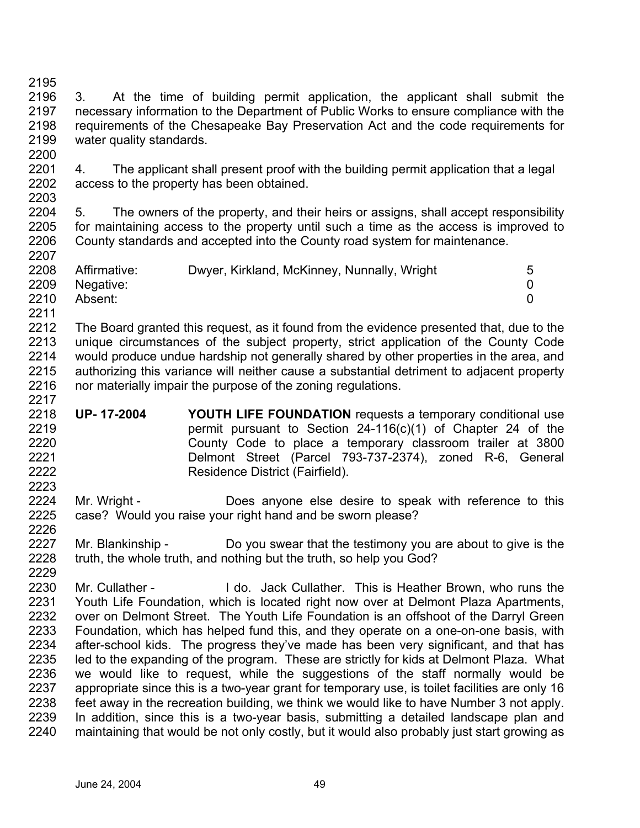- 2195 2196 2197 2198 2199 3. At the time of building permit application, the applicant shall submit the necessary information to the Department of Public Works to ensure compliance with the requirements of the Chesapeake Bay Preservation Act and the code requirements for water quality standards.
- 2201 2202 2203 4. The applicant shall present proof with the building permit application that a legal access to the property has been obtained.
- 2204 2205 2206 2207 5. The owners of the property, and their heirs or assigns, shall accept responsibility for maintaining access to the property until such a time as the access is improved to County standards and accepted into the County road system for maintenance.

| 2208 | Affirmative: | Dwyer, Kirkland, McKinney, Nunnally, Wright |  |
|------|--------------|---------------------------------------------|--|
| 2209 | Negative:    |                                             |  |
| 2210 | Absent:      |                                             |  |
| 2211 |              |                                             |  |

2212 2213 2214 2215 2216 The Board granted this request, as it found from the evidence presented that, due to the unique circumstances of the subject property, strict application of the County Code would produce undue hardship not generally shared by other properties in the area, and authorizing this variance will neither cause a substantial detriment to adjacent property nor materially impair the purpose of the zoning regulations.

- 2218 2219 2220 2221 2222 2223 **UP- 17-2004 YOUTH LIFE FOUNDATION** requests a temporary conditional use permit pursuant to Section 24-116(c)(1) of Chapter 24 of the County Code to place a temporary classroom trailer at 3800 Delmont Street (Parcel 793-737-2374), zoned R-6, General Residence District (Fairfield).
- 2224 2225 2226 Mr. Wright - **Does anyone else desire to speak with reference to this** case? Would you raise your right hand and be sworn please?
- 2227 2228 2229 Mr. Blankinship - Do you swear that the testimony you are about to give is the truth, the whole truth, and nothing but the truth, so help you God?
- 2230 2231 2232 2233 2234 2235 2236 2237 2238 2239 2240 Mr. Cullather - I do. Jack Cullather. This is Heather Brown, who runs the Youth Life Foundation, which is located right now over at Delmont Plaza Apartments, over on Delmont Street. The Youth Life Foundation is an offshoot of the Darryl Green Foundation, which has helped fund this, and they operate on a one-on-one basis, with after-school kids. The progress they've made has been very significant, and that has led to the expanding of the program. These are strictly for kids at Delmont Plaza. What we would like to request, while the suggestions of the staff normally would be appropriate since this is a two-year grant for temporary use, is toilet facilities are only 16 feet away in the recreation building, we think we would like to have Number 3 not apply. In addition, since this is a two-year basis, submitting a detailed landscape plan and maintaining that would be not only costly, but it would also probably just start growing as

2200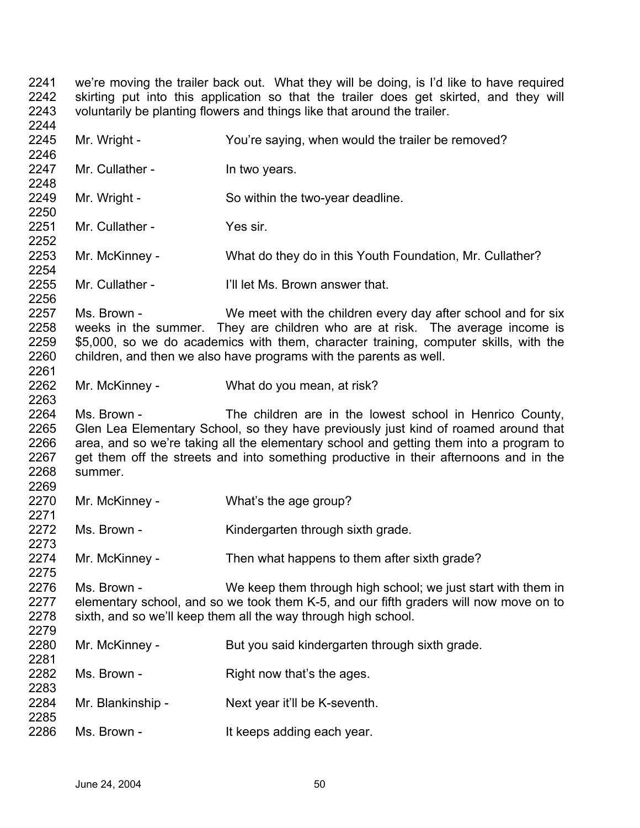we're moving the trailer back out. What they will be doing, is I'd like to have required skirting put into this application so that the trailer does get skirted, and they will voluntarily be planting flowers and things like that around the trailer. Mr. Wright - The You're saying, when would the trailer be removed? Mr. Cullather - In two years. Mr. Wright - So within the two-year deadline. Mr. Cullather - The Yes sir. Mr. McKinney - What do they do in this Youth Foundation, Mr. Cullather? Mr. Cullather - Till let Ms. Brown answer that. Ms. Brown - We meet with the children every day after school and for six weeks in the summer. They are children who are at risk. The average income is \$5,000, so we do academics with them, character training, computer skills, with the children, and then we also have programs with the parents as well. Mr. McKinney - What do you mean, at risk? Ms. Brown - The children are in the lowest school in Henrico County, Glen Lea Elementary School, so they have previously just kind of roamed around that area, and so we're taking all the elementary school and getting them into a program to get them off the streets and into something productive in their afternoons and in the summer. Mr. McKinney - What's the age group? Ms. Brown - Kindergarten through sixth grade. Mr. McKinney - Then what happens to them after sixth grade? Ms. Brown - We keep them through high school; we just start with them in elementary school, and so we took them K-5, and our fifth graders will now move on to sixth, and so we'll keep them all the way through high school. Mr. McKinney - But you said kindergarten through sixth grade. Ms. Brown - Right now that's the ages. Mr. Blankinship - Next year it'll be K-seventh. Ms. Brown - The Music Histography It keeps adding each year.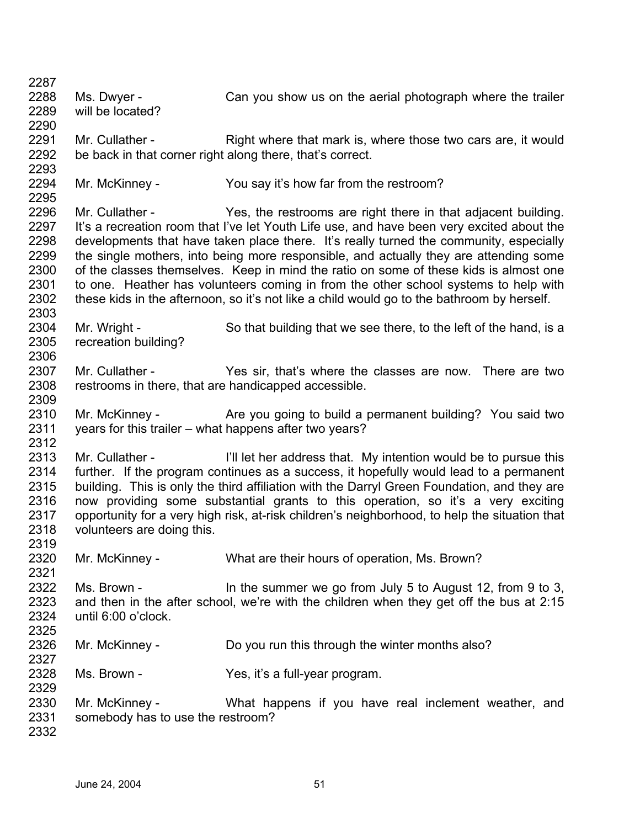2287 2288 2289 2290 2291 2292 2293 2294 2295 2296 2297 2298 2299 2300 2301 2302 2303 2304 2305 2306 2307 2308 2309 2310 2311 2312 2313 2314 2315 2316 2317 2318 2319 2320 2321 2322 2323 2324 2325 2326 2327 2328 2329 2330 2331 2332 Ms. Dwyer - Can you show us on the aerial photograph where the trailer will be located? Mr. Cullather - Right where that mark is, where those two cars are, it would be back in that corner right along there, that's correct. Mr. McKinney - You say it's how far from the restroom? Mr. Cullather - Yes, the restrooms are right there in that adjacent building. It's a recreation room that I've let Youth Life use, and have been very excited about the developments that have taken place there. It's really turned the community, especially the single mothers, into being more responsible, and actually they are attending some of the classes themselves. Keep in mind the ratio on some of these kids is almost one to one. Heather has volunteers coming in from the other school systems to help with these kids in the afternoon, so it's not like a child would go to the bathroom by herself. Mr. Wright - So that building that we see there, to the left of the hand, is a recreation building? Mr. Cullather - Yes sir, that's where the classes are now. There are two restrooms in there, that are handicapped accessible. Mr. McKinney - The you going to build a permanent building? You said two years for this trailer – what happens after two years? Mr. Cullather - The I'll let her address that. My intention would be to pursue this further. If the program continues as a success, it hopefully would lead to a permanent building. This is only the third affiliation with the Darryl Green Foundation, and they are now providing some substantial grants to this operation, so it's a very exciting opportunity for a very high risk, at-risk children's neighborhood, to help the situation that volunteers are doing this. Mr. McKinney - What are their hours of operation, Ms. Brown? Ms. Brown - The summer we go from July 5 to August 12, from 9 to 3, and then in the after school, we're with the children when they get off the bus at 2:15 until 6:00 o'clock. Mr. McKinney - Do you run this through the winter months also? Ms. Brown - Yes, it's a full-year program. Mr. McKinney - The What happens if you have real inclement weather, and somebody has to use the restroom?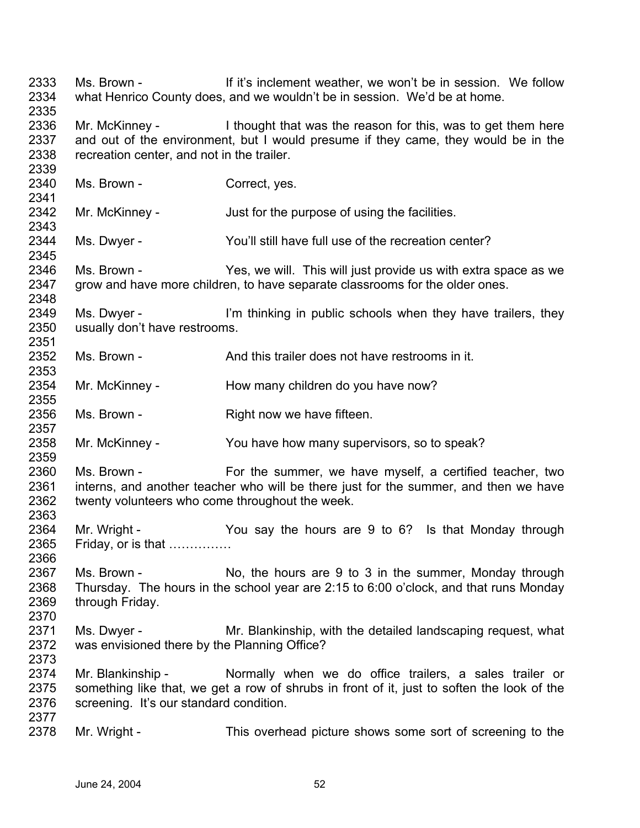2333 2334 2335 2336 2337 2338 2339 2340 2341 2342 2343 2344 2345 2346 2347 2348 2349 2350 2351 2352 2353 2354 2355 2356 2357 2358 2359 2360 2361 2362 2363 2364 2365 2366 2367 2368 2369 2370 2371 2372 2373 2374 2375 2376 2377 2378 Ms. Brown - If it's inclement weather, we won't be in session. We follow what Henrico County does, and we wouldn't be in session. We'd be at home. Mr. McKinney - I thought that was the reason for this, was to get them here and out of the environment, but I would presume if they came, they would be in the recreation center, and not in the trailer. Ms. Brown - Correct, yes. Mr. McKinney - Just for the purpose of using the facilities. Ms. Dwyer - You'll still have full use of the recreation center? Ms. Brown - Yes, we will. This will just provide us with extra space as we grow and have more children, to have separate classrooms for the older ones. Ms. Dwyer - I'm thinking in public schools when they have trailers, they usually don't have restrooms. Ms. Brown - And this trailer does not have restrooms in it. Mr. McKinney - How many children do you have now? Ms. Brown - Right now we have fifteen. Mr. McKinney - You have how many supervisors, so to speak? Ms. Brown - For the summer, we have myself, a certified teacher, two interns, and another teacher who will be there just for the summer, and then we have twenty volunteers who come throughout the week. Mr. Wright - You say the hours are 9 to 6? Is that Monday through Friday, or is that …………… Ms. Brown - No, the hours are 9 to 3 in the summer, Monday through Thursday. The hours in the school year are 2:15 to 6:00 o'clock, and that runs Monday through Friday. Ms. Dwyer - **Mr. Blankinship, with the detailed landscaping request, what** was envisioned there by the Planning Office? Mr. Blankinship - Normally when we do office trailers, a sales trailer or something like that, we get a row of shrubs in front of it, just to soften the look of the screening. It's our standard condition. Mr. Wright - This overhead picture shows some sort of screening to the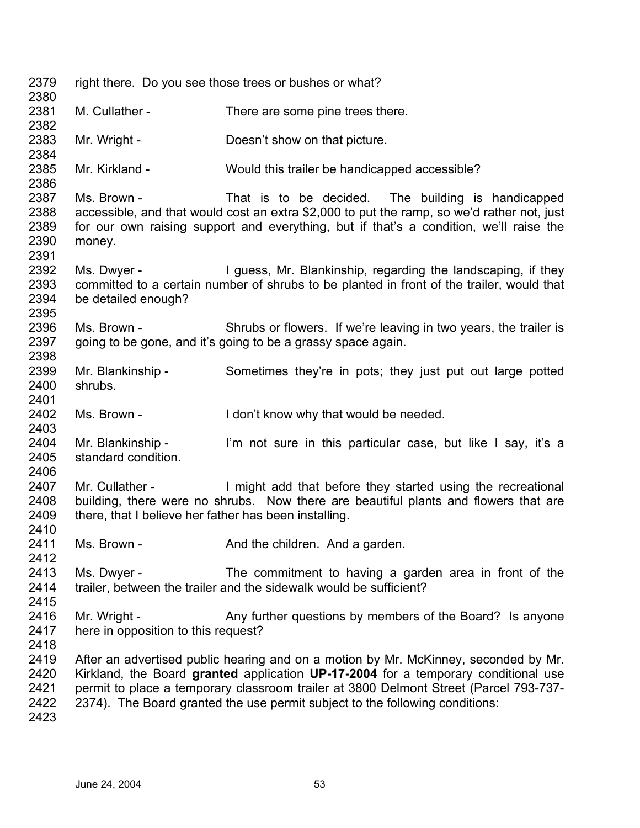| 2379<br>2380                         |                                                       | right there. Do you see those trees or bushes or what?                                                                                                                                                                                                                                                                                             |
|--------------------------------------|-------------------------------------------------------|----------------------------------------------------------------------------------------------------------------------------------------------------------------------------------------------------------------------------------------------------------------------------------------------------------------------------------------------------|
| 2381<br>2382                         | M. Cullather -                                        | There are some pine trees there.                                                                                                                                                                                                                                                                                                                   |
| 2383<br>2384                         | Mr. Wright -                                          | Doesn't show on that picture.                                                                                                                                                                                                                                                                                                                      |
| 2385<br>2386                         | Mr. Kirkland -                                        | Would this trailer be handicapped accessible?                                                                                                                                                                                                                                                                                                      |
| 2387<br>2388<br>2389<br>2390<br>2391 | Ms. Brown -<br>money.                                 | That is to be decided. The building is handicapped<br>accessible, and that would cost an extra \$2,000 to put the ramp, so we'd rather not, just<br>for our own raising support and everything, but if that's a condition, we'll raise the                                                                                                         |
| 2392<br>2393<br>2394<br>2395         | Ms. Dwyer -<br>be detailed enough?                    | I guess, Mr. Blankinship, regarding the landscaping, if they<br>committed to a certain number of shrubs to be planted in front of the trailer, would that                                                                                                                                                                                          |
| 2396<br>2397<br>2398                 | Ms. Brown -                                           | Shrubs or flowers. If we're leaving in two years, the trailer is<br>going to be gone, and it's going to be a grassy space again.                                                                                                                                                                                                                   |
| 2399<br>2400<br>2401                 | Mr. Blankinship -<br>shrubs.                          | Sometimes they're in pots; they just put out large potted                                                                                                                                                                                                                                                                                          |
| 2402<br>2403                         | Ms. Brown -                                           | I don't know why that would be needed.                                                                                                                                                                                                                                                                                                             |
| 2404<br>2405<br>2406                 | Mr. Blankinship -<br>standard condition.              | I'm not sure in this particular case, but like I say, it's a                                                                                                                                                                                                                                                                                       |
| 2407<br>2408<br>2409<br>2410         | there, that I believe her father has been installing. | Mr. Cullather - I might add that before they started using the recreational<br>building, there were no shrubs. Now there are beautiful plants and flowers that are                                                                                                                                                                                 |
| 2411<br>2412                         | Ms. Brown -                                           | And the children. And a garden.                                                                                                                                                                                                                                                                                                                    |
| 2413<br>2414<br>2415                 | Ms. Dwyer -                                           | The commitment to having a garden area in front of the<br>trailer, between the trailer and the sidewalk would be sufficient?                                                                                                                                                                                                                       |
| 2416<br>2417<br>2418                 | Mr. Wright -<br>here in opposition to this request?   | Any further questions by members of the Board? Is anyone                                                                                                                                                                                                                                                                                           |
| 2419<br>2420<br>2421<br>2422<br>2423 |                                                       | After an advertised public hearing and on a motion by Mr. McKinney, seconded by Mr.<br>Kirkland, the Board granted application UP-17-2004 for a temporary conditional use<br>permit to place a temporary classroom trailer at 3800 Delmont Street (Parcel 793-737-<br>2374). The Board granted the use permit subject to the following conditions: |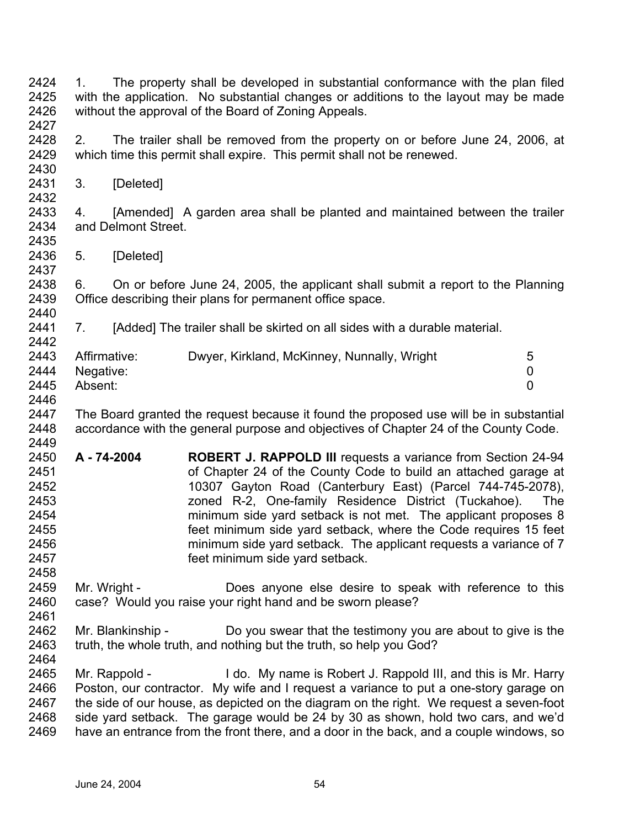- 2424 2425 2426 2427 1. The property shall be developed in substantial conformance with the plan filed with the application. No substantial changes or additions to the layout may be made without the approval of the Board of Zoning Appeals.
- 2428 2429 2. The trailer shall be removed from the property on or before June 24, 2006, at which time this permit shall expire. This permit shall not be renewed.
- 2431 3. [Deleted]

2430

2432

2440

2458

2461

2464

- 2433 2434 2435 4. [Amended] A garden area shall be planted and maintained between the trailer and Delmont Street.
- 2436 2437 5. [Deleted]

2438 2439 6. On or before June 24, 2005, the applicant shall submit a report to the Planning Office describing their plans for permanent office space.

2441 2442 7. [Added] The trailer shall be skirted on all sides with a durable material.

| 2443 | Affirmative:   | Dwyer, Kirkland, McKinney, Nunnally, Wright |  |
|------|----------------|---------------------------------------------|--|
|      | 2444 Negative: |                                             |  |
| 2445 | Absent:        |                                             |  |

2446

2447 2448 2449 The Board granted the request because it found the proposed use will be in substantial accordance with the general purpose and objectives of Chapter 24 of the County Code.

- 2450 2451 2452 2453 2454 2455 2456 2457 **A - 74-2004 ROBERT J. RAPPOLD III** requests a variance from Section 24-94 of Chapter 24 of the County Code to build an attached garage at 10307 Gayton Road (Canterbury East) (Parcel 744-745-2078), zoned R-2, One-family Residence District (Tuckahoe). The minimum side yard setback is not met. The applicant proposes 8 feet minimum side yard setback, where the Code requires 15 feet minimum side yard setback. The applicant requests a variance of 7 feet minimum side yard setback.
- 2459 2460 Mr. Wright - **Does anyone else desire to speak with reference to this** case? Would you raise your right hand and be sworn please?
- 2462 2463 Mr. Blankinship - Do you swear that the testimony you are about to give is the truth, the whole truth, and nothing but the truth, so help you God?
- 2465 2466 2467 2468 2469 Mr. Rappold - I do. My name is Robert J. Rappold III, and this is Mr. Harry Poston, our contractor. My wife and I request a variance to put a one-story garage on the side of our house, as depicted on the diagram on the right. We request a seven-foot side yard setback. The garage would be 24 by 30 as shown, hold two cars, and we'd have an entrance from the front there, and a door in the back, and a couple windows, so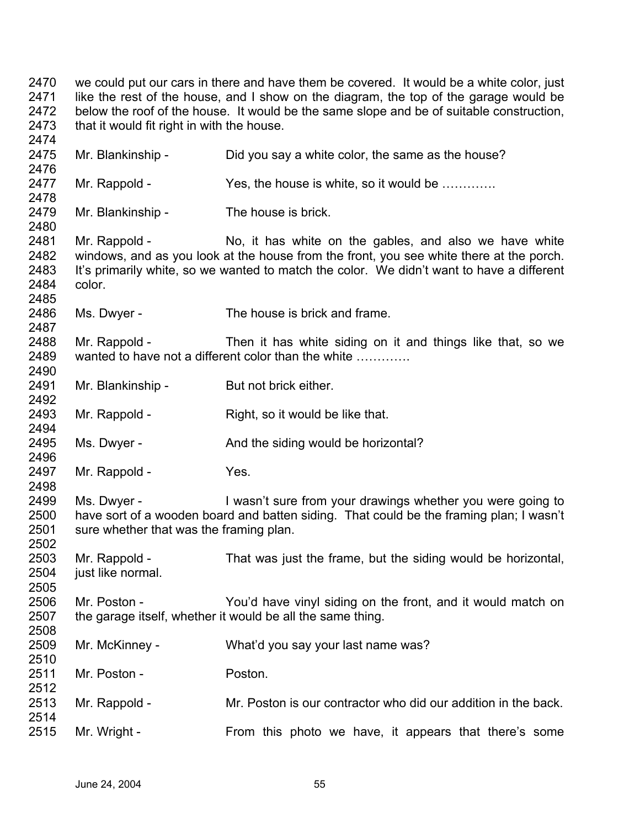we could put our cars in there and have them be covered. It would be a white color, just like the rest of the house, and I show on the diagram, the top of the garage would be below the roof of the house. It would be the same slope and be of suitable construction, that it would fit right in with the house. Mr. Blankinship - Did you say a white color, the same as the house? Mr. Rappold - Yes, the house is white, so it would be ............. Mr. Blankinship - The house is brick. Mr. Rappold - No, it has white on the gables, and also we have white windows, and as you look at the house from the front, you see white there at the porch. It's primarily white, so we wanted to match the color. We didn't want to have a different color. Ms. Dwyer - The house is brick and frame. Mr. Rappold - Then it has white siding on it and things like that, so we wanted to have not a different color than the white ............ Mr. Blankinship - But not brick either. Mr. Rappold - Right, so it would be like that. Ms. Dwyer - And the siding would be horizontal? Mr. Rappold - Yes. Ms. Dwyer - I wasn't sure from your drawings whether you were going to have sort of a wooden board and batten siding. That could be the framing plan; I wasn't sure whether that was the framing plan. Mr. Rappold - That was just the frame, but the siding would be horizontal, just like normal. Mr. Poston - You'd have vinyl siding on the front, and it would match on the garage itself, whether it would be all the same thing. Mr. McKinney - What'd you say your last name was? Mr. Poston - Poston. Mr. Rappold - Mr. Poston is our contractor who did our addition in the back. Mr. Wright - From this photo we have, it appears that there's some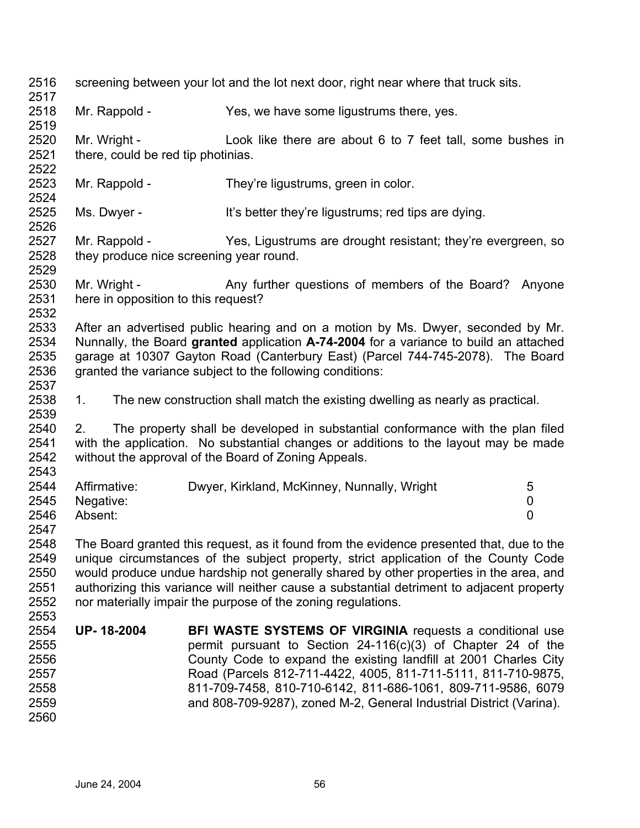- 2516 screening between your lot and the lot next door, right near where that truck sits.
- 2518 Mr. Rappold - Yes, we have some ligustrums there, yes.
- 2520 2521 2522 Mr. Wright - The Look like there are about 6 to 7 feet tall, some bushes in there, could be red tip photinias.
- 2523 Mr. Rappold - They're ligustrums, green in color.

2517

2519

2524

2529

2532

2537

2539

- 2525 2526 Ms. Dwyer - It's better they're ligustrums; red tips are dying.
- 2527 2528 Mr. Rappold - Yes, Ligustrums are drought resistant; they're evergreen, so they produce nice screening year round.
- 2530 2531 Mr. Wright - Any further questions of members of the Board? Anyone here in opposition to this request?
- 2533 2534 2535 2536 After an advertised public hearing and on a motion by Ms. Dwyer, seconded by Mr. Nunnally, the Board **granted** application **A-74-2004** for a variance to build an attached garage at 10307 Gayton Road (Canterbury East) (Parcel 744-745-2078). The Board granted the variance subject to the following conditions:
- 2538 1. The new construction shall match the existing dwelling as nearly as practical.
- 2540 2541 2542 2543 2. The property shall be developed in substantial conformance with the plan filed with the application. No substantial changes or additions to the layout may be made without the approval of the Board of Zoning Appeals.

| 2544 | Affirmative:   | Dwyer, Kirkland, McKinney, Nunnally, Wright | 5 |
|------|----------------|---------------------------------------------|---|
|      | 2545 Negative: |                                             |   |
| 2546 | Absent:        |                                             |   |
| 2547 |                |                                             |   |

- 2548 2549 2550 2551 2552 The Board granted this request, as it found from the evidence presented that, due to the unique circumstances of the subject property, strict application of the County Code would produce undue hardship not generally shared by other properties in the area, and authorizing this variance will neither cause a substantial detriment to adjacent property nor materially impair the purpose of the zoning regulations.
- 2554 2555 2556 2557 2558 2559 2560 **UP- 18-2004 BFI WASTE SYSTEMS OF VIRGINIA** requests a conditional use permit pursuant to Section 24-116(c)(3) of Chapter 24 of the County Code to expand the existing landfill at 2001 Charles City Road (Parcels 812-711-4422, 4005, 811-711-5111, 811-710-9875, 811-709-7458, 810-710-6142, 811-686-1061, 809-711-9586, 6079 and 808-709-9287), zoned M-2, General Industrial District (Varina).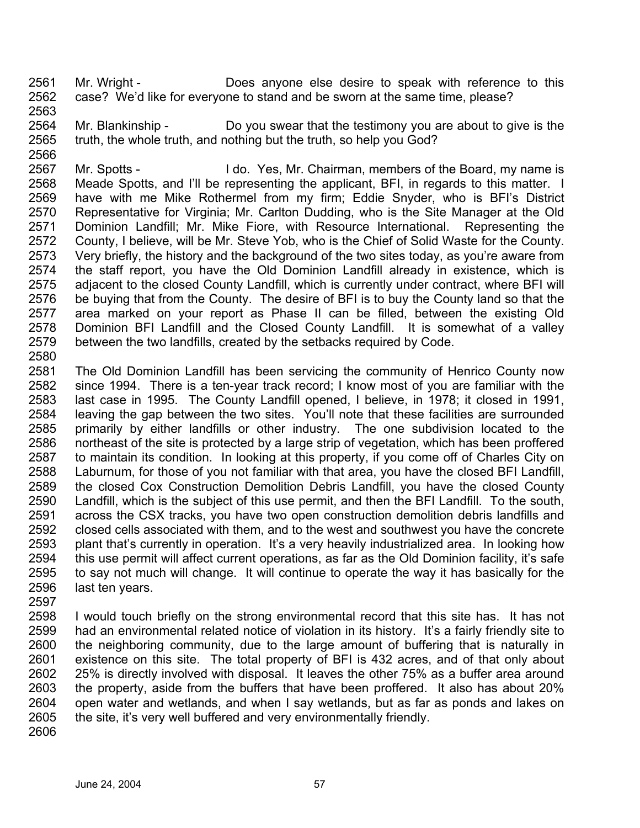2561 2562 Mr. Wright - **Does anyone else desire to speak with reference to this** case? We'd like for everyone to stand and be sworn at the same time, please?

2564 2565 Mr. Blankinship - Do you swear that the testimony you are about to give is the truth, the whole truth, and nothing but the truth, so help you God?

2567 2568 2569 2570 2571 2572 2573 2574 2575 2576 2577 2578 2579 2580 Mr. Spotts - **I** do. Yes, Mr. Chairman, members of the Board, my name is Meade Spotts, and I'll be representing the applicant, BFI, in regards to this matter. I have with me Mike Rothermel from my firm; Eddie Snyder, who is BFI's District Representative for Virginia; Mr. Carlton Dudding, who is the Site Manager at the Old Dominion Landfill; Mr. Mike Fiore, with Resource International. Representing the County, I believe, will be Mr. Steve Yob, who is the Chief of Solid Waste for the County. Very briefly, the history and the background of the two sites today, as you're aware from the staff report, you have the Old Dominion Landfill already in existence, which is adjacent to the closed County Landfill, which is currently under contract, where BFI will be buying that from the County. The desire of BFI is to buy the County land so that the area marked on your report as Phase II can be filled, between the existing Old Dominion BFI Landfill and the Closed County Landfill. It is somewhat of a valley between the two landfills, created by the setbacks required by Code.

- 2581 2582 2583 2584 2585 2586 2587 2588 2589 2590 2591 2592 2593 2594 2595 2596 The Old Dominion Landfill has been servicing the community of Henrico County now since 1994. There is a ten-year track record; I know most of you are familiar with the last case in 1995. The County Landfill opened, I believe, in 1978; it closed in 1991, leaving the gap between the two sites. You'll note that these facilities are surrounded primarily by either landfills or other industry. The one subdivision located to the northeast of the site is protected by a large strip of vegetation, which has been proffered to maintain its condition. In looking at this property, if you come off of Charles City on Laburnum, for those of you not familiar with that area, you have the closed BFI Landfill, the closed Cox Construction Demolition Debris Landfill, you have the closed County Landfill, which is the subject of this use permit, and then the BFI Landfill. To the south, across the CSX tracks, you have two open construction demolition debris landfills and closed cells associated with them, and to the west and southwest you have the concrete plant that's currently in operation. It's a very heavily industrialized area. In looking how this use permit will affect current operations, as far as the Old Dominion facility, it's safe to say not much will change. It will continue to operate the way it has basically for the last ten years.
- 2597

2563

2566

2598 2599 2600 2601 2602 2603 2604 2605 I would touch briefly on the strong environmental record that this site has. It has not had an environmental related notice of violation in its history. It's a fairly friendly site to the neighboring community, due to the large amount of buffering that is naturally in existence on this site. The total property of BFI is 432 acres, and of that only about 25% is directly involved with disposal. It leaves the other 75% as a buffer area around the property, aside from the buffers that have been proffered. It also has about 20% open water and wetlands, and when I say wetlands, but as far as ponds and lakes on the site, it's very well buffered and very environmentally friendly.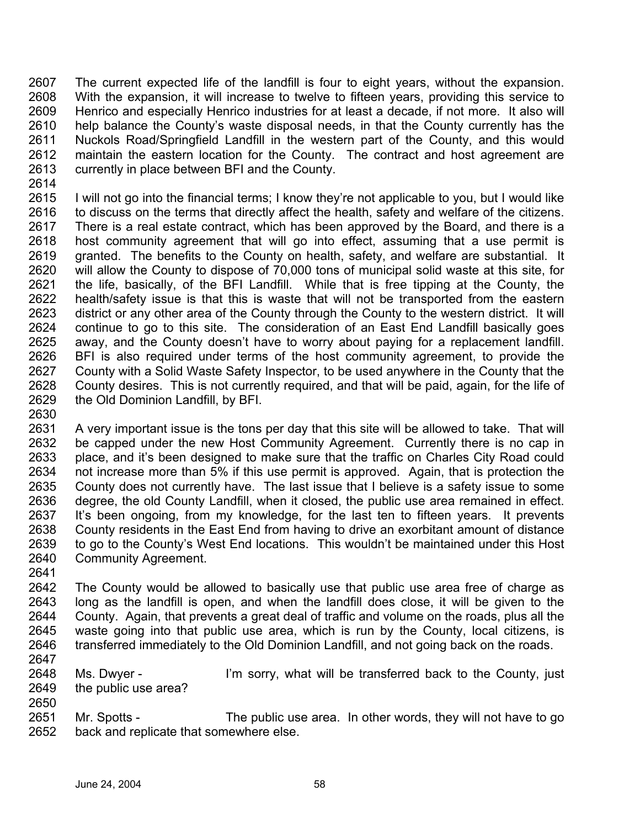2607 2608 2609 2610 2611 2612 2613 The current expected life of the landfill is four to eight years, without the expansion. With the expansion, it will increase to twelve to fifteen years, providing this service to Henrico and especially Henrico industries for at least a decade, if not more. It also will help balance the County's waste disposal needs, in that the County currently has the Nuckols Road/Springfield Landfill in the western part of the County, and this would maintain the eastern location for the County. The contract and host agreement are currently in place between BFI and the County.

2614

2615 2616 2617 2618 2619 2620 2621 2622 2623 2624 2625 2626 2627 2628 2629 I will not go into the financial terms; I know they're not applicable to you, but I would like to discuss on the terms that directly affect the health, safety and welfare of the citizens. There is a real estate contract, which has been approved by the Board, and there is a host community agreement that will go into effect, assuming that a use permit is granted. The benefits to the County on health, safety, and welfare are substantial. It will allow the County to dispose of 70,000 tons of municipal solid waste at this site, for the life, basically, of the BFI Landfill. While that is free tipping at the County, the health/safety issue is that this is waste that will not be transported from the eastern district or any other area of the County through the County to the western district. It will continue to go to this site. The consideration of an East End Landfill basically goes away, and the County doesn't have to worry about paying for a replacement landfill. BFI is also required under terms of the host community agreement, to provide the County with a Solid Waste Safety Inspector, to be used anywhere in the County that the County desires. This is not currently required, and that will be paid, again, for the life of the Old Dominion Landfill, by BFI.

2630

2631 2632 2633 2634 2635 2636 2637 2638 2639 2640 A very important issue is the tons per day that this site will be allowed to take. That will be capped under the new Host Community Agreement. Currently there is no cap in place, and it's been designed to make sure that the traffic on Charles City Road could not increase more than 5% if this use permit is approved. Again, that is protection the County does not currently have. The last issue that I believe is a safety issue to some degree, the old County Landfill, when it closed, the public use area remained in effect. It's been ongoing, from my knowledge, for the last ten to fifteen years. It prevents County residents in the East End from having to drive an exorbitant amount of distance to go to the County's West End locations. This wouldn't be maintained under this Host Community Agreement.

2641

2650

2642 2643 2644 2645 2646 2647 The County would be allowed to basically use that public use area free of charge as long as the landfill is open, and when the landfill does close, it will be given to the County. Again, that prevents a great deal of traffic and volume on the roads, plus all the waste going into that public use area, which is run by the County, local citizens, is transferred immediately to the Old Dominion Landfill, and not going back on the roads.

- 2648 2649 Ms. Dwyer - I'm sorry, what will be transferred back to the County, just the public use area?
- 2651 2652 Mr. Spotts - The public use area. In other words, they will not have to go back and replicate that somewhere else.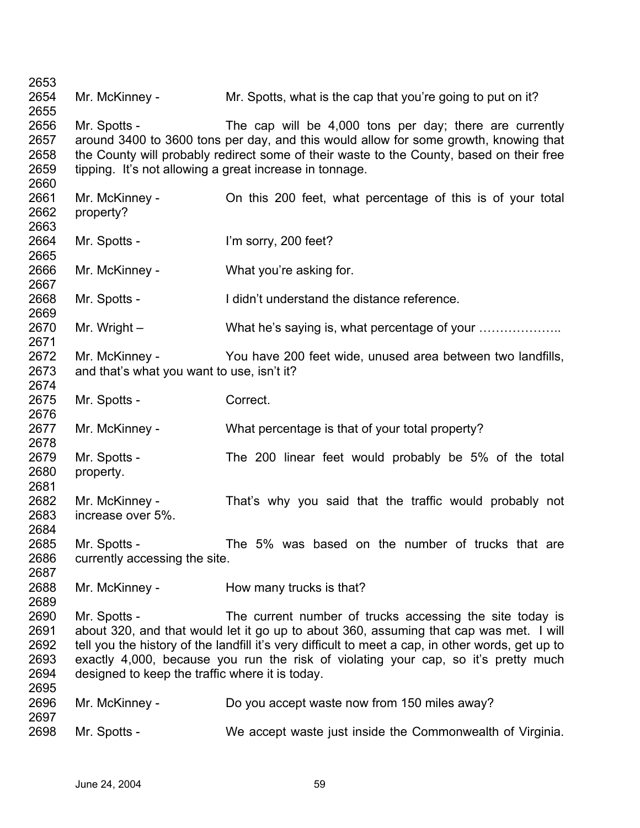Mr. McKinney - Mr. Spotts, what is the cap that you're going to put on it? Mr. Spotts - The cap will be 4,000 tons per day; there are currently around 3400 to 3600 tons per day, and this would allow for some growth, knowing that the County will probably redirect some of their waste to the County, based on their free tipping. It's not allowing a great increase in tonnage. Mr. McKinney - Chris 200 feet, what percentage of this is of your total property? Mr. Spotts - I'm sorry, 200 feet? Mr. McKinney - What you're asking for. Mr. Spotts - I didn't understand the distance reference. Mr. Wright – What he's saying is, what percentage of your ...................... Mr. McKinney - You have 200 feet wide, unused area between two landfills, and that's what you want to use, isn't it? Mr. Spotts - Correct. Mr. McKinney - What percentage is that of your total property? Mr. Spotts - The 200 linear feet would probably be 5% of the total property. Mr. McKinney - That's why you said that the traffic would probably not increase over 5%. Mr. Spotts - The 5% was based on the number of trucks that are currently accessing the site. Mr. McKinney - How many trucks is that? Mr. Spotts - The current number of trucks accessing the site today is about 320, and that would let it go up to about 360, assuming that cap was met. I will tell you the history of the landfill it's very difficult to meet a cap, in other words, get up to exactly 4,000, because you run the risk of violating your cap, so it's pretty much designed to keep the traffic where it is today. Mr. McKinney - Do you accept waste now from 150 miles away? Mr. Spotts - We accept waste just inside the Commonwealth of Virginia.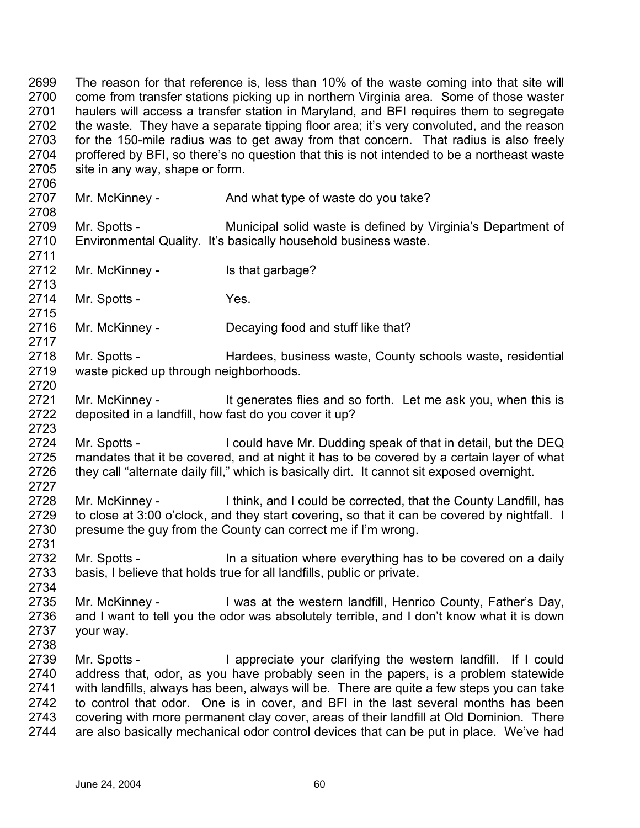2699 2700 2701 2702 2703 2704 2705 2706 2707 2708 2709 2710 2711 2712 2713 2714 2715 2716 2717 2718 2719 2720 2721 2722 2723 2724 2725 2726 2727 2728 2729 2730 2731 2732 2733 2734 2735 2736 2737 2738 2739 2740 2741 2742 2743 2744 The reason for that reference is, less than 10% of the waste coming into that site will come from transfer stations picking up in northern Virginia area. Some of those waster haulers will access a transfer station in Maryland, and BFI requires them to segregate the waste. They have a separate tipping floor area; it's very convoluted, and the reason for the 150-mile radius was to get away from that concern. That radius is also freely proffered by BFI, so there's no question that this is not intended to be a northeast waste site in any way, shape or form. Mr. McKinney - And what type of waste do you take? Mr. Spotts - Municipal solid waste is defined by Virginia's Department of Environmental Quality. It's basically household business waste. Mr. McKinney - Is that garbage? Mr. Spotts - Yes. Mr. McKinney - Decaying food and stuff like that? Mr. Spotts - **Hardees, business waste, County schools waste, residential** waste picked up through neighborhoods. Mr. McKinney - It generates flies and so forth. Let me ask you, when this is deposited in a landfill, how fast do you cover it up? Mr. Spotts - I could have Mr. Dudding speak of that in detail, but the DEQ mandates that it be covered, and at night it has to be covered by a certain layer of what they call "alternate daily fill," which is basically dirt. It cannot sit exposed overnight. Mr. McKinney - I think, and I could be corrected, that the County Landfill, has to close at 3:00 o'clock, and they start covering, so that it can be covered by nightfall. I presume the guy from the County can correct me if I'm wrong. Mr. Spotts - In a situation where everything has to be covered on a daily basis, I believe that holds true for all landfills, public or private. Mr. McKinney - I was at the western landfill, Henrico County, Father's Day, and I want to tell you the odor was absolutely terrible, and I don't know what it is down your way. Mr. Spotts - I appreciate your clarifying the western landfill. If I could address that, odor, as you have probably seen in the papers, is a problem statewide with landfills, always has been, always will be. There are quite a few steps you can take to control that odor. One is in cover, and BFI in the last several months has been covering with more permanent clay cover, areas of their landfill at Old Dominion. There are also basically mechanical odor control devices that can be put in place. We've had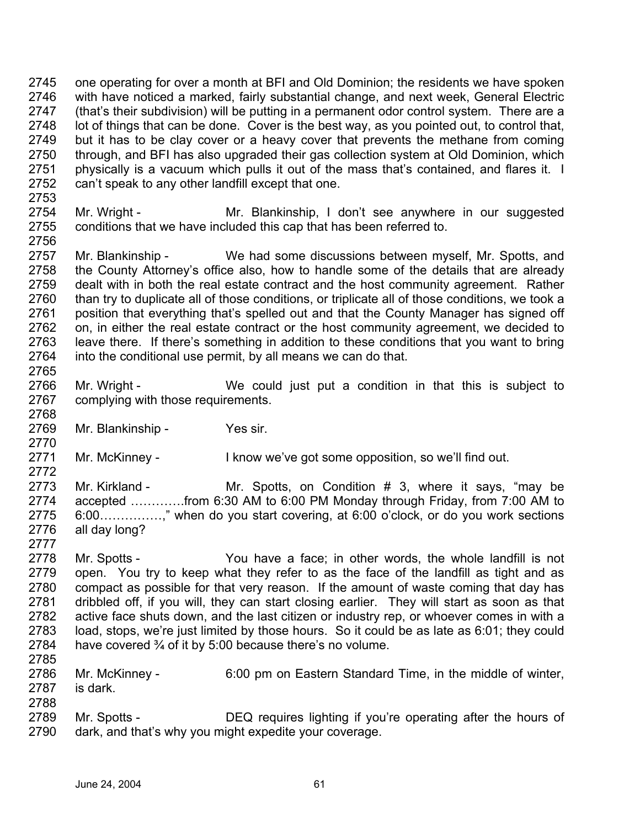2745 2746 2747 2748 2749 2750 2751 2752 one operating for over a month at BFI and Old Dominion; the residents we have spoken with have noticed a marked, fairly substantial change, and next week, General Electric (that's their subdivision) will be putting in a permanent odor control system. There are a lot of things that can be done. Cover is the best way, as you pointed out, to control that, but it has to be clay cover or a heavy cover that prevents the methane from coming through, and BFI has also upgraded their gas collection system at Old Dominion, which physically is a vacuum which pulls it out of the mass that's contained, and flares it. I can't speak to any other landfill except that one.

2754 2755 2756 Mr. Wright - Mr. Blankinship, I don't see anywhere in our suggested conditions that we have included this cap that has been referred to.

2757 2758 2759 2760 2761 2762 2763 2764 2765 Mr. Blankinship - We had some discussions between myself, Mr. Spotts, and the County Attorney's office also, how to handle some of the details that are already dealt with in both the real estate contract and the host community agreement. Rather than try to duplicate all of those conditions, or triplicate all of those conditions, we took a position that everything that's spelled out and that the County Manager has signed off on, in either the real estate contract or the host community agreement, we decided to leave there. If there's something in addition to these conditions that you want to bring into the conditional use permit, by all means we can do that.

- 2766 2767 2768 Mr. Wright - We could just put a condition in that this is subject to complying with those requirements.
- 2769 Mr. Blankinship - Yes sir.

2753

2770

2772

2777

2771 Mr. McKinney - I know we've got some opposition, so we'll find out.

2773 2774 2775 2776 Mr. Kirkland - The Mr. Spotts, on Condition # 3, where it says, "may be accepted ………….from 6:30 AM to 6:00 PM Monday through Friday, from 7:00 AM to 6:00……………," when do you start covering, at 6:00 o'clock, or do you work sections all day long?

- 2778 2779 2780 2781 2782 2783 2784 2785 Mr. Spotts - The You have a face; in other words, the whole landfill is not open. You try to keep what they refer to as the face of the landfill as tight and as compact as possible for that very reason. If the amount of waste coming that day has dribbled off, if you will, they can start closing earlier. They will start as soon as that active face shuts down, and the last citizen or industry rep, or whoever comes in with a load, stops, we're just limited by those hours. So it could be as late as 6:01; they could have covered <sup>3</sup>/<sub>4</sub> of it by 5:00 because there's no volume.
- 2786 2787 2788 Mr. McKinney - 6:00 pm on Eastern Standard Time, in the middle of winter, is dark.
- 2789 2790 Mr. Spotts - DEQ requires lighting if you're operating after the hours of dark, and that's why you might expedite your coverage.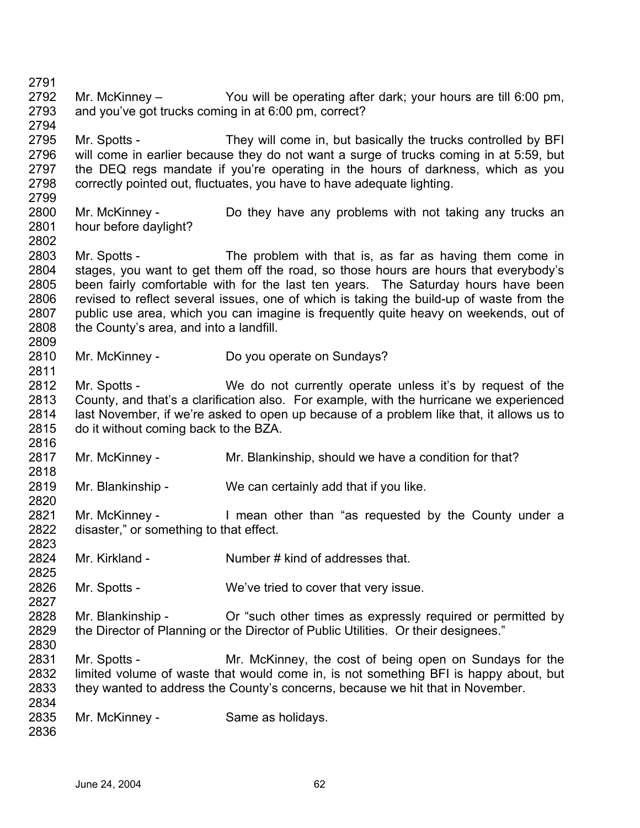2791 2792 2793 2794 Mr. McKinney – You will be operating after dark; your hours are till 6:00 pm, and you've got trucks coming in at 6:00 pm, correct?

2795 2796 2797 2798 2799 Mr. Spotts - They will come in, but basically the trucks controlled by BFI will come in earlier because they do not want a surge of trucks coming in at 5:59, but the DEQ regs mandate if you're operating in the hours of darkness, which as you correctly pointed out, fluctuates, you have to have adequate lighting.

2800 2801 Mr. McKinney - The Up they have any problems with not taking any trucks an hour before daylight?

2803 2804 2805 2806 2807 2808 Mr. Spotts - The problem with that is, as far as having them come in stages, you want to get them off the road, so those hours are hours that everybody's been fairly comfortable with for the last ten years. The Saturday hours have been revised to reflect several issues, one of which is taking the build-up of waste from the public use area, which you can imagine is frequently quite heavy on weekends, out of the County's area, and into a landfill.

2810 Mr. McKinney - Do you operate on Sundays?

2812 2813 2814 2815 Mr. Spotts - We do not currently operate unless it's by request of the County, and that's a clarification also. For example, with the hurricane we experienced last November, if we're asked to open up because of a problem like that, it allows us to do it without coming back to the BZA.

2817 Mr. McKinney - The Mr. Blankinship, should we have a condition for that?

2819 Mr. Blankinship - We can certainly add that if you like.

2821 2822 Mr. McKinney - I mean other than "as requested by the County under a disaster," or something to that effect.

2824 Mr. Kirkland - The Number # kind of addresses that.

2826 Mr. Spotts - We've tried to cover that very issue.

2828 2829 2830 Mr. Blankinship - Or "such other times as expressly required or permitted by the Director of Planning or the Director of Public Utilities. Or their designees."

2831 2832 2833 2834 Mr. Spotts - The Mr. McKinney, the cost of being open on Sundays for the limited volume of waste that would come in, is not something BFI is happy about, but they wanted to address the County's concerns, because we hit that in November.

2835 Mr. McKinney - Same as holidays.

2836

2802

2809

2811

2816

2818

2820

2823

2825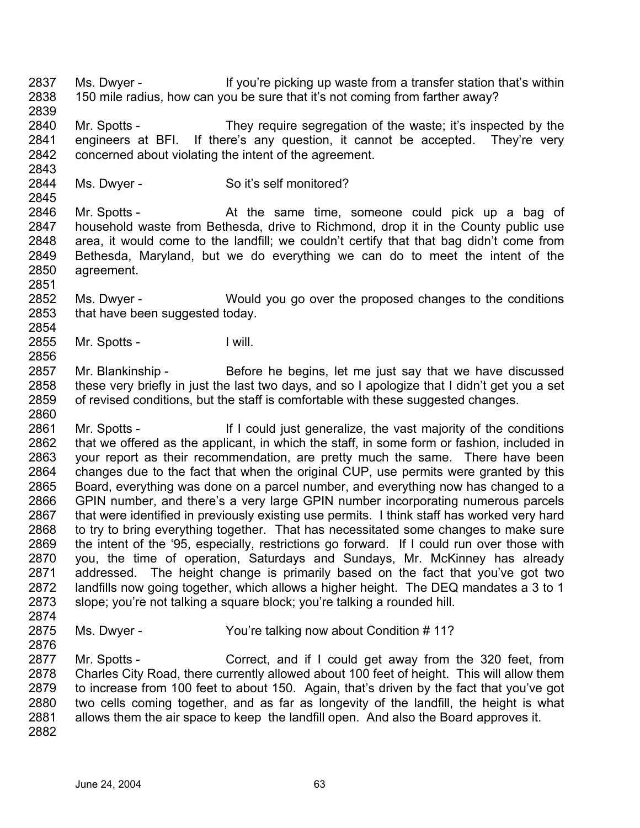2837 2838 Ms. Dwyer - If you're picking up waste from a transfer station that's within 150 mile radius, how can you be sure that it's not coming from farther away?

2839 2840 2841 2842 2843 Mr. Spotts - They require segregation of the waste; it's inspected by the engineers at BFI. If there's any question, it cannot be accepted. They're very concerned about violating the intent of the agreement.

2844 Ms. Dwyer - So it's self monitored?

2846 2847 2848 2849 2850 Mr. Spotts - The At the same time, someone could pick up a bag of household waste from Bethesda, drive to Richmond, drop it in the County public use area, it would come to the landfill; we couldn't certify that that bag didn't come from Bethesda, Maryland, but we do everything we can do to meet the intent of the agreement.

- 2852 2853 Ms. Dwyer - Would you go over the proposed changes to the conditions that have been suggested today.
- 2855 Mr. Spotts - I will.

2845

2851

2854

2856

2876

2857 2858 2859 2860 Mr. Blankinship - Before he begins, let me just say that we have discussed these very briefly in just the last two days, and so I apologize that I didn't get you a set of revised conditions, but the staff is comfortable with these suggested changes.

2861 2862 2863 2864 2865 2866 2867 2868 2869 2870 2871 2872 2873 2874 Mr. Spotts - If I could just generalize, the vast majority of the conditions that we offered as the applicant, in which the staff, in some form or fashion, included in your report as their recommendation, are pretty much the same. There have been changes due to the fact that when the original CUP, use permits were granted by this Board, everything was done on a parcel number, and everything now has changed to a GPIN number, and there's a very large GPIN number incorporating numerous parcels that were identified in previously existing use permits. I think staff has worked very hard to try to bring everything together. That has necessitated some changes to make sure the intent of the '95, especially, restrictions go forward. If I could run over those with you, the time of operation, Saturdays and Sundays, Mr. McKinney has already addressed. The height change is primarily based on the fact that you've got two landfills now going together, which allows a higher height. The DEQ mandates a 3 to 1 slope; you're not talking a square block; you're talking a rounded hill.

2875 Ms. Dwyer - You're talking now about Condition #11?

2877 2878 2879 2880 2881 2882 Mr. Spotts - Correct, and if I could get away from the 320 feet, from Charles City Road, there currently allowed about 100 feet of height. This will allow them to increase from 100 feet to about 150. Again, that's driven by the fact that you've got two cells coming together, and as far as longevity of the landfill, the height is what allows them the air space to keep the landfill open. And also the Board approves it.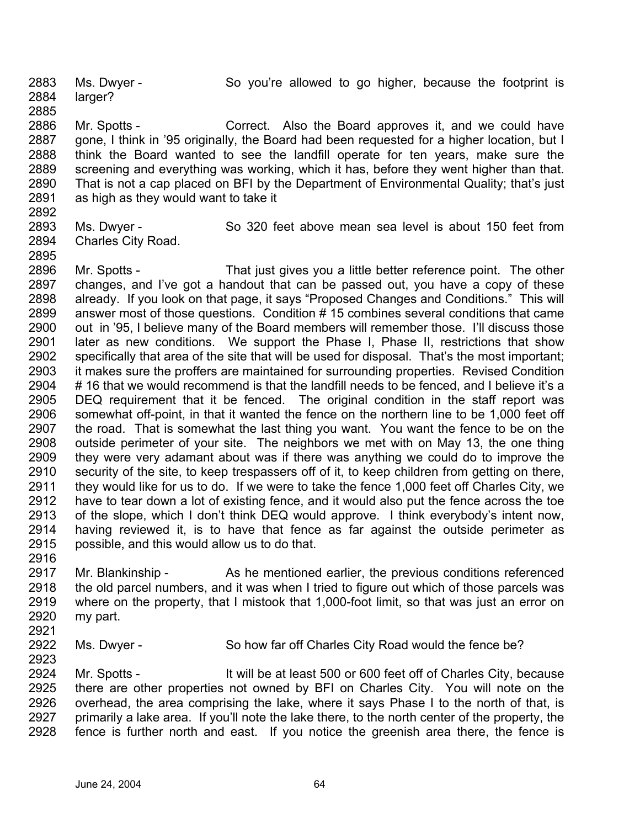2883 2884 2885 Ms. Dwyer - So you're allowed to go higher, because the footprint is larger?

- 2886 2887 2888 2889 2890 2891 Mr. Spotts - Correct. Also the Board approves it, and we could have gone, I think in '95 originally, the Board had been requested for a higher location, but I think the Board wanted to see the landfill operate for ten years, make sure the screening and everything was working, which it has, before they went higher than that. That is not a cap placed on BFI by the Department of Environmental Quality; that's just as high as they would want to take it
- 2892

2895

- 2893 2894 Ms. Dwyer - So 320 feet above mean sea level is about 150 feet from Charles City Road.
- 2896 2897 2898 2899 2900 2901 2902 2903 2904 2905 2906 2907 2908 2909 2910 2911 2912 2913 2914 2915 Mr. Spotts - That just gives you a little better reference point. The other changes, and I've got a handout that can be passed out, you have a copy of these already. If you look on that page, it says "Proposed Changes and Conditions." This will answer most of those questions. Condition # 15 combines several conditions that came out in '95, I believe many of the Board members will remember those. I'll discuss those later as new conditions. We support the Phase I, Phase II, restrictions that show specifically that area of the site that will be used for disposal. That's the most important; it makes sure the proffers are maintained for surrounding properties. Revised Condition # 16 that we would recommend is that the landfill needs to be fenced, and I believe it's a DEQ requirement that it be fenced. The original condition in the staff report was somewhat off-point, in that it wanted the fence on the northern line to be 1,000 feet off the road. That is somewhat the last thing you want. You want the fence to be on the outside perimeter of your site. The neighbors we met with on May 13, the one thing they were very adamant about was if there was anything we could do to improve the security of the site, to keep trespassers off of it, to keep children from getting on there, they would like for us to do. If we were to take the fence 1,000 feet off Charles City, we have to tear down a lot of existing fence, and it would also put the fence across the toe of the slope, which I don't think DEQ would approve. I think everybody's intent now, having reviewed it, is to have that fence as far against the outside perimeter as possible, and this would allow us to do that.
- 2917 2918 2919 2920 Mr. Blankinship - As he mentioned earlier, the previous conditions referenced the old parcel numbers, and it was when I tried to figure out which of those parcels was where on the property, that I mistook that 1,000-foot limit, so that was just an error on my part.
- 2921

2923

- 2922 Ms. Dwyer - So how far off Charles City Road would the fence be?
- 2924 2925 2926 2927 2928 Mr. Spotts - It will be at least 500 or 600 feet off of Charles City, because there are other properties not owned by BFI on Charles City. You will note on the overhead, the area comprising the lake, where it says Phase I to the north of that, is primarily a lake area. If you'll note the lake there, to the north center of the property, the fence is further north and east. If you notice the greenish area there, the fence is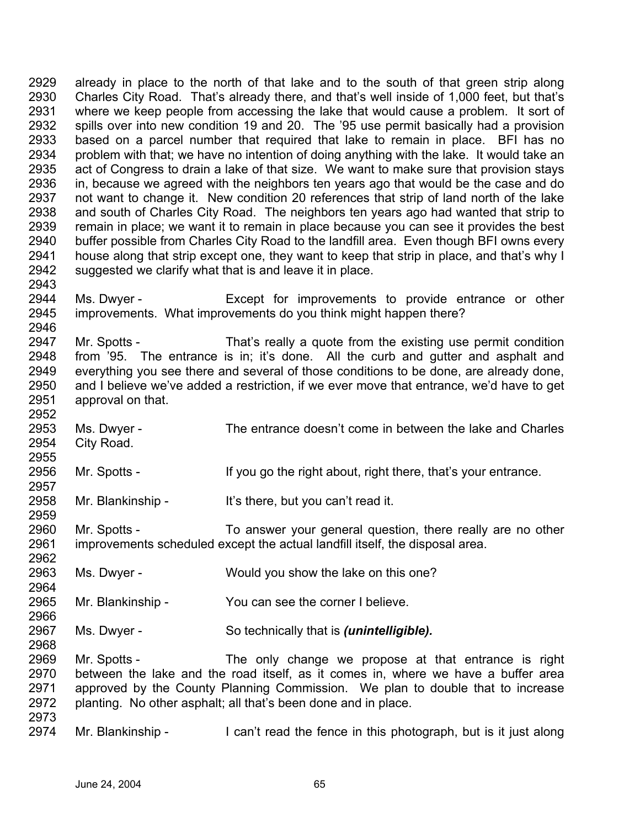2929 2930 2931 2932 2933 2934 2935 2936 2937 2938 2939 2940 2941 2942 2943 2944 2945 2946 2947 2948 2949 2950 2951 2952 2953 2954 2955 2956 2957 2958 2959 2960 2961 already in place to the north of that lake and to the south of that green strip along Charles City Road. That's already there, and that's well inside of 1,000 feet, but that's where we keep people from accessing the lake that would cause a problem. It sort of spills over into new condition 19 and 20. The '95 use permit basically had a provision based on a parcel number that required that lake to remain in place. BFI has no problem with that; we have no intention of doing anything with the lake. It would take an act of Congress to drain a lake of that size. We want to make sure that provision stays in, because we agreed with the neighbors ten years ago that would be the case and do not want to change it. New condition 20 references that strip of land north of the lake and south of Charles City Road. The neighbors ten years ago had wanted that strip to remain in place; we want it to remain in place because you can see it provides the best buffer possible from Charles City Road to the landfill area. Even though BFI owns every house along that strip except one, they want to keep that strip in place, and that's why I suggested we clarify what that is and leave it in place. Ms. Dwyer - Except for improvements to provide entrance or other improvements. What improvements do you think might happen there? Mr. Spotts - That's really a quote from the existing use permit condition from '95. The entrance is in; it's done. All the curb and gutter and asphalt and everything you see there and several of those conditions to be done, are already done, and I believe we've added a restriction, if we ever move that entrance, we'd have to get approval on that. Ms. Dwyer - The entrance doesn't come in between the lake and Charles City Road. Mr. Spotts - If you go the right about, right there, that's your entrance. Mr. Blankinship - It's there, but you can't read it. Mr. Spotts - To answer your general question, there really are no other improvements scheduled except the actual landfill itself, the disposal area.

- 2963 Ms. Dwyer - Would you show the lake on this one?
- 2965 Mr. Blankinship - You can see the corner I believe.
- 2967 Ms. Dwyer - So technically that is *(unintelligible).*
- 2969 2970 2971 2972 Mr. Spotts - The only change we propose at that entrance is right between the lake and the road itself, as it comes in, where we have a buffer area approved by the County Planning Commission. We plan to double that to increase planting. No other asphalt; all that's been done and in place.
- 2973

2962

2964

2966

2968

2974 Mr. Blankinship - I can't read the fence in this photograph, but is it just along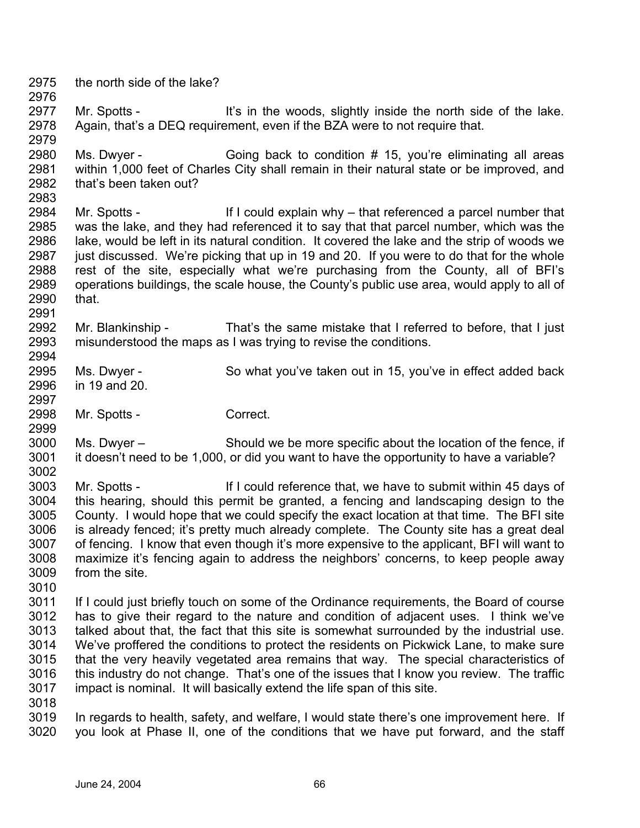- 2975 2976 the north side of the lake?
- 2977 2978 2979 Mr. Spotts - It's in the woods, slightly inside the north side of the lake. Again, that's a DEQ requirement, even if the BZA were to not require that.
- 2980 2981 2982 2983 Ms. Dwyer - Going back to condition # 15, you're eliminating all areas within 1,000 feet of Charles City shall remain in their natural state or be improved, and that's been taken out?
- 2984 2985 2986 2987 2988 2989 2990 Mr. Spotts - If I could explain why – that referenced a parcel number that was the lake, and they had referenced it to say that that parcel number, which was the lake, would be left in its natural condition. It covered the lake and the strip of woods we just discussed. We're picking that up in 19 and 20. If you were to do that for the whole rest of the site, especially what we're purchasing from the County, all of BFI's operations buildings, the scale house, the County's public use area, would apply to all of that.
- 2992 2993 Mr. Blankinship - That's the same mistake that I referred to before, that I just misunderstood the maps as I was trying to revise the conditions.
- 2995 2996 Ms. Dwyer - So what you've taken out in 15, you've in effect added back in 19 and 20.
- 2998 Mr. Spotts - Correct.
- 3000 3001 3002 Ms. Dwyer – Should we be more specific about the location of the fence, if it doesn't need to be 1,000, or did you want to have the opportunity to have a variable?
- 3003 3004 3005 3006 3007 3008 3009 Mr. Spotts - The Interence of the Indian Spotter Spotter is submit within 45 days of this hearing, should this permit be granted, a fencing and landscaping design to the County. I would hope that we could specify the exact location at that time. The BFI site is already fenced; it's pretty much already complete. The County site has a great deal of fencing. I know that even though it's more expensive to the applicant, BFI will want to maximize it's fencing again to address the neighbors' concerns, to keep people away from the site.
- 3010

2991

2994

2997

- 3011 3012 3013 3014 3015 3016 3017 If I could just briefly touch on some of the Ordinance requirements, the Board of course has to give their regard to the nature and condition of adjacent uses. I think we've talked about that, the fact that this site is somewhat surrounded by the industrial use. We've proffered the conditions to protect the residents on Pickwick Lane, to make sure that the very heavily vegetated area remains that way. The special characteristics of this industry do not change. That's one of the issues that I know you review. The traffic impact is nominal. It will basically extend the life span of this site.
- 3018
- 3019 3020 In regards to health, safety, and welfare, I would state there's one improvement here. If you look at Phase II, one of the conditions that we have put forward, and the staff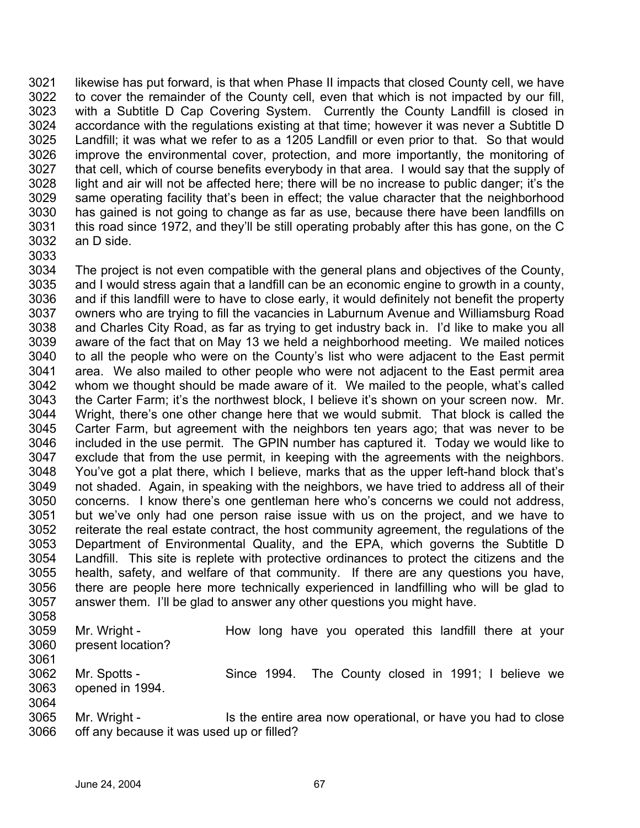3021 3022 3023 3024 3025 3026 3027 3028 3029 3030 3031 3032 likewise has put forward, is that when Phase II impacts that closed County cell, we have to cover the remainder of the County cell, even that which is not impacted by our fill, with a Subtitle D Cap Covering System. Currently the County Landfill is closed in accordance with the regulations existing at that time; however it was never a Subtitle D Landfill; it was what we refer to as a 1205 Landfill or even prior to that. So that would improve the environmental cover, protection, and more importantly, the monitoring of that cell, which of course benefits everybody in that area. I would say that the supply of light and air will not be affected here; there will be no increase to public danger; it's the same operating facility that's been in effect; the value character that the neighborhood has gained is not going to change as far as use, because there have been landfills on this road since 1972, and they'll be still operating probably after this has gone, on the C an D side.

3034 3035 3036 3037 3038 3039 3040 3041 3042 3043 3044 3045 3046 3047 3048 3049 3050 3051 3052 3053 3054 3055 3056 3057 The project is not even compatible with the general plans and objectives of the County, and I would stress again that a landfill can be an economic engine to growth in a county, and if this landfill were to have to close early, it would definitely not benefit the property owners who are trying to fill the vacancies in Laburnum Avenue and Williamsburg Road and Charles City Road, as far as trying to get industry back in. I'd like to make you all aware of the fact that on May 13 we held a neighborhood meeting. We mailed notices to all the people who were on the County's list who were adjacent to the East permit area. We also mailed to other people who were not adjacent to the East permit area whom we thought should be made aware of it. We mailed to the people, what's called the Carter Farm; it's the northwest block, I believe it's shown on your screen now. Mr. Wright, there's one other change here that we would submit. That block is called the Carter Farm, but agreement with the neighbors ten years ago; that was never to be included in the use permit. The GPIN number has captured it. Today we would like to exclude that from the use permit, in keeping with the agreements with the neighbors. You've got a plat there, which I believe, marks that as the upper left-hand block that's not shaded. Again, in speaking with the neighbors, we have tried to address all of their concerns. I know there's one gentleman here who's concerns we could not address, but we've only had one person raise issue with us on the project, and we have to reiterate the real estate contract, the host community agreement, the regulations of the Department of Environmental Quality, and the EPA, which governs the Subtitle D Landfill. This site is replete with protective ordinances to protect the citizens and the health, safety, and welfare of that community. If there are any questions you have, there are people here more technically experienced in landfilling who will be glad to answer them. I'll be glad to answer any other questions you might have.

3058

3064

- 3059 3060 Mr. Wright - The How long have you operated this landfill there at your present location?
- 3061 3062 3063 Mr. Spotts - Since 1994. The County closed in 1991; I believe we opened in 1994.
- 3065 3066 Mr. Wright - Is the entire area now operational, or have you had to close off any because it was used up or filled?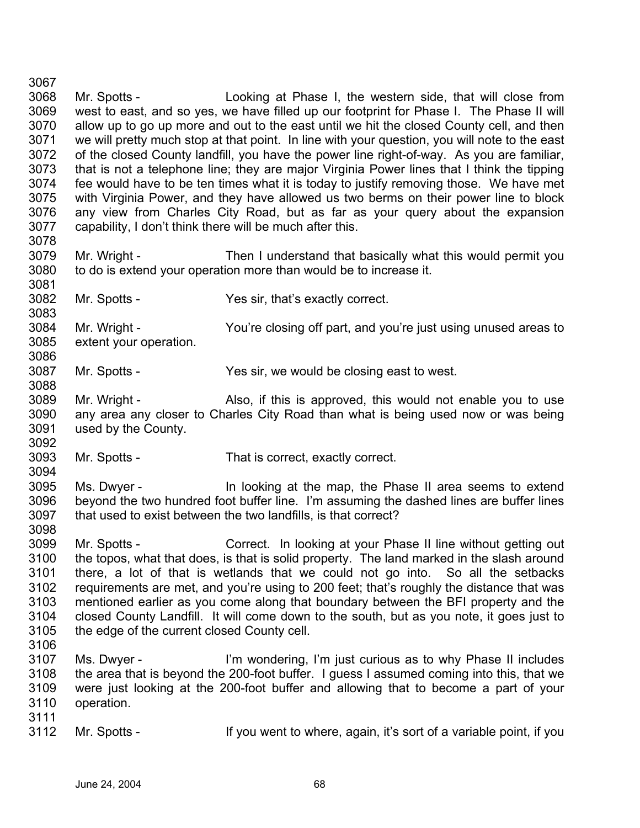3067 3068 3069 3070 3071 3072 3073 3074 3075 3076 3077 3078 Mr. Spotts - Looking at Phase I, the western side, that will close from west to east, and so yes, we have filled up our footprint for Phase I. The Phase II will allow up to go up more and out to the east until we hit the closed County cell, and then we will pretty much stop at that point. In line with your question, you will note to the east of the closed County landfill, you have the power line right-of-way. As you are familiar, that is not a telephone line; they are major Virginia Power lines that I think the tipping fee would have to be ten times what it is today to justify removing those. We have met with Virginia Power, and they have allowed us two berms on their power line to block any view from Charles City Road, but as far as your query about the expansion capability, I don't think there will be much after this.

- 3079 3080 3081 Mr. Wright - Then I understand that basically what this would permit you to do is extend your operation more than would be to increase it.
- 3082 Mr. Spotts - Yes sir, that's exactly correct.
- 3084 3085 3086 Mr. Wright - You're closing off part, and you're just using unused areas to extent your operation.
- 3087 Mr. Spotts - Yes sir, we would be closing east to west.
- 3089 3090 3091 3092 Mr. Wright - Also, if this is approved, this would not enable you to use any area any closer to Charles City Road than what is being used now or was being used by the County.
- 3093 Mr. Spotts - That is correct, exactly correct.
- 3094 3095 3096 3097 Ms. Dwyer - The looking at the map, the Phase II area seems to extend beyond the two hundred foot buffer line. I'm assuming the dashed lines are buffer lines that used to exist between the two landfills, is that correct?
- 3098

3083

- 3099 3100 3101 3102 3103 3104 3105 Mr. Spotts - Correct. In looking at your Phase II line without getting out the topos, what that does, is that is solid property. The land marked in the slash around there, a lot of that is wetlands that we could not go into. So all the setbacks requirements are met, and you're using to 200 feet; that's roughly the distance that was mentioned earlier as you come along that boundary between the BFI property and the closed County Landfill. It will come down to the south, but as you note, it goes just to the edge of the current closed County cell.
- 3106
- 3107 3108 3109 3110 3111 Ms. Dwyer - I'm wondering, I'm just curious as to why Phase II includes the area that is beyond the 200-foot buffer. I guess I assumed coming into this, that we were just looking at the 200-foot buffer and allowing that to become a part of your operation.
- 3112 Mr. Spotts - If you went to where, again, it's sort of a variable point, if you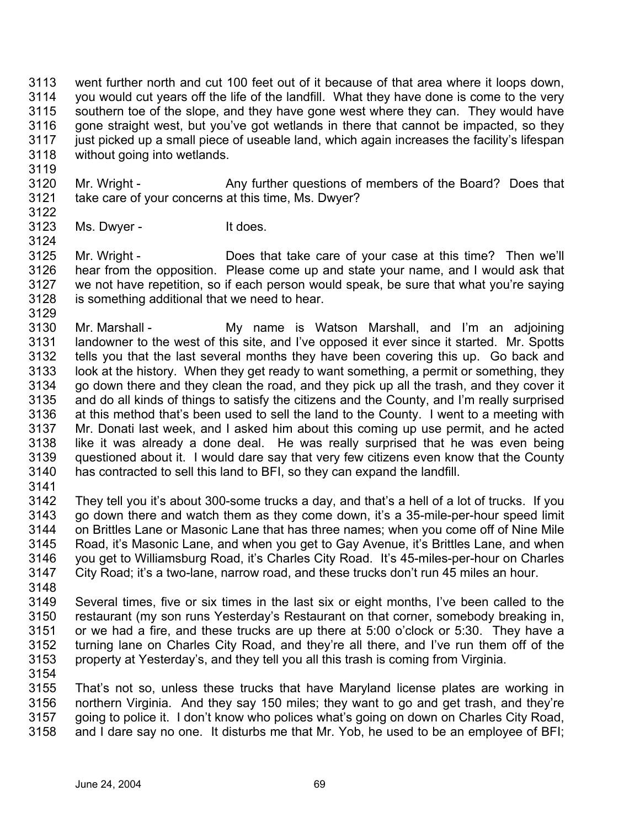3113 3114 3115 3116 3117 3118 went further north and cut 100 feet out of it because of that area where it loops down, you would cut years off the life of the landfill. What they have done is come to the very southern toe of the slope, and they have gone west where they can. They would have gone straight west, but you've got wetlands in there that cannot be impacted, so they just picked up a small piece of useable land, which again increases the facility's lifespan without going into wetlands.

- 3120 3121 Mr. Wright - Any further questions of members of the Board? Does that take care of your concerns at this time, Ms. Dwyer?
- 3122 3123

3124

3129

3119

Ms. Dwyer - It does.

3125 3126 3127 3128 Mr. Wright - Does that take care of your case at this time? Then we'll hear from the opposition. Please come up and state your name, and I would ask that we not have repetition, so if each person would speak, be sure that what you're saying is something additional that we need to hear.

3130 3131 3132 3133 3134 3135 3136 3137 3138 3139 3140 Mr. Marshall - My name is Watson Marshall, and I'm an adjoining landowner to the west of this site, and I've opposed it ever since it started. Mr. Spotts tells you that the last several months they have been covering this up. Go back and look at the history. When they get ready to want something, a permit or something, they go down there and they clean the road, and they pick up all the trash, and they cover it and do all kinds of things to satisfy the citizens and the County, and I'm really surprised at this method that's been used to sell the land to the County. I went to a meeting with Mr. Donati last week, and I asked him about this coming up use permit, and he acted like it was already a done deal. He was really surprised that he was even being questioned about it. I would dare say that very few citizens even know that the County has contracted to sell this land to BFI, so they can expand the landfill.

3141

3142 3143 3144 3145 3146 3147 They tell you it's about 300-some trucks a day, and that's a hell of a lot of trucks. If you go down there and watch them as they come down, it's a 35-mile-per-hour speed limit on Brittles Lane or Masonic Lane that has three names; when you come off of Nine Mile Road, it's Masonic Lane, and when you get to Gay Avenue, it's Brittles Lane, and when you get to Williamsburg Road, it's Charles City Road. It's 45-miles-per-hour on Charles City Road; it's a two-lane, narrow road, and these trucks don't run 45 miles an hour.

3148

3149 3150 3151 3152 3153 Several times, five or six times in the last six or eight months, I've been called to the restaurant (my son runs Yesterday's Restaurant on that corner, somebody breaking in, or we had a fire, and these trucks are up there at 5:00 o'clock or 5:30. They have a turning lane on Charles City Road, and they're all there, and I've run them off of the property at Yesterday's, and they tell you all this trash is coming from Virginia.

3154

3155 3156 3157 3158 That's not so, unless these trucks that have Maryland license plates are working in northern Virginia. And they say 150 miles; they want to go and get trash, and they're going to police it. I don't know who polices what's going on down on Charles City Road, and I dare say no one. It disturbs me that Mr. Yob, he used to be an employee of BFI;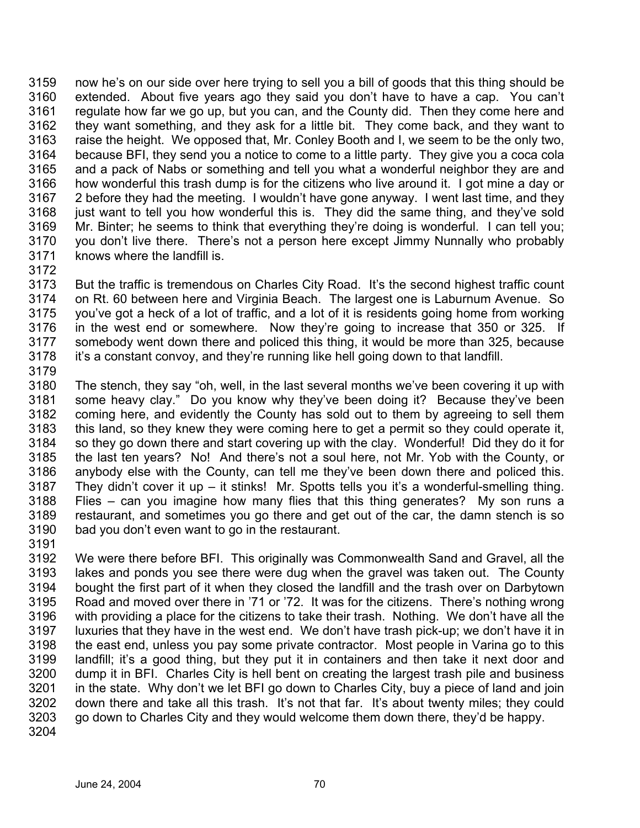3159 3160 3161 3162 3163 3164 3165 3166 3167 3168 3169 3170 3171 now he's on our side over here trying to sell you a bill of goods that this thing should be extended. About five years ago they said you don't have to have a cap. You can't regulate how far we go up, but you can, and the County did. Then they come here and they want something, and they ask for a little bit. They come back, and they want to raise the height. We opposed that, Mr. Conley Booth and I, we seem to be the only two, because BFI, they send you a notice to come to a little party. They give you a coca cola and a pack of Nabs or something and tell you what a wonderful neighbor they are and how wonderful this trash dump is for the citizens who live around it. I got mine a day or 2 before they had the meeting. I wouldn't have gone anyway. I went last time, and they just want to tell you how wonderful this is. They did the same thing, and they've sold Mr. Binter; he seems to think that everything they're doing is wonderful. I can tell you; you don't live there. There's not a person here except Jimmy Nunnally who probably knows where the landfill is.

3172

3173 3174 3175 3176 3177 3178 But the traffic is tremendous on Charles City Road. It's the second highest traffic count on Rt. 60 between here and Virginia Beach. The largest one is Laburnum Avenue. So you've got a heck of a lot of traffic, and a lot of it is residents going home from working in the west end or somewhere. Now they're going to increase that 350 or 325. If somebody went down there and policed this thing, it would be more than 325, because it's a constant convoy, and they're running like hell going down to that landfill.

3179

3180 3181 3182 3183 3184 3185 3186 3187 3188 3189 3190 The stench, they say "oh, well, in the last several months we've been covering it up with some heavy clay." Do you know why they've been doing it? Because they've been coming here, and evidently the County has sold out to them by agreeing to sell them this land, so they knew they were coming here to get a permit so they could operate it, so they go down there and start covering up with the clay. Wonderful! Did they do it for the last ten years? No! And there's not a soul here, not Mr. Yob with the County, or anybody else with the County, can tell me they've been down there and policed this. They didn't cover it up – it stinks! Mr. Spotts tells you it's a wonderful-smelling thing. Flies – can you imagine how many flies that this thing generates? My son runs a restaurant, and sometimes you go there and get out of the car, the damn stench is so bad you don't even want to go in the restaurant.

3191

3192 3193 3194 3195 3196 3197 3198 3199 3200 3201 3202 3203 3204 We were there before BFI. This originally was Commonwealth Sand and Gravel, all the lakes and ponds you see there were dug when the gravel was taken out. The County bought the first part of it when they closed the landfill and the trash over on Darbytown Road and moved over there in '71 or '72. It was for the citizens. There's nothing wrong with providing a place for the citizens to take their trash. Nothing. We don't have all the luxuries that they have in the west end. We don't have trash pick-up; we don't have it in the east end, unless you pay some private contractor. Most people in Varina go to this landfill; it's a good thing, but they put it in containers and then take it next door and dump it in BFI. Charles City is hell bent on creating the largest trash pile and business in the state. Why don't we let BFI go down to Charles City, buy a piece of land and join down there and take all this trash. It's not that far. It's about twenty miles; they could go down to Charles City and they would welcome them down there, they'd be happy.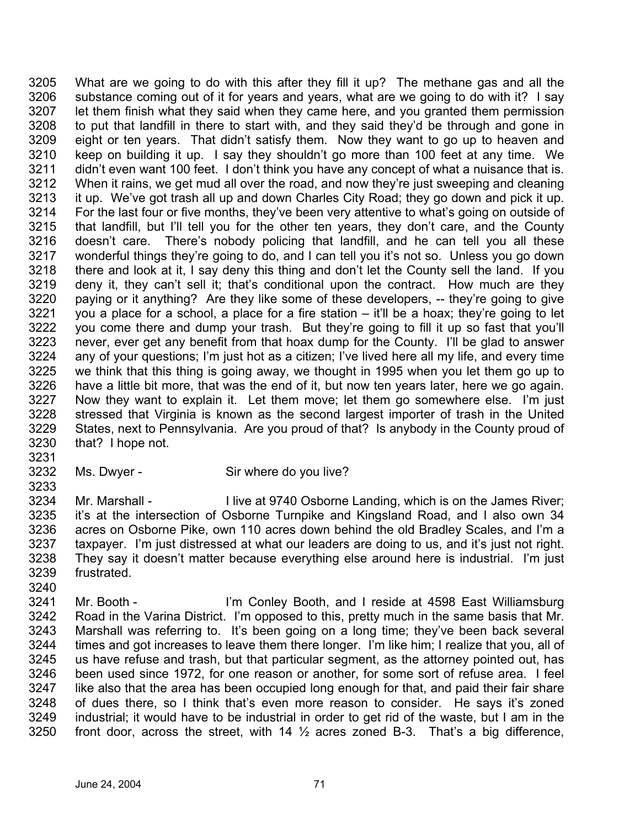3205 3206 3207 3208 3209 3210 3211 3212 3213 3214 3215 3216 3217 3218 3219 3220 3221 3222 3223 3224 3225 3226 3227 3228 3229 3230 What are we going to do with this after they fill it up? The methane gas and all the substance coming out of it for years and years, what are we going to do with it? I say let them finish what they said when they came here, and you granted them permission to put that landfill in there to start with, and they said they'd be through and gone in eight or ten years. That didn't satisfy them. Now they want to go up to heaven and keep on building it up. I say they shouldn't go more than 100 feet at any time. We didn't even want 100 feet. I don't think you have any concept of what a nuisance that is. When it rains, we get mud all over the road, and now they're just sweeping and cleaning it up. We've got trash all up and down Charles City Road; they go down and pick it up. For the last four or five months, they've been very attentive to what's going on outside of that landfill, but I'll tell you for the other ten years, they don't care, and the County doesn't care. There's nobody policing that landfill, and he can tell you all these wonderful things they're going to do, and I can tell you it's not so. Unless you go down there and look at it, I say deny this thing and don't let the County sell the land. If you deny it, they can't sell it; that's conditional upon the contract. How much are they paying or it anything? Are they like some of these developers, -- they're going to give you a place for a school, a place for a fire station – it'll be a hoax; they're going to let you come there and dump your trash. But they're going to fill it up so fast that you'll never, ever get any benefit from that hoax dump for the County. I'll be glad to answer any of your questions; I'm just hot as a citizen; I've lived here all my life, and every time we think that this thing is going away, we thought in 1995 when you let them go up to have a little bit more, that was the end of it, but now ten years later, here we go again. Now they want to explain it. Let them move; let them go somewhere else. I'm just stressed that Virginia is known as the second largest importer of trash in the United States, next to Pennsylvania. Are you proud of that? Is anybody in the County proud of that? I hope not.

3231

3233

- 3232 Ms. Dwyer - Sir where do you live?
- 3234 3235 3236 3237 3238 3239 Mr. Marshall - I live at 9740 Osborne Landing, which is on the James River; it's at the intersection of Osborne Turnpike and Kingsland Road, and I also own 34 acres on Osborne Pike, own 110 acres down behind the old Bradley Scales, and I'm a taxpayer. I'm just distressed at what our leaders are doing to us, and it's just not right. They say it doesn't matter because everything else around here is industrial. I'm just frustrated.
- 3241 3242 3243 3244 3245 3246 3247 3248 3249 3250 Mr. Booth - I'm Conley Booth, and I reside at 4598 East Williamsburg Road in the Varina District. I'm opposed to this, pretty much in the same basis that Mr. Marshall was referring to. It's been going on a long time; they've been back several times and got increases to leave them there longer. I'm like him; I realize that you, all of us have refuse and trash, but that particular segment, as the attorney pointed out, has been used since 1972, for one reason or another, for some sort of refuse area. I feel like also that the area has been occupied long enough for that, and paid their fair share of dues there, so I think that's even more reason to consider. He says it's zoned industrial; it would have to be industrial in order to get rid of the waste, but I am in the front door, across the street, with 14  $\frac{1}{2}$  acres zoned B-3. That's a big difference,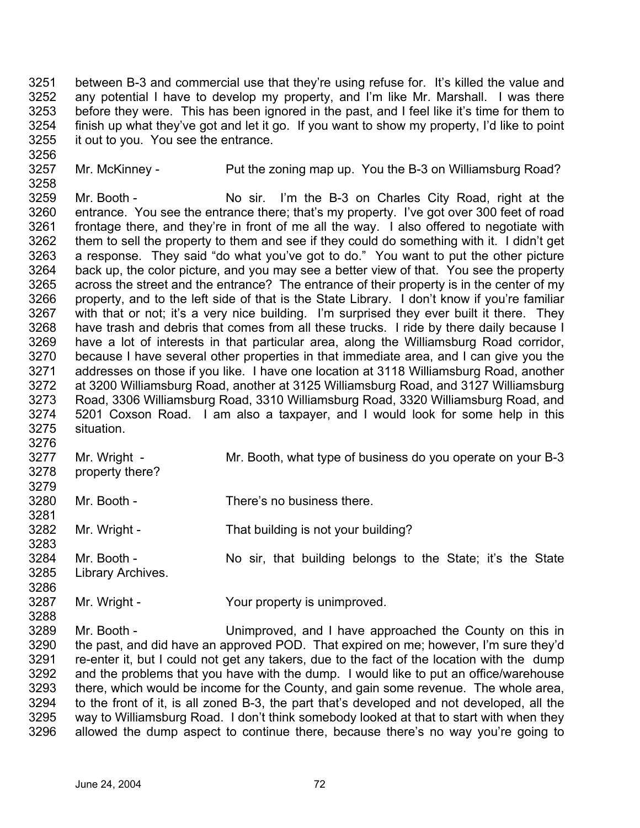3251 3252 3253 3254 3255 between B-3 and commercial use that they're using refuse for. It's killed the value and any potential I have to develop my property, and I'm like Mr. Marshall. I was there before they were. This has been ignored in the past, and I feel like it's time for them to finish up what they've got and let it go. If you want to show my property, I'd like to point it out to you. You see the entrance.

3257 Mr. McKinney - Put the zoning map up. You the B-3 on Williamsburg Road?

3259 3260 3261 3262 3263 3264 3265 3266 3267 3268 3269 3270 3271 3272 3273 3274 3275 Mr. Booth - No sir. I'm the B-3 on Charles City Road, right at the entrance. You see the entrance there; that's my property. I've got over 300 feet of road frontage there, and they're in front of me all the way. I also offered to negotiate with them to sell the property to them and see if they could do something with it. I didn't get a response. They said "do what you've got to do." You want to put the other picture back up, the color picture, and you may see a better view of that. You see the property across the street and the entrance? The entrance of their property is in the center of my property, and to the left side of that is the State Library. I don't know if you're familiar with that or not; it's a very nice building. I'm surprised they ever built it there. They have trash and debris that comes from all these trucks. I ride by there daily because I have a lot of interests in that particular area, along the Williamsburg Road corridor, because I have several other properties in that immediate area, and I can give you the addresses on those if you like. I have one location at 3118 Williamsburg Road, another at 3200 Williamsburg Road, another at 3125 Williamsburg Road, and 3127 Williamsburg Road, 3306 Williamsburg Road, 3310 Williamsburg Road, 3320 Williamsburg Road, and 5201 Coxson Road. I am also a taxpayer, and I would look for some help in this situation.

- 3276 3277 3278 3279 3280 3281 3282 3283 3284 3285 Mr. Wright - Mr. Booth, what type of business do you operate on your B-3 property there? Mr. Booth - There's no business there. Mr. Wright - That building is not your building? Mr. Booth - No sir, that building belongs to the State; it's the State Library Archives.
- 3287 Mr. Wright - Your property is unimproved.
- 3289 3290 3291 3292 3293 3294 3295 3296 Mr. Booth - Unimproved, and I have approached the County on this in the past, and did have an approved POD. That expired on me; however, I'm sure they'd re-enter it, but I could not get any takers, due to the fact of the location with the dump and the problems that you have with the dump. I would like to put an office/warehouse there, which would be income for the County, and gain some revenue. The whole area, to the front of it, is all zoned B-3, the part that's developed and not developed, all the way to Williamsburg Road. I don't think somebody looked at that to start with when they allowed the dump aspect to continue there, because there's no way you're going to

3256

3258

3286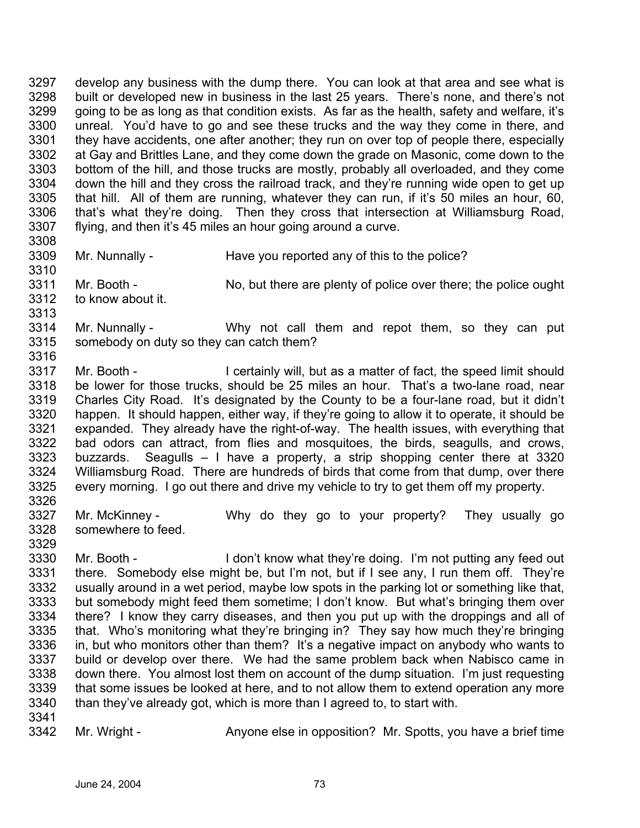3297 3298 3299 3300 3301 3302 3303 3304 3305 3306 3307 3308 develop any business with the dump there. You can look at that area and see what is built or developed new in business in the last 25 years. There's none, and there's not going to be as long as that condition exists. As far as the health, safety and welfare, it's unreal. You'd have to go and see these trucks and the way they come in there, and they have accidents, one after another; they run on over top of people there, especially at Gay and Brittles Lane, and they come down the grade on Masonic, come down to the bottom of the hill, and those trucks are mostly, probably all overloaded, and they come down the hill and they cross the railroad track, and they're running wide open to get up that hill. All of them are running, whatever they can run, if it's 50 miles an hour, 60, that's what they're doing. Then they cross that intersection at Williamsburg Road, flying, and then it's 45 miles an hour going around a curve.

3309 3310 Mr. Nunnally - Have you reported any of this to the police?

3311 Mr. Booth - No, but there are plenty of police over there; the police ought

- 3312 3313 to know about it.
- 3314 3315 Mr. Nunnally - Why not call them and repot them, so they can put somebody on duty so they can catch them?
- 3317 3318 3319 3320 3321 3322 3323 3324 3325 3326 Mr. Booth - I certainly will, but as a matter of fact, the speed limit should be lower for those trucks, should be 25 miles an hour. That's a two-lane road, near Charles City Road. It's designated by the County to be a four-lane road, but it didn't happen. It should happen, either way, if they're going to allow it to operate, it should be expanded. They already have the right-of-way. The health issues, with everything that bad odors can attract, from flies and mosquitoes, the birds, seagulls, and crows, buzzards. Seagulls – I have a property, a strip shopping center there at 3320 Williamsburg Road. There are hundreds of birds that come from that dump, over there every morning. I go out there and drive my vehicle to try to get them off my property.
- 3327 3328 Mr. McKinney - The Why do they go to your property? They usually go somewhere to feed.
- 3329

3316

- 3330 3331 3332 3333 3334 3335 3336 3337 3338 3339 3340 Mr. Booth - I don't know what they're doing. I'm not putting any feed out there. Somebody else might be, but I'm not, but if I see any, I run them off. They're usually around in a wet period, maybe low spots in the parking lot or something like that, but somebody might feed them sometime; I don't know. But what's bringing them over there? I know they carry diseases, and then you put up with the droppings and all of that. Who's monitoring what they're bringing in? They say how much they're bringing in, but who monitors other than them? It's a negative impact on anybody who wants to build or develop over there. We had the same problem back when Nabisco came in down there. You almost lost them on account of the dump situation. I'm just requesting that some issues be looked at here, and to not allow them to extend operation any more than they've already got, which is more than I agreed to, to start with.
- 3341

3342 Mr. Wright - Anyone else in opposition? Mr. Spotts, you have a brief time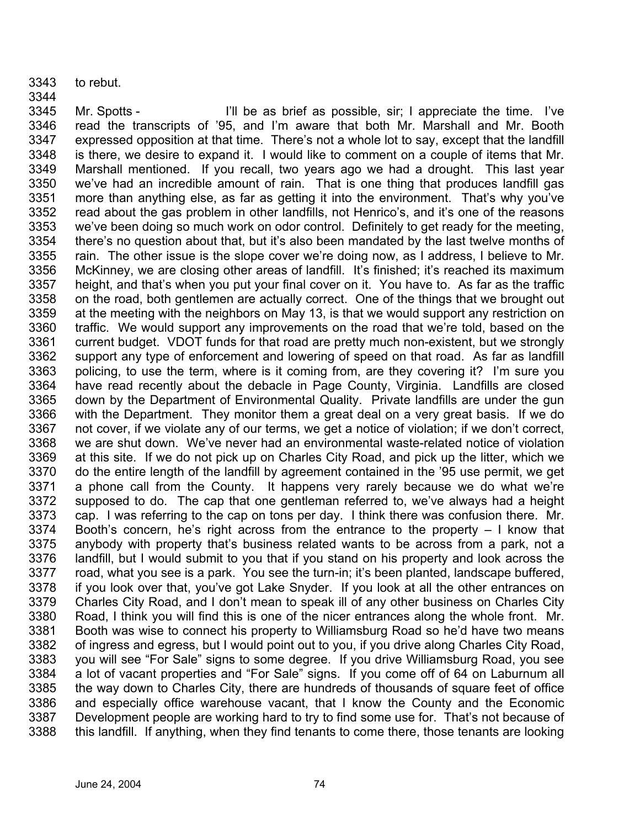3343 to rebut.

3344

3345 3346 3347 3348 3349 3350 3351 3352 3353 3354 3355 3356 3357 3358 3359 3360 3361 3362 3363 3364 3365 3366 3367 3368 3369 3370 3371 3372 3373 3374 3375 3376 3377 3378 3379 3380 3381 3382 3383 3384 3385 3386 3387 3388 Mr. Spotts - I'll be as brief as possible, sir; I appreciate the time. I've read the transcripts of '95, and I'm aware that both Mr. Marshall and Mr. Booth expressed opposition at that time. There's not a whole lot to say, except that the landfill is there, we desire to expand it. I would like to comment on a couple of items that Mr. Marshall mentioned. If you recall, two years ago we had a drought. This last year we've had an incredible amount of rain. That is one thing that produces landfill gas more than anything else, as far as getting it into the environment. That's why you've read about the gas problem in other landfills, not Henrico's, and it's one of the reasons we've been doing so much work on odor control. Definitely to get ready for the meeting, there's no question about that, but it's also been mandated by the last twelve months of rain. The other issue is the slope cover we're doing now, as I address, I believe to Mr. McKinney, we are closing other areas of landfill. It's finished; it's reached its maximum height, and that's when you put your final cover on it. You have to. As far as the traffic on the road, both gentlemen are actually correct. One of the things that we brought out at the meeting with the neighbors on May 13, is that we would support any restriction on traffic. We would support any improvements on the road that we're told, based on the current budget. VDOT funds for that road are pretty much non-existent, but we strongly support any type of enforcement and lowering of speed on that road. As far as landfill policing, to use the term, where is it coming from, are they covering it? I'm sure you have read recently about the debacle in Page County, Virginia. Landfills are closed down by the Department of Environmental Quality. Private landfills are under the gun with the Department. They monitor them a great deal on a very great basis. If we do not cover, if we violate any of our terms, we get a notice of violation; if we don't correct, we are shut down. We've never had an environmental waste-related notice of violation at this site. If we do not pick up on Charles City Road, and pick up the litter, which we do the entire length of the landfill by agreement contained in the '95 use permit, we get a phone call from the County. It happens very rarely because we do what we're supposed to do. The cap that one gentleman referred to, we've always had a height cap. I was referring to the cap on tons per day. I think there was confusion there. Mr. Booth's concern, he's right across from the entrance to the property – I know that anybody with property that's business related wants to be across from a park, not a landfill, but I would submit to you that if you stand on his property and look across the road, what you see is a park. You see the turn-in; it's been planted, landscape buffered, if you look over that, you've got Lake Snyder. If you look at all the other entrances on Charles City Road, and I don't mean to speak ill of any other business on Charles City Road, I think you will find this is one of the nicer entrances along the whole front. Mr. Booth was wise to connect his property to Williamsburg Road so he'd have two means of ingress and egress, but I would point out to you, if you drive along Charles City Road, you will see "For Sale" signs to some degree. If you drive Williamsburg Road, you see a lot of vacant properties and "For Sale" signs. If you come off of 64 on Laburnum all the way down to Charles City, there are hundreds of thousands of square feet of office and especially office warehouse vacant, that I know the County and the Economic Development people are working hard to try to find some use for. That's not because of this landfill. If anything, when they find tenants to come there, those tenants are looking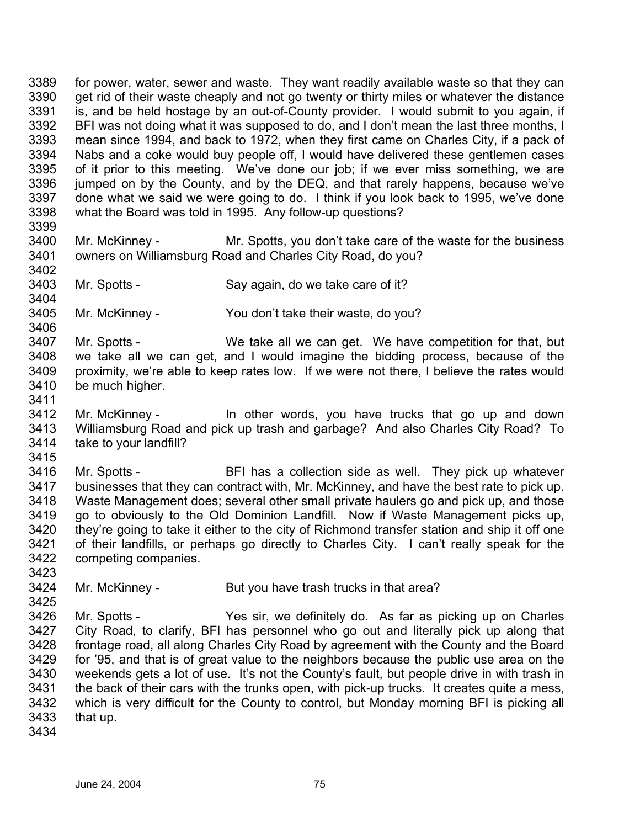3389 3390 3391 3392 3393 3394 3395 3396 3397 3398 3399 for power, water, sewer and waste. They want readily available waste so that they can get rid of their waste cheaply and not go twenty or thirty miles or whatever the distance is, and be held hostage by an out-of-County provider. I would submit to you again, if BFI was not doing what it was supposed to do, and I don't mean the last three months, I mean since 1994, and back to 1972, when they first came on Charles City, if a pack of Nabs and a coke would buy people off, I would have delivered these gentlemen cases of it prior to this meeting. We've done our job; if we ever miss something, we are jumped on by the County, and by the DEQ, and that rarely happens, because we've done what we said we were going to do. I think if you look back to 1995, we've done what the Board was told in 1995. Any follow-up questions?

- 3400 3401 3402 Mr. McKinney - Mr. Spotts, you don't take care of the waste for the business owners on Williamsburg Road and Charles City Road, do you?
- 3403 Mr. Spotts - Say again, do we take care of it?
- 3405 Mr. McKinney - You don't take their waste, do you?
- 3407 3408 3409 3410 Mr. Spotts - We take all we can get. We have competition for that, but we take all we can get, and I would imagine the bidding process, because of the proximity, we're able to keep rates low. If we were not there, I believe the rates would be much higher.
- 3412 3413 3414 Mr. McKinney - In other words, you have trucks that go up and down Williamsburg Road and pick up trash and garbage? And also Charles City Road? To take to your landfill?
- 3415

3423

3425

3411

3404

- 3416 3417 3418 3419 3420 3421 3422 Mr. Spotts - BFI has a collection side as well. They pick up whatever businesses that they can contract with, Mr. McKinney, and have the best rate to pick up. Waste Management does; several other small private haulers go and pick up, and those go to obviously to the Old Dominion Landfill. Now if Waste Management picks up, they're going to take it either to the city of Richmond transfer station and ship it off one of their landfills, or perhaps go directly to Charles City. I can't really speak for the competing companies.
- 3424 Mr. McKinney - But you have trash trucks in that area?
- 3426 3427 3428 3429 3430 3431 3432 3433 Mr. Spotts - Yes sir, we definitely do. As far as picking up on Charles City Road, to clarify, BFI has personnel who go out and literally pick up along that frontage road, all along Charles City Road by agreement with the County and the Board for '95, and that is of great value to the neighbors because the public use area on the weekends gets a lot of use. It's not the County's fault, but people drive in with trash in the back of their cars with the trunks open, with pick-up trucks. It creates quite a mess, which is very difficult for the County to control, but Monday morning BFI is picking all that up.
- 3434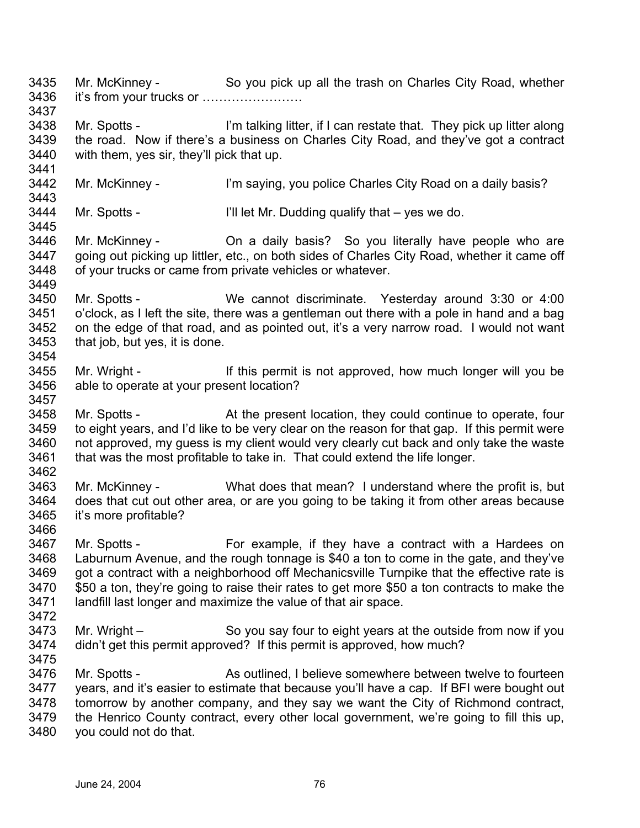- 3435 3436 3437 Mr. McKinney - So you pick up all the trash on Charles City Road, whether it's from your trucks or ……………………
- 3438 3439 3440 Mr. Spotts - I'm talking litter, if I can restate that. They pick up litter along the road. Now if there's a business on Charles City Road, and they've got a contract with them, yes sir, they'll pick that up.
- 3442 3443 Mr. McKinney - I'm saying, you police Charles City Road on a daily basis?
- 3444 Mr. Spotts - I'll let Mr. Dudding qualify that – yes we do.
- 3446 3447 3448 3449 Mr. McKinney - **On a daily basis?** So you literally have people who are going out picking up littler, etc., on both sides of Charles City Road, whether it came off of your trucks or came from private vehicles or whatever.
- 3450 3451 3452 3453 3454 Mr. Spotts - We cannot discriminate. Yesterday around 3:30 or 4:00 o'clock, as I left the site, there was a gentleman out there with a pole in hand and a bag on the edge of that road, and as pointed out, it's a very narrow road. I would not want that job, but yes, it is done.
- 3455 3456 Mr. Wright - If this permit is not approved, how much longer will you be able to operate at your present location?
- 3458 3459 3460 3461 3462 Mr. Spotts - At the present location, they could continue to operate, four to eight years, and I'd like to be very clear on the reason for that gap. If this permit were not approved, my guess is my client would very clearly cut back and only take the waste that was the most profitable to take in. That could extend the life longer.
- 3463 3464 3465 Mr. McKinney - What does that mean? I understand where the profit is, but does that cut out other area, or are you going to be taking it from other areas because it's more profitable?
- 3466

3457

3441

3445

- 3467 3468 3469 3470 3471 Mr. Spotts - For example, if they have a contract with a Hardees on Laburnum Avenue, and the rough tonnage is \$40 a ton to come in the gate, and they've got a contract with a neighborhood off Mechanicsville Turnpike that the effective rate is \$50 a ton, they're going to raise their rates to get more \$50 a ton contracts to make the landfill last longer and maximize the value of that air space.
- 3472
- 3473 3474 Mr. Wright – So you say four to eight years at the outside from now if you didn't get this permit approved? If this permit is approved, how much?
- 3475

3476 3477 3478 3479 3480 Mr. Spotts - As outlined, I believe somewhere between twelve to fourteen years, and it's easier to estimate that because you'll have a cap. If BFI were bought out tomorrow by another company, and they say we want the City of Richmond contract, the Henrico County contract, every other local government, we're going to fill this up, you could not do that.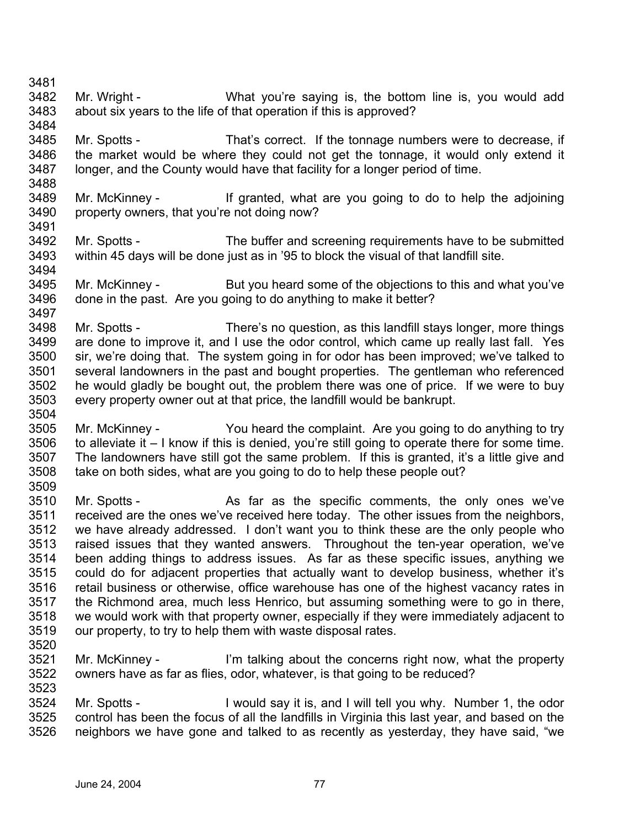- 3481 3482 3483 3484 3485 3486 3487 3488 3489 3490 3491 3492 3493 3494 3495 3496 3497 3498 3499 3500 3501 3502 3503 3504 3505 3506 3507 3508 3509 3510 3511 3512 3513 3514 3515 3516 3517 3518 3519 3520 3521 3522 3523 Mr. Wright - What you're saying is, the bottom line is, you would add about six years to the life of that operation if this is approved? Mr. Spotts - That's correct. If the tonnage numbers were to decrease, if the market would be where they could not get the tonnage, it would only extend it longer, and the County would have that facility for a longer period of time. Mr. McKinney - If granted, what are you going to do to help the adjoining property owners, that you're not doing now? Mr. Spotts - The buffer and screening requirements have to be submitted within 45 days will be done just as in '95 to block the visual of that landfill site. Mr. McKinney - But you heard some of the objections to this and what you've done in the past. Are you going to do anything to make it better? Mr. Spotts - There's no question, as this landfill stays longer, more things are done to improve it, and I use the odor control, which came up really last fall. Yes sir, we're doing that. The system going in for odor has been improved; we've talked to several landowners in the past and bought properties. The gentleman who referenced he would gladly be bought out, the problem there was one of price. If we were to buy every property owner out at that price, the landfill would be bankrupt. Mr. McKinney - You heard the complaint. Are you going to do anything to try to alleviate it – I know if this is denied, you're still going to operate there for some time. The landowners have still got the same problem. If this is granted, it's a little give and take on both sides, what are you going to do to help these people out? Mr. Spotts - The As far as the specific comments, the only ones we've received are the ones we've received here today. The other issues from the neighbors, we have already addressed. I don't want you to think these are the only people who raised issues that they wanted answers. Throughout the ten-year operation, we've been adding things to address issues. As far as these specific issues, anything we could do for adjacent properties that actually want to develop business, whether it's retail business or otherwise, office warehouse has one of the highest vacancy rates in the Richmond area, much less Henrico, but assuming something were to go in there, we would work with that property owner, especially if they were immediately adjacent to our property, to try to help them with waste disposal rates. Mr. McKinney - I'm talking about the concerns right now, what the property owners have as far as flies, odor, whatever, is that going to be reduced?
	- 3524 3525 3526 Mr. Spotts - I would say it is, and I will tell you why. Number 1, the odor control has been the focus of all the landfills in Virginia this last year, and based on the neighbors we have gone and talked to as recently as yesterday, they have said, "we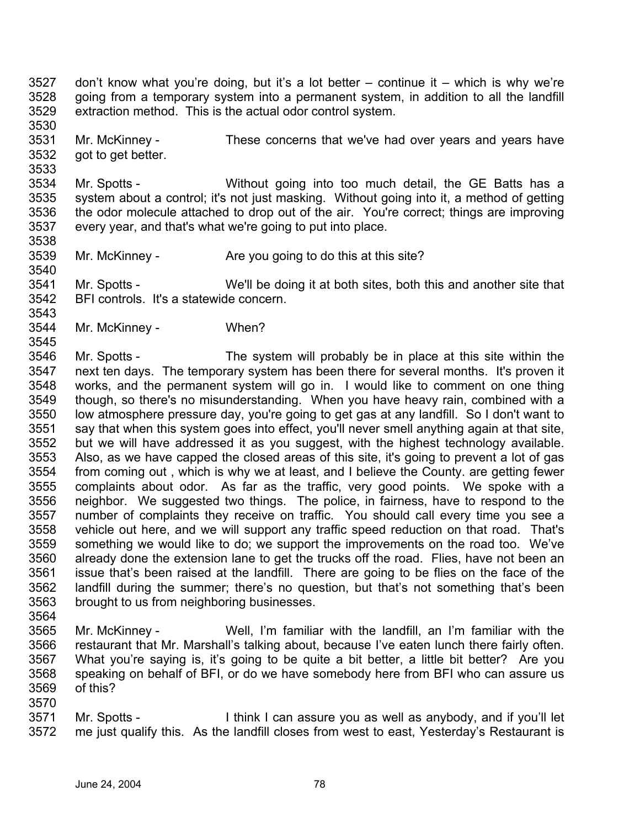- 3527 3528 3529 3530 don't know what you're doing, but it's a lot better  $-$  continue it  $-$  which is why we're going from a temporary system into a permanent system, in addition to all the landfill extraction method. This is the actual odor control system.
- 3531 3532 Mr. McKinney - These concerns that we've had over years and years have got to get better.
- 3534 3535 3536 3537 Mr. Spotts - Without going into too much detail, the GE Batts has a system about a control; it's not just masking. Without going into it, a method of getting the odor molecule attached to drop out of the air. You're correct; things are improving every year, and that's what we're going to put into place.
- 3539 Mr. McKinney - Are you going to do this at this site?
- 3541 3542 3543 Mr. Spotts - We'll be doing it at both sites, both this and another site that BFI controls. It's a statewide concern.
- 3544 Mr. McKinney - When?
- 3546 3547 3548 3549 3550 3551 3552 3553 3554 3555 3556 3557 3558 3559 3560 3561 3562 3563 Mr. Spotts - The system will probably be in place at this site within the next ten days. The temporary system has been there for several months. It's proven it works, and the permanent system will go in. I would like to comment on one thing though, so there's no misunderstanding. When you have heavy rain, combined with a low atmosphere pressure day, you're going to get gas at any landfill. So I don't want to say that when this system goes into effect, you'll never smell anything again at that site, but we will have addressed it as you suggest, with the highest technology available. Also, as we have capped the closed areas of this site, it's going to prevent a lot of gas from coming out , which is why we at least, and I believe the County. are getting fewer complaints about odor. As far as the traffic, very good points. We spoke with a neighbor. We suggested two things. The police, in fairness, have to respond to the number of complaints they receive on traffic. You should call every time you see a vehicle out here, and we will support any traffic speed reduction on that road. That's something we would like to do; we support the improvements on the road too. We've already done the extension lane to get the trucks off the road. Flies, have not been an issue that's been raised at the landfill. There are going to be flies on the face of the landfill during the summer; there's no question, but that's not something that's been brought to us from neighboring businesses.
- 3564

3533

3538

3540

- 3565 3566 3567 3568 3569 3570 Mr. McKinney - Well, I'm familiar with the landfill, an I'm familiar with the restaurant that Mr. Marshall's talking about, because I've eaten lunch there fairly often. What you're saying is, it's going to be quite a bit better, a little bit better? Are you speaking on behalf of BFI, or do we have somebody here from BFI who can assure us of this?
- 3571 3572 Mr. Spotts - I think I can assure you as well as anybody, and if you'll let me just qualify this. As the landfill closes from west to east, Yesterday's Restaurant is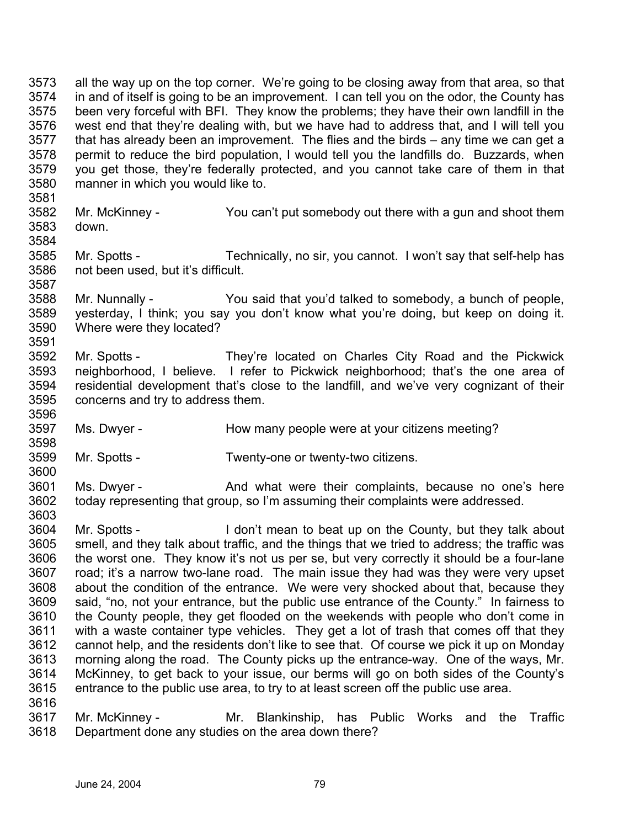3573 3574 3575 3576 3577 3578 3579 3580 all the way up on the top corner. We're going to be closing away from that area, so that in and of itself is going to be an improvement. I can tell you on the odor, the County has been very forceful with BFI. They know the problems; they have their own landfill in the west end that they're dealing with, but we have had to address that, and I will tell you that has already been an improvement. The flies and the birds – any time we can get a permit to reduce the bird population, I would tell you the landfills do. Buzzards, when you get those, they're federally protected, and you cannot take care of them in that manner in which you would like to.

- 3582 3583 Mr. McKinney - You can't put somebody out there with a gun and shoot them down.
- 3585 3586 3587 Mr. Spotts - Technically, no sir, you cannot. I won't say that self-help has not been used, but it's difficult.
- 3588 3589 3590 3591 Mr. Nunnally - You said that you'd talked to somebody, a bunch of people, yesterday, I think; you say you don't know what you're doing, but keep on doing it. Where were they located?
- 3592 3593 3594 3595 3596 Mr. Spotts - They're located on Charles City Road and the Pickwick neighborhood, I believe. I refer to Pickwick neighborhood; that's the one area of residential development that's close to the landfill, and we've very cognizant of their concerns and try to address them.
- 3597 Ms. Dwyer - **How many people were at your citizens meeting?**
- 3599 Mr. Spotts - Twenty-one or twenty-two citizens.
- 3601 3602 Ms. Dwyer - And what were their complaints, because no one's here today representing that group, so I'm assuming their complaints were addressed.
- 3604 3605 3606 3607 3608 3609 3610 3611 3612 3613 3614 3615 3616 Mr. Spotts - I don't mean to beat up on the County, but they talk about smell, and they talk about traffic, and the things that we tried to address; the traffic was the worst one. They know it's not us per se, but very correctly it should be a four-lane road; it's a narrow two-lane road. The main issue they had was they were very upset about the condition of the entrance. We were very shocked about that, because they said, "no, not your entrance, but the public use entrance of the County." In fairness to the County people, they get flooded on the weekends with people who don't come in with a waste container type vehicles. They get a lot of trash that comes off that they cannot help, and the residents don't like to see that. Of course we pick it up on Monday morning along the road. The County picks up the entrance-way. One of the ways, Mr. McKinney, to get back to your issue, our berms will go on both sides of the County's entrance to the public use area, to try to at least screen off the public use area.
- 3617 3618 Mr. McKinney - Mr. Blankinship, has Public Works and the Traffic Department done any studies on the area down there?

3581

3584

3598

3600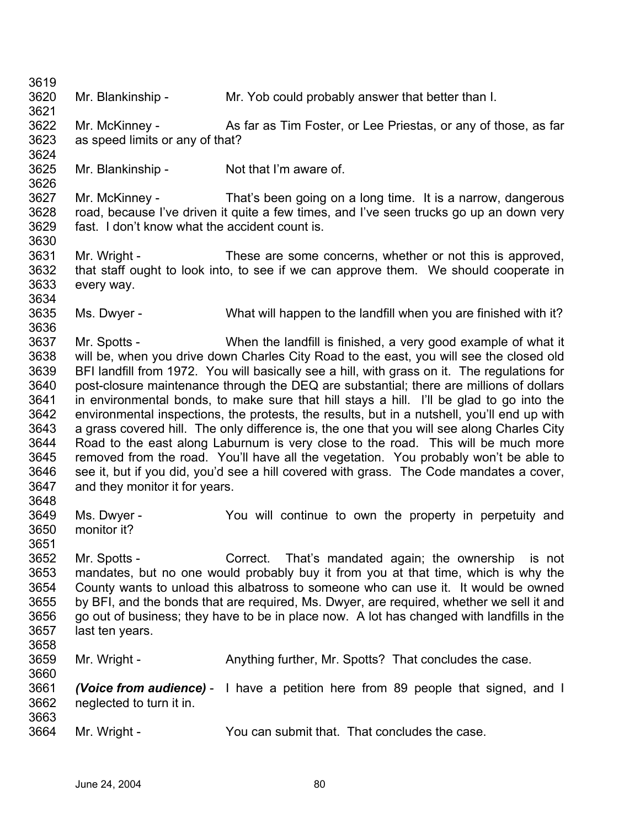3619 3620 3621 3622 3623 3624 3625 3626 3627 3628 3629 3630 3631 3632 3633 3634 3635 3636 3637 3638 3639 3640 3641 3642 3643 3644 3645 3646 3647 3648 3649 3650 3651 3652 3653 3654 3655 3656 3657 3658 3659 3660 3661 3662 3663 3664 Mr. Blankinship - Mr. Yob could probably answer that better than I. Mr. McKinney - As far as Tim Foster, or Lee Priestas, or any of those, as far as speed limits or any of that? Mr. Blankinship - Not that I'm aware of. Mr. McKinney - That's been going on a long time. It is a narrow, dangerous road, because I've driven it quite a few times, and I've seen trucks go up an down very fast. I don't know what the accident count is. Mr. Wright - These are some concerns, whether or not this is approved, that staff ought to look into, to see if we can approve them. We should cooperate in every way. Ms. Dwyer - What will happen to the landfill when you are finished with it? Mr. Spotts - When the landfill is finished, a very good example of what it will be, when you drive down Charles City Road to the east, you will see the closed old BFI landfill from 1972. You will basically see a hill, with grass on it. The regulations for post-closure maintenance through the DEQ are substantial; there are millions of dollars in environmental bonds, to make sure that hill stays a hill. I'll be glad to go into the environmental inspections, the protests, the results, but in a nutshell, you'll end up with a grass covered hill. The only difference is, the one that you will see along Charles City Road to the east along Laburnum is very close to the road. This will be much more removed from the road. You'll have all the vegetation. You probably won't be able to see it, but if you did, you'd see a hill covered with grass. The Code mandates a cover, and they monitor it for years. Ms. Dwyer - The You will continue to own the property in perpetuity and monitor it? Mr. Spotts - Correct. That's mandated again; the ownership is not mandates, but no one would probably buy it from you at that time, which is why the County wants to unload this albatross to someone who can use it. It would be owned by BFI, and the bonds that are required, Ms. Dwyer, are required, whether we sell it and go out of business; they have to be in place now. A lot has changed with landfills in the last ten years. Mr. Wright - Anything further, Mr. Spotts? That concludes the case. *(Voice from audience)* - I have a petition here from 89 people that signed, and I neglected to turn it in. Mr. Wright - You can submit that. That concludes the case.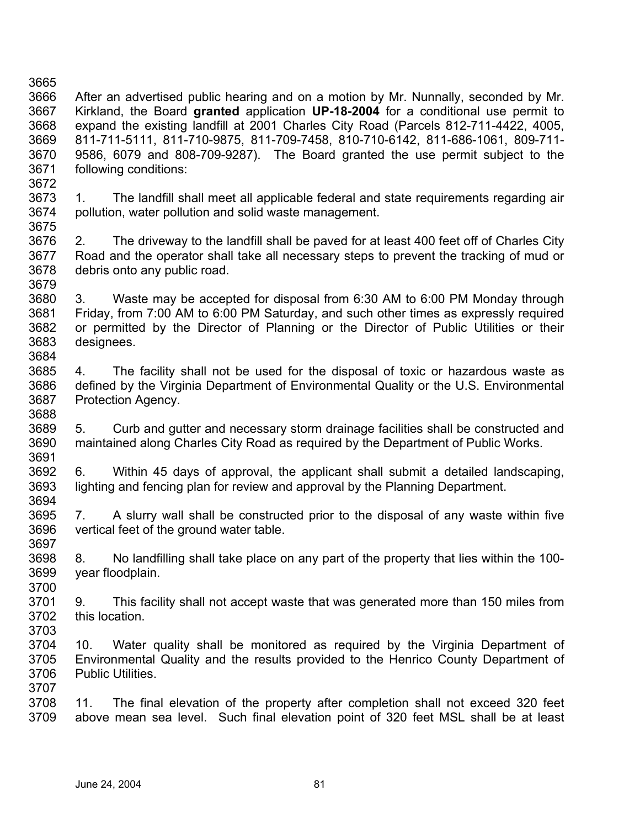3665 3666 3667 3668 3669 3670 3671 3672 3673 3674 3675 3676 3677 3678 3679 3680 3681 3682 3683 3684 3685 3686 3687 3688 3689 3690 3691 3692 3693 3694 3695 3696 3697 3698 3699 3700 3701 3702 3703 3704 3705 3706 3707 3708 3709 After an advertised public hearing and on a motion by Mr. Nunnally, seconded by Mr. Kirkland, the Board **granted** application **UP-18-2004** for a conditional use permit to expand the existing landfill at 2001 Charles City Road (Parcels 812-711-4422, 4005, 811-711-5111, 811-710-9875, 811-709-7458, 810-710-6142, 811-686-1061, 809-711- 9586, 6079 and 808-709-9287). The Board granted the use permit subject to the following conditions: 1. The landfill shall meet all applicable federal and state requirements regarding air pollution, water pollution and solid waste management. 2. The driveway to the landfill shall be paved for at least 400 feet off of Charles City Road and the operator shall take all necessary steps to prevent the tracking of mud or debris onto any public road. 3. Waste may be accepted for disposal from 6:30 AM to 6:00 PM Monday through Friday, from 7:00 AM to 6:00 PM Saturday, and such other times as expressly required or permitted by the Director of Planning or the Director of Public Utilities or their designees. 4. The facility shall not be used for the disposal of toxic or hazardous waste as defined by the Virginia Department of Environmental Quality or the U.S. Environmental Protection Agency. 5. Curb and gutter and necessary storm drainage facilities shall be constructed and maintained along Charles City Road as required by the Department of Public Works. 6. Within 45 days of approval, the applicant shall submit a detailed landscaping, lighting and fencing plan for review and approval by the Planning Department. 7. A slurry wall shall be constructed prior to the disposal of any waste within five vertical feet of the ground water table. 8. No landfilling shall take place on any part of the property that lies within the 100 year floodplain. 9. This facility shall not accept waste that was generated more than 150 miles from this location. 10. Water quality shall be monitored as required by the Virginia Department of Environmental Quality and the results provided to the Henrico County Department of Public Utilities. 11. The final elevation of the property after completion shall not exceed 320 feet above mean sea level. Such final elevation point of 320 feet MSL shall be at least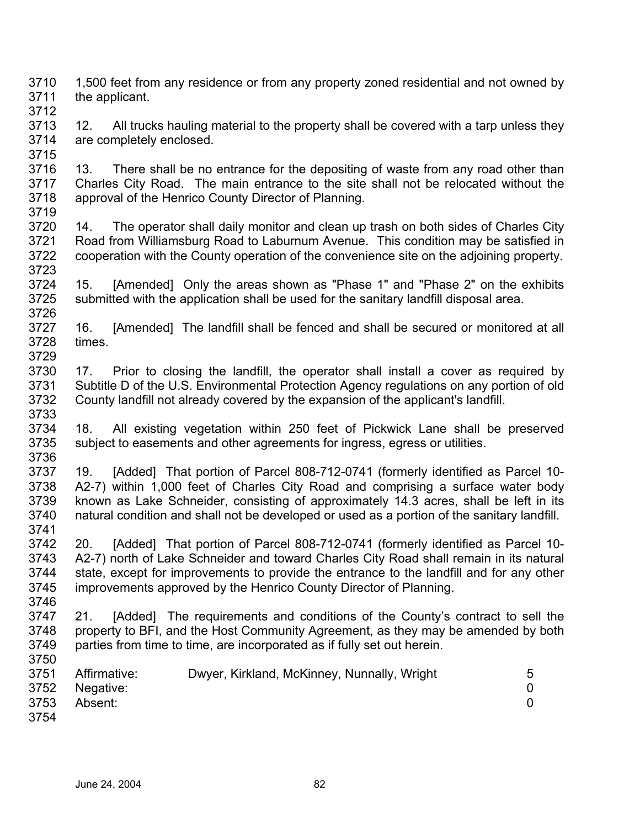- 3710 3711 3712 1,500 feet from any residence or from any property zoned residential and not owned by the applicant.
- 3713 3714 3715 12. All trucks hauling material to the property shall be covered with a tarp unless they are completely enclosed.
- 3716 3717 3718 3719 13. There shall be no entrance for the depositing of waste from any road other than Charles City Road. The main entrance to the site shall not be relocated without the approval of the Henrico County Director of Planning.
- 3720 3721 3722 3723 14. The operator shall daily monitor and clean up trash on both sides of Charles City Road from Williamsburg Road to Laburnum Avenue. This condition may be satisfied in cooperation with the County operation of the convenience site on the adjoining property.
- 3724 3725 3726 15. [Amended] Only the areas shown as "Phase 1" and "Phase 2" on the exhibits submitted with the application shall be used for the sanitary landfill disposal area.
- 3727 3728 3729 16. [Amended] The landfill shall be fenced and shall be secured or monitored at all times.
- 3730 3731 3732 3733 17. Prior to closing the landfill, the operator shall install a cover as required by Subtitle D of the U.S. Environmental Protection Agency regulations on any portion of old County landfill not already covered by the expansion of the applicant's landfill.
- 3734 3735 3736 18. All existing vegetation within 250 feet of Pickwick Lane shall be preserved subject to easements and other agreements for ingress, egress or utilities.
- 3737 3738 3739 3740 3741 19. [Added] That portion of Parcel 808-712-0741 (formerly identified as Parcel 10- A2-7) within 1,000 feet of Charles City Road and comprising a surface water body known as Lake Schneider, consisting of approximately 14.3 acres, shall be left in its natural condition and shall not be developed or used as a portion of the sanitary landfill.
- 3742 3743 3744 3745 3746 20. [Added] That portion of Parcel 808-712-0741 (formerly identified as Parcel 10- A2-7) north of Lake Schneider and toward Charles City Road shall remain in its natural state, except for improvements to provide the entrance to the landfill and for any other improvements approved by the Henrico County Director of Planning.
- 3747 3748 3749 21. [Added] The requirements and conditions of the County's contract to sell the property to BFI, and the Host Community Agreement, as they may be amended by both parties from time to time, are incorporated as if fully set out herein.
- 3751 3752 3753 3754 Affirmative: Dwyer, Kirkland, McKinney, Nunnally, Wright 5 Negative: 0 Absent: 0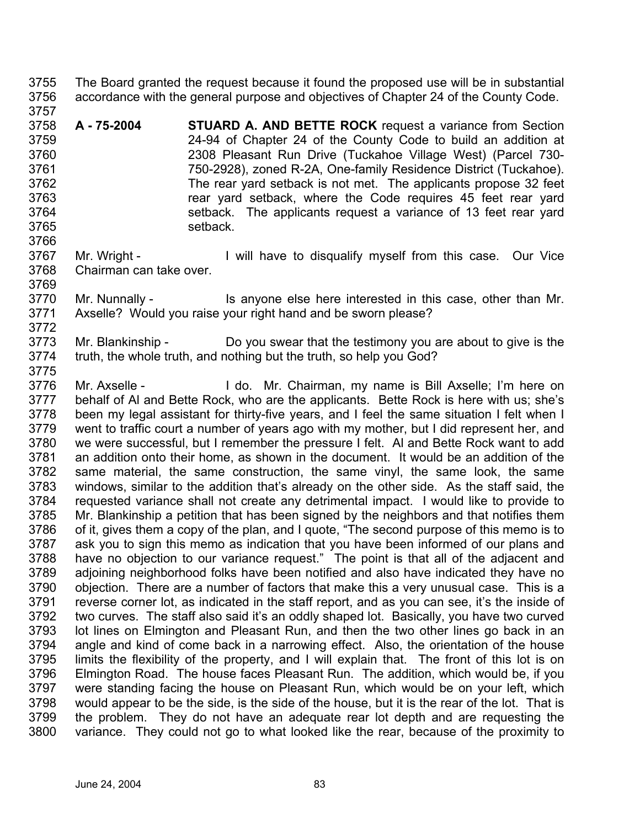3755 3756 The Board granted the request because it found the proposed use will be in substantial accordance with the general purpose and objectives of Chapter 24 of the County Code.

- 3758 3759 3760 3761 3762 3763 3764 3765 **A - 75-2004 STUARD A. AND BETTE ROCK** request a variance from Section 24-94 of Chapter 24 of the County Code to build an addition at 2308 Pleasant Run Drive (Tuckahoe Village West) (Parcel 730- 750-2928), zoned R-2A, One-family Residence District (Tuckahoe). The rear yard setback is not met. The applicants propose 32 feet rear yard setback, where the Code requires 45 feet rear yard setback. The applicants request a variance of 13 feet rear yard setback.
- 3767 3768 3769 Mr. Wright - The Mull have to disqualify myself from this case. Our Vice Chairman can take over.
- 3770 3771 Mr. Nunnally - Is anyone else here interested in this case, other than Mr. Axselle? Would you raise your right hand and be sworn please?
- 3773 3774 Mr. Blankinship - Do you swear that the testimony you are about to give is the truth, the whole truth, and nothing but the truth, so help you God?
- 3776 3777 3778 3779 3780 3781 3782 3783 3784 3785 3786 3787 3788 3789 3790 3791 3792 3793 3794 3795 3796 3797 3798 3799 3800 Mr. Axselle - I do. Mr. Chairman, my name is Bill Axselle; I'm here on behalf of Al and Bette Rock, who are the applicants. Bette Rock is here with us; she's been my legal assistant for thirty-five years, and I feel the same situation I felt when I went to traffic court a number of years ago with my mother, but I did represent her, and we were successful, but I remember the pressure I felt. Al and Bette Rock want to add an addition onto their home, as shown in the document. It would be an addition of the same material, the same construction, the same vinyl, the same look, the same windows, similar to the addition that's already on the other side. As the staff said, the requested variance shall not create any detrimental impact. I would like to provide to Mr. Blankinship a petition that has been signed by the neighbors and that notifies them of it, gives them a copy of the plan, and I quote, "The second purpose of this memo is to ask you to sign this memo as indication that you have been informed of our plans and have no objection to our variance request." The point is that all of the adjacent and adjoining neighborhood folks have been notified and also have indicated they have no objection. There are a number of factors that make this a very unusual case. This is a reverse corner lot, as indicated in the staff report, and as you can see, it's the inside of two curves. The staff also said it's an oddly shaped lot. Basically, you have two curved lot lines on Elmington and Pleasant Run, and then the two other lines go back in an angle and kind of come back in a narrowing effect. Also, the orientation of the house limits the flexibility of the property, and I will explain that. The front of this lot is on Elmington Road. The house faces Pleasant Run. The addition, which would be, if you were standing facing the house on Pleasant Run, which would be on your left, which would appear to be the side, is the side of the house, but it is the rear of the lot. That is the problem. They do not have an adequate rear lot depth and are requesting the variance. They could not go to what looked like the rear, because of the proximity to

3757

3766

3772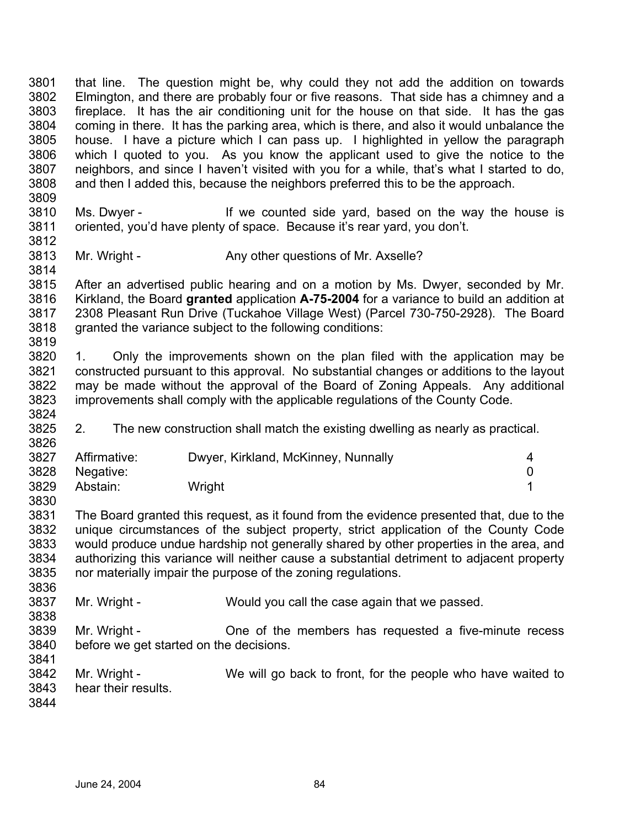3801 3802 3803 3804 3805 3806 3807 3808 3809 that line. The question might be, why could they not add the addition on towards Elmington, and there are probably four or five reasons. That side has a chimney and a fireplace. It has the air conditioning unit for the house on that side. It has the gas coming in there. It has the parking area, which is there, and also it would unbalance the house. I have a picture which I can pass up. I highlighted in yellow the paragraph which I quoted to you. As you know the applicant used to give the notice to the neighbors, and since I haven't visited with you for a while, that's what I started to do, and then I added this, because the neighbors preferred this to be the approach.

3810 3811 Ms. Dwyer - If we counted side yard, based on the way the house is oriented, you'd have plenty of space. Because it's rear yard, you don't.

3813 Mr. Wright - Any other questions of Mr. Axselle?

3815 3816 3817 3818 3819 After an advertised public hearing and on a motion by Ms. Dwyer, seconded by Mr. Kirkland, the Board **granted** application **A-75-2004** for a variance to build an addition at 2308 Pleasant Run Drive (Tuckahoe Village West) (Parcel 730-750-2928). The Board granted the variance subject to the following conditions:

3820 3821 3822 3823 3824 1. Only the improvements shown on the plan filed with the application may be constructed pursuant to this approval. No substantial changes or additions to the layout may be made without the approval of the Board of Zoning Appeals. Any additional improvements shall comply with the applicable regulations of the County Code.

3825 2. The new construction shall match the existing dwelling as nearly as practical.

| 3827 | Affirmative: | Dwyer, Kirkland, McKinney, Nunnally | 4 |
|------|--------------|-------------------------------------|---|
| 3828 | Negative:    |                                     |   |
| 3829 | Abstain:     | Wright                              |   |
| 3830 |              |                                     |   |

3831 3832 3833 3834 3835 The Board granted this request, as it found from the evidence presented that, due to the unique circumstances of the subject property, strict application of the County Code would produce undue hardship not generally shared by other properties in the area, and authorizing this variance will neither cause a substantial detriment to adjacent property nor materially impair the purpose of the zoning regulations.

3837 Mr. Wright - Would you call the case again that we passed.

3839 3840 Mr. Wright - Che of the members has requested a five-minute recess before we get started on the decisions.

3842 3843 Mr. Wright - We will go back to front, for the people who have waited to hear their results.

3844

3836

3838

3841

3812

3814